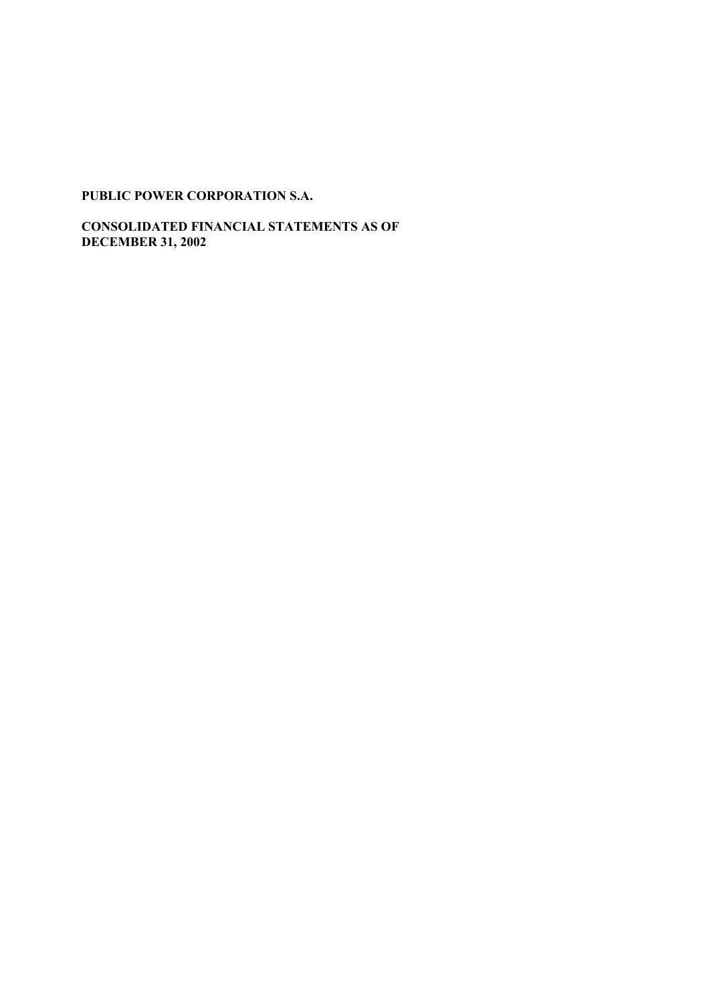**CONSOLIDATED FINANCIAL STATEMENTS AS OF DECEMBER 31, 2002**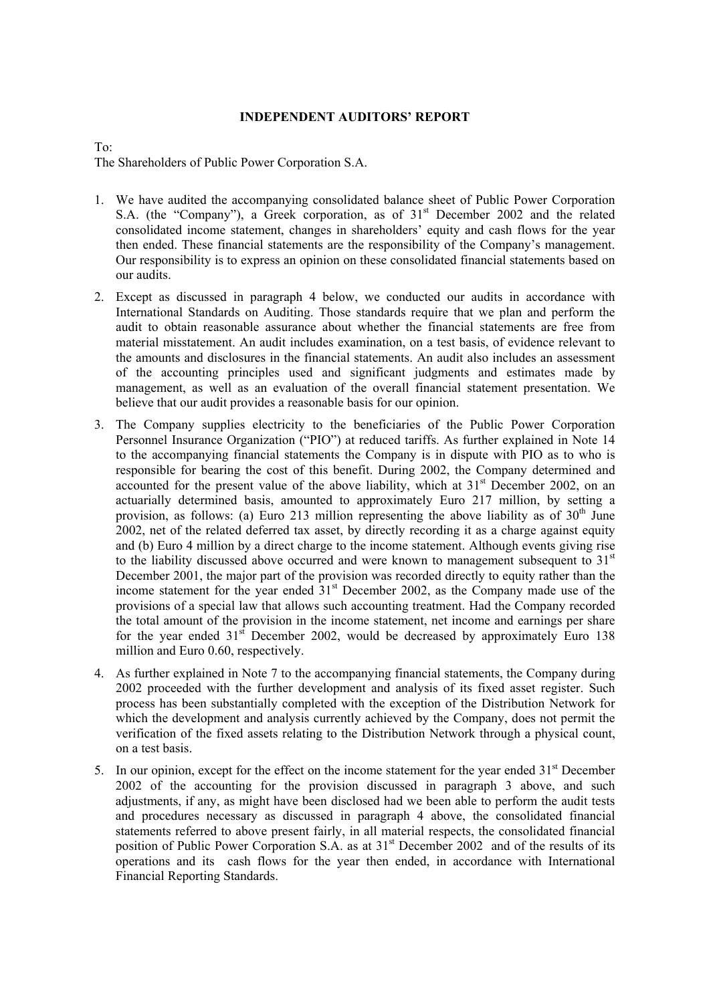### **INDEPENDENT AUDITORS' REPORT**

To:

The Shareholders of Public Power Corporation S.A.

- 1. We have audited the accompanying consolidated balance sheet of Public Power Corporation S.A. (the "Company"), a Greek corporation, as of  $31<sup>st</sup>$  December 2002 and the related consolidated income statement, changes in shareholders' equity and cash flows for the year then ended. These financial statements are the responsibility of the Company's management. Our responsibility is to express an opinion on these consolidated financial statements based on our audits.
- 2. Except as discussed in paragraph 4 below, we conducted our audits in accordance with International Standards on Auditing. Those standards require that we plan and perform the audit to obtain reasonable assurance about whether the financial statements are free from material misstatement. An audit includes examination, on a test basis, of evidence relevant to the amounts and disclosures in the financial statements. An audit also includes an assessment of the accounting principles used and significant judgments and estimates made by management, as well as an evaluation of the overall financial statement presentation. We believe that our audit provides a reasonable basis for our opinion.
- 3. The Company supplies electricity to the beneficiaries of the Public Power Corporation Personnel Insurance Organization ("PIO") at reduced tariffs. As further explained in Note 14 to the accompanying financial statements the Company is in dispute with PIO as to who is responsible for bearing the cost of this benefit. During 2002, the Company determined and accounted for the present value of the above liability, which at  $31<sup>st</sup>$  December 2002, on an actuarially determined basis, amounted to approximately Euro 217 million, by setting a provision, as follows: (a) Euro 213 million representing the above liability as of  $30<sup>th</sup>$  June 2002, net of the related deferred tax asset, by directly recording it as a charge against equity and (b) Euro 4 million by a direct charge to the income statement. Although events giving rise to the liability discussed above occurred and were known to management subsequent to  $31<sup>st</sup>$ December 2001, the major part of the provision was recorded directly to equity rather than the income statement for the year ended  $31<sup>st</sup>$  December 2002, as the Company made use of the provisions of a special law that allows such accounting treatment. Had the Company recorded the total amount of the provision in the income statement, net income and earnings per share for the year ended  $31<sup>st</sup>$  December 2002, would be decreased by approximately Euro 138 million and Euro 0.60, respectively.
- 4. As further explained in Note 7 to the accompanying financial statements, the Company during 2002 proceeded with the further development and analysis of its fixed asset register. Such process has been substantially completed with the exception of the Distribution Network for which the development and analysis currently achieved by the Company, does not permit the verification of the fixed assets relating to the Distribution Network through a physical count, on a test basis.
- 5. In our opinion, except for the effect on the income statement for the year ended  $31<sup>st</sup>$  December 2002 of the accounting for the provision discussed in paragraph 3 above, and such adjustments, if any, as might have been disclosed had we been able to perform the audit tests and procedures necessary as discussed in paragraph 4 above, the consolidated financial statements referred to above present fairly, in all material respects, the consolidated financial position of Public Power Corporation S.A. as at 31<sup>st</sup> December 2002 and of the results of its operations and its cash flows for the year then ended, in accordance with International Financial Reporting Standards.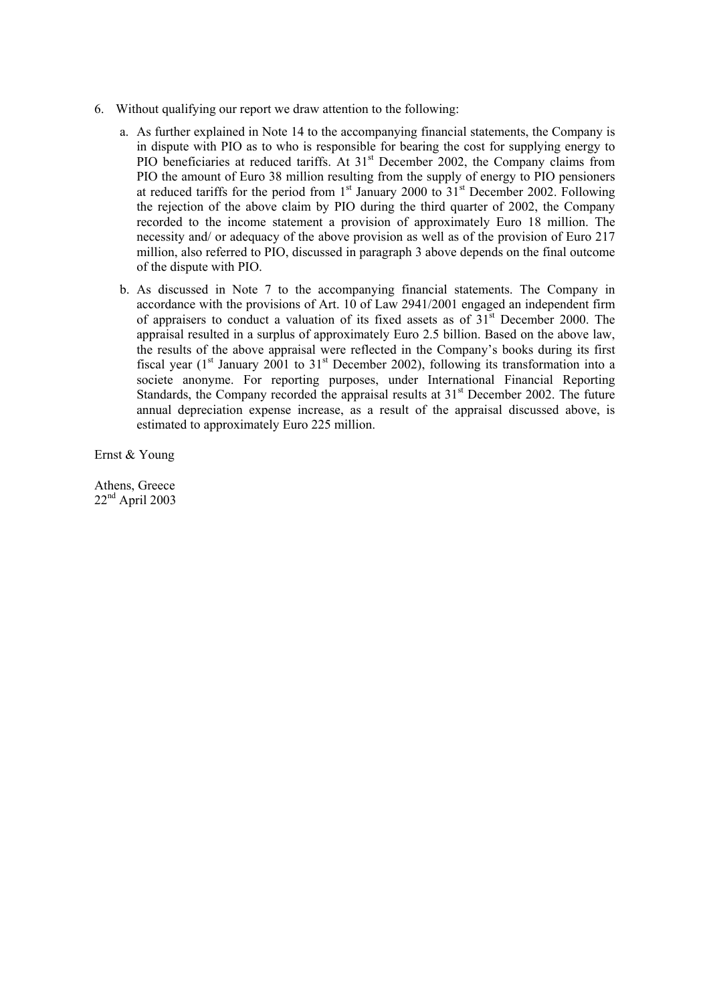- 6. Without qualifying our report we draw attention to the following:
	- a. As further explained in Note 14 to the accompanying financial statements, the Company is in dispute with PIO as to who is responsible for bearing the cost for supplying energy to PIO beneficiaries at reduced tariffs. At 31<sup>st</sup> December 2002, the Company claims from PIO the amount of Euro 38 million resulting from the supply of energy to PIO pensioners at reduced tariffs for the period from  $1<sup>st</sup>$  January 2000 to  $31<sup>st</sup>$  December 2002. Following the rejection of the above claim by PIO during the third quarter of 2002, the Company recorded to the income statement a provision of approximately Euro 18 million. The necessity and/ or adequacy of the above provision as well as of the provision of Euro 217 million, also referred to PIO, discussed in paragraph 3 above depends on the final outcome of the dispute with PIO.
	- b. As discussed in Note 7 to the accompanying financial statements. The Company in accordance with the provisions of Art. 10 of Law 2941/2001 engaged an independent firm of appraisers to conduct a valuation of its fixed assets as of  $31<sup>st</sup>$  December 2000. The appraisal resulted in a surplus of approximately Euro 2.5 billion. Based on the above law, the results of the above appraisal were reflected in the Company's books during its first fiscal year ( $1<sup>st</sup>$  January 2001 to  $31<sup>st</sup>$  December 2002), following its transformation into a societe anonyme. For reporting purposes, under International Financial Reporting Standards, the Company recorded the appraisal results at  $31<sup>st</sup>$  December 2002. The future annual depreciation expense increase, as a result of the appraisal discussed above, is estimated to approximately Euro 225 million.

Ernst & Young

Athens, Greece  $22<sup>nd</sup>$  April 2003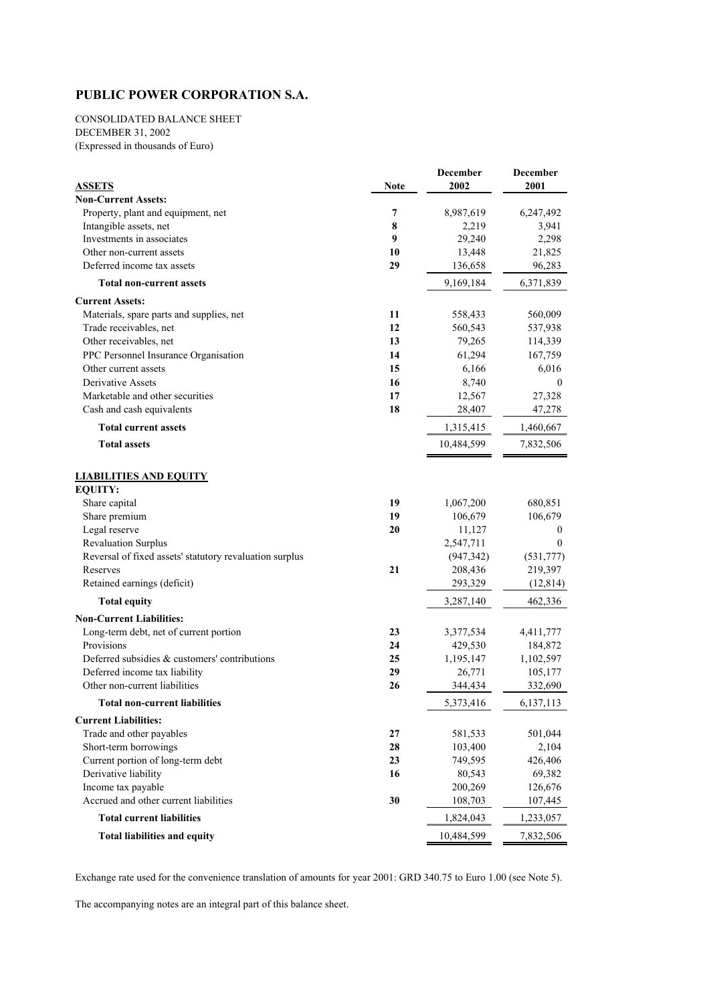CONSOLIDATED BALANCE SHEET DECEMBER 31, 2002

(Expressed in thousands of Euro)

|                                                         |      | <b>December</b> | <b>December</b> |
|---------------------------------------------------------|------|-----------------|-----------------|
| <b>ASSETS</b>                                           | Note | 2002            | 2001            |
| <b>Non-Current Assets:</b>                              |      |                 |                 |
| Property, plant and equipment, net                      | 7    | 8,987,619       | 6,247,492       |
| Intangible assets, net                                  | 8    | 2,219           | 3,941           |
| Investments in associates                               | 9    | 29,240          | 2,298           |
| Other non-current assets                                | 10   | 13,448          | 21,825          |
| Deferred income tax assets                              | 29   | 136,658         | 96,283          |
| <b>Total non-current assets</b>                         |      | 9,169,184       | 6,371,839       |
| <b>Current Assets:</b>                                  |      |                 |                 |
| Materials, spare parts and supplies, net                | 11   | 558,433         | 560,009         |
| Trade receivables, net                                  | 12   | 560,543         | 537,938         |
| Other receivables, net                                  | 13   | 79,265          | 114,339         |
| PPC Personnel Insurance Organisation                    | 14   | 61,294          | 167,759         |
| Other current assets                                    | 15   | 6,166           | 6,016           |
| Derivative Assets                                       | 16   | 8,740           | $\mathbf{0}$    |
| Marketable and other securities                         | 17   | 12,567          | 27,328          |
| Cash and cash equivalents                               | 18   | 28,407          | 47,278          |
| <b>Total current assets</b>                             |      | 1,315,415       | 1,460,667       |
| <b>Total assets</b>                                     |      | 10,484,599      | 7,832,506       |
|                                                         |      |                 |                 |
| <b>LIABILITIES AND EQUITY</b>                           |      |                 |                 |
| <b>EQUITY:</b>                                          |      |                 |                 |
| Share capital                                           | 19   | 1,067,200       | 680,851         |
| Share premium                                           | 19   | 106,679         | 106,679         |
| Legal reserve                                           | 20   | 11,127          | $\mathbf{0}$    |
| <b>Revaluation Surplus</b>                              |      | 2,547,711       | $\theta$        |
| Reversal of fixed assets' statutory revaluation surplus |      | (947, 342)      | (531,777)       |
| Reserves                                                | 21   | 208,436         | 219,397         |
| Retained earnings (deficit)                             |      | 293,329         | (12, 814)       |
| <b>Total equity</b>                                     |      | 3,287,140       | 462,336         |
| <b>Non-Current Liabilities:</b>                         |      |                 |                 |
| Long-term debt, net of current portion                  | 23   | 3,377,534       | 4,411,777       |
| Provisions                                              | 24   | 429,530         | 184,872         |
| Deferred subsidies & customers' contributions           | 25   | 1,195,147       | 1,102,597       |
| Deferred income tax liability                           | 29   | 26,771          | 105,177         |
| Other non-current liabilities                           | 26   | 344,434         | 332,690         |
| <b>Total non-current liabilities</b>                    |      | 5,373,416       | 6,137,113       |
| <b>Current Liabilities:</b>                             |      |                 |                 |
| Trade and other payables                                | 27   | 581,533         | 501,044         |
| Short-term borrowings                                   | 28   | 103,400         | 2,104           |
| Current portion of long-term debt                       | 23   | 749,595         | 426,406         |
| Derivative liability                                    | 16   | 80,543          | 69,382          |
| Income tax payable                                      |      | 200,269         | 126,676         |
| Accrued and other current liabilities                   | 30   | 108,703         | 107,445         |
| <b>Total current liabilities</b>                        |      | 1,824,043       | 1,233,057       |
| <b>Total liabilities and equity</b>                     |      | 10,484,599      | 7,832,506       |

Exchange rate used for the convenience translation of amounts for year 2001: GRD 340.75 to Euro 1.00 (see Note 5).

The accompanying notes are an integral part of this balance sheet.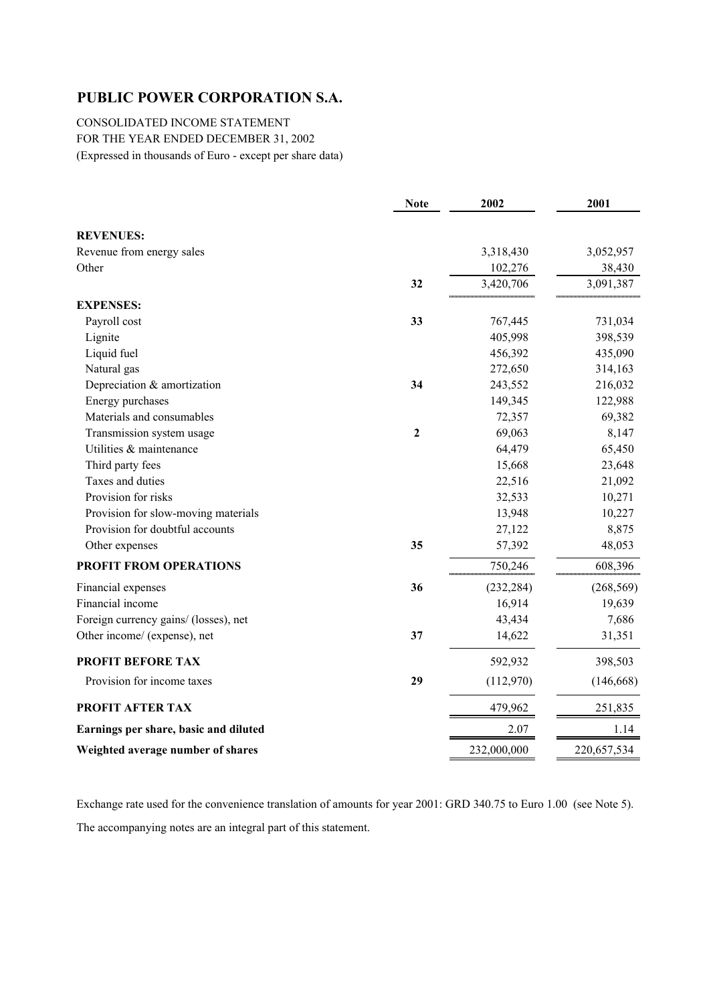CONSOLIDATED INCOME STATEMENT FOR THE YEAR ENDED DECEMBER 31, 2002 (Expressed in thousands of Euro - except per share data)

|                                       | <b>Note</b>    | 2002        | 2001        |
|---------------------------------------|----------------|-------------|-------------|
| <b>REVENUES:</b>                      |                |             |             |
| Revenue from energy sales             |                | 3,318,430   | 3,052,957   |
| Other                                 |                | 102,276     | 38,430      |
|                                       | 32             | 3,420,706   | 3,091,387   |
| <b>EXPENSES:</b>                      |                |             |             |
| Payroll cost                          | 33             | 767,445     | 731,034     |
| Lignite                               |                | 405,998     | 398,539     |
| Liquid fuel                           |                | 456,392     | 435,090     |
| Natural gas                           |                | 272,650     | 314,163     |
| Depreciation & amortization           | 34             | 243,552     | 216,032     |
| Energy purchases                      |                | 149,345     | 122,988     |
| Materials and consumables             |                | 72,357      | 69,382      |
| Transmission system usage             | $\overline{2}$ | 69,063      | 8,147       |
| Utilities & maintenance               |                | 64,479      | 65,450      |
| Third party fees                      |                | 15,668      | 23,648      |
| Taxes and duties                      |                | 22,516      | 21,092      |
| Provision for risks                   |                | 32,533      | 10,271      |
| Provision for slow-moving materials   |                | 13,948      | 10,227      |
| Provision for doubtful accounts       |                | 27,122      | 8,875       |
| Other expenses                        | 35             | 57,392      | 48,053      |
| PROFIT FROM OPERATIONS                |                | 750,246     | 608,396     |
| Financial expenses                    | 36             | (232, 284)  | (268, 569)  |
| Financial income                      |                | 16,914      | 19,639      |
| Foreign currency gains/ (losses), net |                | 43,434      | 7,686       |
| Other income/ (expense), net          | 37             | 14,622      | 31,351      |
| <b>PROFIT BEFORE TAX</b>              |                | 592,932     | 398,503     |
| Provision for income taxes            | 29             | (112,970)   | (146, 668)  |
| PROFIT AFTER TAX                      |                | 479,962     | 251,835     |
| Earnings per share, basic and diluted |                | 2.07        | 1.14        |
| Weighted average number of shares     |                | 232,000,000 | 220,657,534 |

Exchange rate used for the convenience translation of amounts for year 2001: GRD 340.75 to Euro 1.00 (see Note 5). The accompanying notes are an integral part of this statement.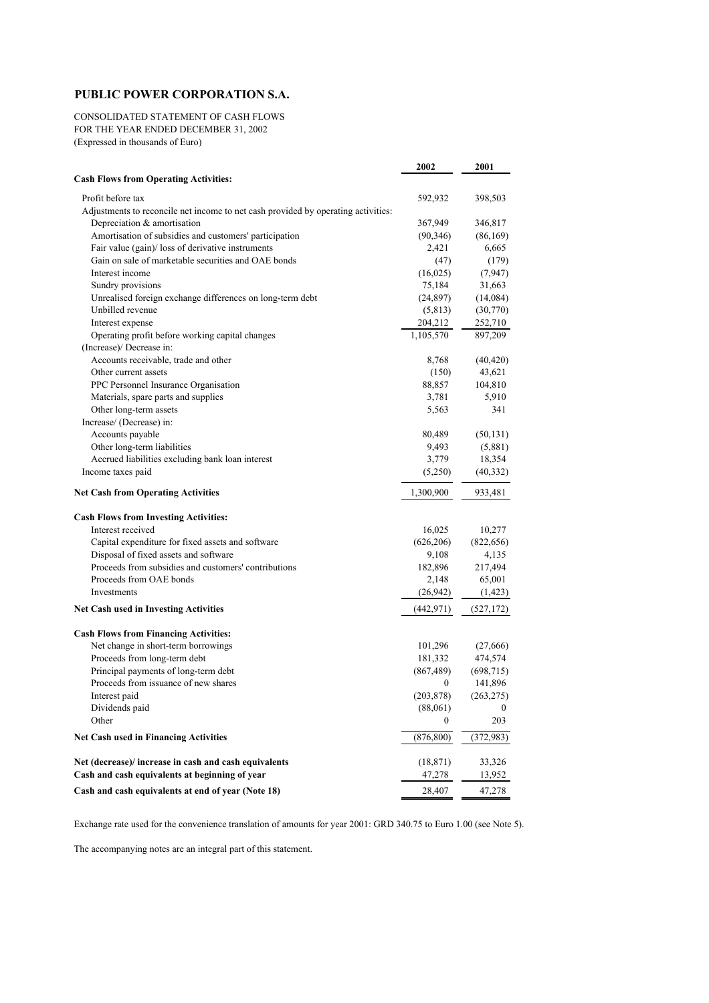CONSOLIDATED STATEMENT OF CASH FLOWS FOR THE YEAR ENDED DECEMBER 31, 2002 (Expressed in thousands of Euro)

|                                                                                   | 2002             | 2001       |
|-----------------------------------------------------------------------------------|------------------|------------|
| <b>Cash Flows from Operating Activities:</b>                                      |                  |            |
| Profit before tax                                                                 | 592,932          | 398,503    |
| Adjustments to reconcile net income to net cash provided by operating activities: |                  |            |
| Depreciation & amortisation                                                       | 367,949          | 346,817    |
| Amortisation of subsidies and customers' participation                            | (90, 346)        | (86, 169)  |
| Fair value (gain)/ loss of derivative instruments                                 | 2,421            | 6,665      |
| Gain on sale of marketable securities and OAE bonds                               | (47)             | (179)      |
| Interest income                                                                   | (16, 025)        | (7, 947)   |
| Sundry provisions                                                                 | 75,184           | 31,663     |
| Unrealised foreign exchange differences on long-term debt                         | (24, 897)        | (14,084)   |
| Unbilled revenue                                                                  | (5, 813)         | (30,770)   |
| Interest expense                                                                  | 204,212          | 252,710    |
| Operating profit before working capital changes                                   | 1,105,570        | 897,209    |
| (Increase)/ Decrease in:                                                          |                  |            |
| Accounts receivable, trade and other                                              | 8,768            | (40, 420)  |
| Other current assets                                                              | (150)            | 43,621     |
| PPC Personnel Insurance Organisation                                              | 88,857           | 104,810    |
| Materials, spare parts and supplies                                               | 3,781            | 5,910      |
| Other long-term assets                                                            | 5,563            | 341        |
| Increase/ (Decrease) in:                                                          |                  |            |
| Accounts payable                                                                  | 80,489           | (50, 131)  |
| Other long-term liabilities                                                       | 9,493            | (5,881)    |
| Accrued liabilities excluding bank loan interest                                  | 3,779            | 18,354     |
| Income taxes paid                                                                 | (5,250)          | (40, 332)  |
| <b>Net Cash from Operating Activities</b>                                         | 1,300,900        | 933,481    |
| <b>Cash Flows from Investing Activities:</b>                                      |                  |            |
| Interest received                                                                 | 16,025           | 10,277     |
| Capital expenditure for fixed assets and software                                 | (626, 206)       | (822, 656) |
| Disposal of fixed assets and software                                             | 9,108            | 4,135      |
| Proceeds from subsidies and customers' contributions                              | 182,896          | 217,494    |
| Proceeds from OAE bonds                                                           | 2,148            | 65,001     |
| Investments                                                                       | (26,942)         | (1, 423)   |
| <b>Net Cash used in Investing Activities</b>                                      | (442, 971)       | (527, 172) |
| <b>Cash Flows from Financing Activities:</b>                                      |                  |            |
| Net change in short-term borrowings                                               | 101,296          | (27,666)   |
| Proceeds from long-term debt                                                      | 181,332          | 474,574    |
| Principal payments of long-term debt                                              | (867, 489)       | (698, 715) |
| Proceeds from issuance of new shares                                              | $\boldsymbol{0}$ | 141,896    |
| Interest paid                                                                     | (203, 878)       | (263, 275) |
| Dividends paid                                                                    | (88,061)         |            |
| Other                                                                             | $\bf{0}$         | 203        |
| <b>Net Cash used in Financing Activities</b>                                      | (876, 800)       | (372, 983) |
| Net (decrease)/ increase in cash and cash equivalents                             | (18, 871)        | 33,326     |
| Cash and cash equivalents at beginning of year                                    | 47,278           | 13,952     |
| Cash and cash equivalents at end of year (Note 18)                                | 28,407           | 47,278     |

Exchange rate used for the convenience translation of amounts for year 2001: GRD 340.75 to Euro 1.00 (see Note 5).

The accompanying notes are an integral part of this statement.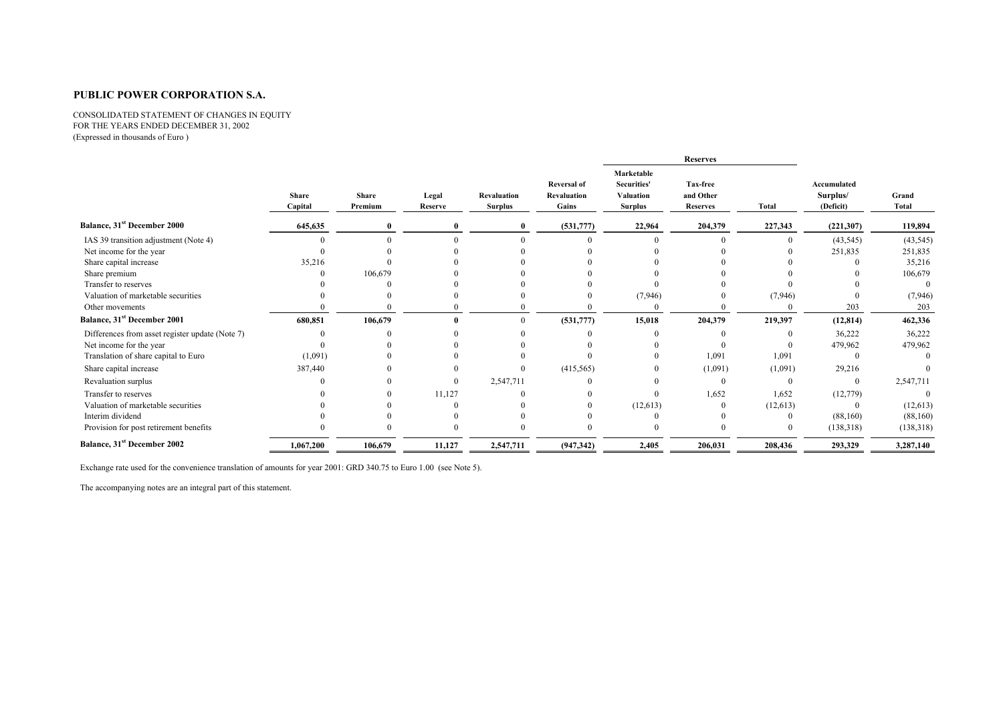CONSOLIDATED STATEMENT OF CHANGES IN EQUITY FOR THE YEARS ENDED DECEMBER 31, 2002 (Expressed in thousands of Euro )

|                                                 |                         |                         |                  |                                      |                                                   |                                                                 | <b>Reserves</b>                          |              |                                      |                |
|-------------------------------------------------|-------------------------|-------------------------|------------------|--------------------------------------|---------------------------------------------------|-----------------------------------------------------------------|------------------------------------------|--------------|--------------------------------------|----------------|
|                                                 | <b>Share</b><br>Capital | <b>Share</b><br>Premium | Legal<br>Reserve | <b>Revaluation</b><br><b>Surplus</b> | <b>Reversal of</b><br><b>Revaluation</b><br>Gains | Marketable<br><b>Securities'</b><br>Valuation<br><b>Surplus</b> | Tax-free<br>and Other<br><b>Reserves</b> | <b>Total</b> | Accumulated<br>Surplus/<br>(Deficit) | Grand<br>Total |
| <b>Balance, 31st December 2000</b>              | 645,635                 |                         |                  |                                      | (531,777)                                         | 22,964                                                          | 204,379                                  | 227,343      | (221, 307)                           | 119,894        |
| IAS 39 transition adjustment (Note 4)           |                         |                         |                  |                                      |                                                   |                                                                 |                                          | $\Omega$     | (43, 545)                            | (43, 545)      |
| Net income for the year                         |                         |                         |                  |                                      |                                                   |                                                                 |                                          |              | 251,835                              | 251,835        |
| Share capital increase                          | 35,216                  |                         |                  |                                      |                                                   |                                                                 |                                          |              |                                      | 35,216         |
| Share premium                                   |                         | 106,679                 |                  |                                      |                                                   |                                                                 |                                          |              |                                      | 106,679        |
| Transfer to reserves                            |                         |                         |                  |                                      |                                                   |                                                                 |                                          |              |                                      | $\Omega$       |
| Valuation of marketable securities              |                         |                         |                  |                                      |                                                   | (7, 946)                                                        |                                          | (7, 946)     |                                      | (7,946)        |
| Other movements                                 |                         |                         |                  |                                      |                                                   |                                                                 |                                          |              | 203                                  | 203            |
| Balance, 31 <sup>st</sup> December 2001         | 680,851                 | 106,679                 |                  |                                      | (531,777)                                         | 15,018                                                          | 204,379                                  | 219,397      | (12, 814)                            | 462,336        |
| Differences from asset register update (Note 7) |                         |                         |                  |                                      |                                                   |                                                                 |                                          |              | 36,222                               | 36,222         |
| Net income for the year                         |                         |                         |                  |                                      |                                                   |                                                                 |                                          |              | 479,962                              | 479,962        |
| Translation of share capital to Euro            | (1,091)                 |                         |                  |                                      |                                                   |                                                                 | 1,091                                    | 1,091        |                                      | $\Omega$       |
| Share capital increase                          | 387,440                 |                         |                  | $\Omega$                             | (415, 565)                                        |                                                                 | (1,091)                                  | (1,091)      | 29,216                               |                |
| Revaluation surplus                             |                         |                         |                  | 2,547,711                            |                                                   |                                                                 | $\mathbf{0}$                             |              |                                      | 2,547,711      |
| Transfer to reserves                            |                         |                         | 11,127           |                                      |                                                   |                                                                 | 1,652                                    | 1,652        | (12, 779)                            |                |
| Valuation of marketable securities              |                         |                         |                  |                                      |                                                   | (12, 613)                                                       |                                          | (12, 613)    |                                      | (12, 613)      |
| Interim dividend                                |                         |                         |                  |                                      |                                                   |                                                                 |                                          |              | (88,160)                             | (88,160)       |
| Provision for post retirement benefits          |                         |                         |                  |                                      |                                                   |                                                                 |                                          |              | (138,318)                            | (138, 318)     |
| <b>Balance, 31st December 2002</b>              | 1,067,200               | 106,679                 | 11,127           | 2,547,711                            | (947, 342)                                        | 2,405                                                           | 206,031                                  | 208,436      | 293,329                              | 3,287,140      |

Exchange rate used for the convenience translation of amounts for year 2001: GRD 340.75 to Euro 1.00 (see Note 5).

The accompanying notes are an integral part of this statement.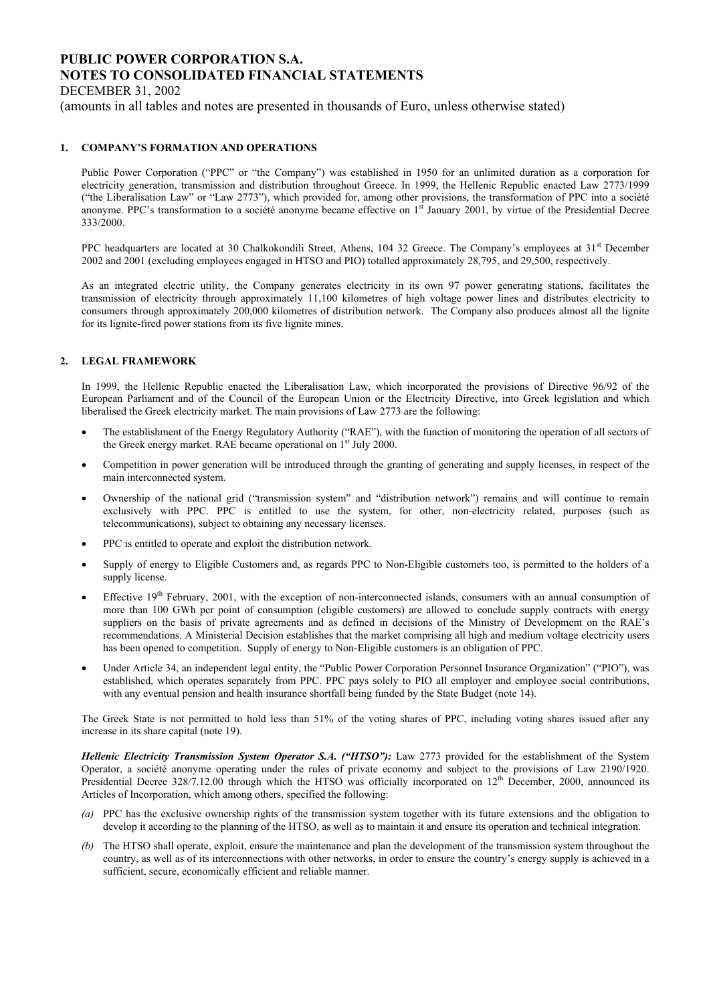DECEMBER 31, 2002

(amounts in all tables and notes are presented in thousands of Euro, unless otherwise stated)

### **1. COMPANY'S FORMATION AND OPERATIONS**

Public Power Corporation ("PPC" or "the Company") was established in 1950 for an unlimited duration as a corporation for electricity generation, transmission and distribution throughout Greece. In 1999, the Hellenic Republic enacted Law 2773/1999 ("the Liberalisation Law" or "Law 2773"), which provided for, among other provisions, the transformation of PPC into a société anonyme. PPC's transformation to a société anonyme became effective on  $1<sup>st</sup>$  January 2001, by virtue of the Presidential Decree 333/2000.

PPC headquarters are located at 30 Chalkokondili Street, Athens, 104 32 Greece. The Company's employees at 31<sup>st</sup> December 2002 and 2001 (excluding employees engaged in HTSO and PIO) totalled approximately 28,795, and 29,500, respectively.

As an integrated electric utility, the Company generates electricity in its own 97 power generating stations, facilitates the transmission of electricity through approximately 11,100 kilometres of high voltage power lines and distributes electricity to consumers through approximately 200,000 kilometres of distribution network. The Company also produces almost all the lignite for its lignite-fired power stations from its five lignite mines.

#### **2. LEGAL FRAMEWORK**

In 1999, the Hellenic Republic enacted the Liberalisation Law, which incorporated the provisions of Directive 96/92 of the European Parliament and of the Council of the European Union or the Electricity Directive, into Greek legislation and which liberalised the Greek electricity market. The main provisions of Law 2773 are the following:

- The establishment of the Energy Regulatory Authority ("RAE"), with the function of monitoring the operation of all sectors of the Greek energy market. RAE became operational on  $1<sup>st</sup>$  July 2000.
- Competition in power generation will be introduced through the granting of generating and supply licenses, in respect of the main interconnected system.
- Ownership of the national grid ("transmission system" and "distribution network") remains and will continue to remain exclusively with PPC. PPC is entitled to use the system, for other, non-electricity related, purposes (such as telecommunications), subject to obtaining any necessary licenses.
- PPC is entitled to operate and exploit the distribution network.
- Supply of energy to Eligible Customers and, as regards PPC to Non-Eligible customers too, is permitted to the holders of a supply license.
- Effective  $19<sup>th</sup>$  February, 2001, with the exception of non-interconnected islands, consumers with an annual consumption of more than 100 GWh per point of consumption (eligible customers) are allowed to conclude supply contracts with energy suppliers on the basis of private agreements and as defined in decisions of the Ministry of Development on the RAE's recommendations. A Ministerial Decision establishes that the market comprising all high and medium voltage electricity users has been opened to competition. Supply of energy to Non-Eligible customers is an obligation of PPC.
- Under Article 34, an independent legal entity, the "Public Power Corporation Personnel Insurance Organization" ("PIO"), was established, which operates separately from PPC. PPC pays solely to PIO all employer and employee social contributions, with any eventual pension and health insurance shortfall being funded by the State Budget (note 14).

The Greek State is not permitted to hold less than 51% of the voting shares of PPC, including voting shares issued after any increase in its share capital (note 19).

*Hellenic Electricity Transmission System Operator S.A. ("HTSO"):* Law 2773 provided for the establishment of the System Operator, a société anonyme operating under the rules of private economy and subject to the provisions of Law 2190/1920. Presidential Decree 328/7.12.00 through which the HTSO was officially incorporated on 12<sup>th</sup> December, 2000, announced its Articles of Incorporation, which among others, specified the following:

- *(a)* PPC has the exclusive ownership rights of the transmission system together with its future extensions and the obligation to develop it according to the planning of the HTSO, as well as to maintain it and ensure its operation and technical integration.
- *(b)* The HTSO shall operate, exploit, ensure the maintenance and plan the development of the transmission system throughout the country, as well as of its interconnections with other networks, in order to ensure the country's energy supply is achieved in a sufficient, secure, economically efficient and reliable manner.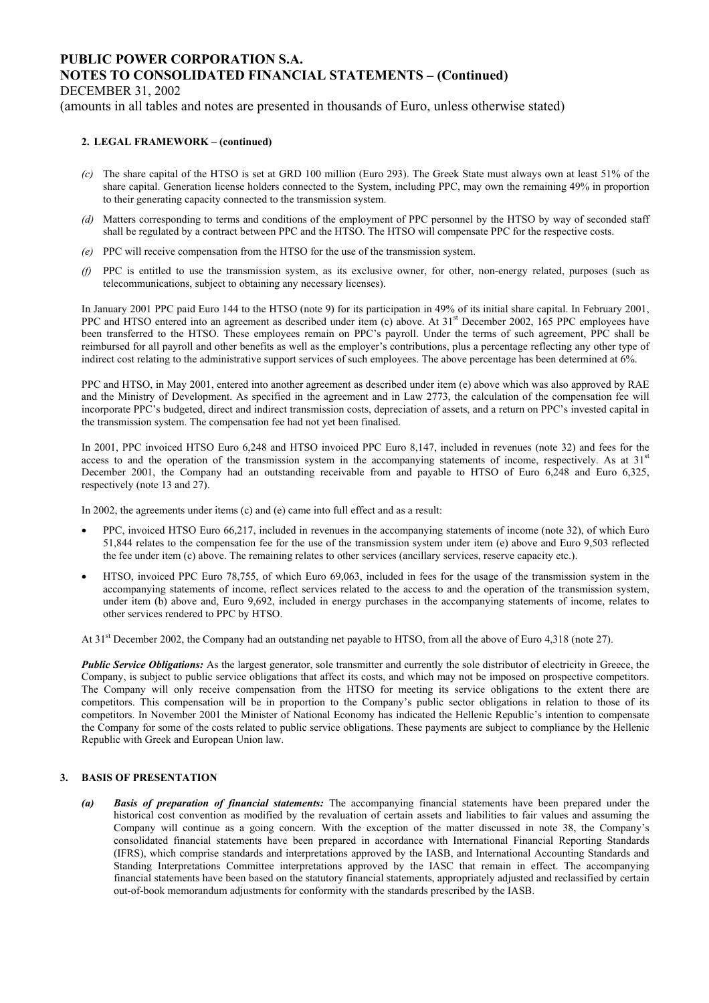DECEMBER 31, 2002

(amounts in all tables and notes are presented in thousands of Euro, unless otherwise stated)

#### **2. LEGAL FRAMEWORK – (continued)**

- *(c)* The share capital of the HTSO is set at GRD 100 million (Euro 293). The Greek State must always own at least 51% of the share capital. Generation license holders connected to the System, including PPC, may own the remaining 49% in proportion to their generating capacity connected to the transmission system.
- *(d)* Matters corresponding to terms and conditions of the employment of PPC personnel by the HTSO by way of seconded staff shall be regulated by a contract between PPC and the HTSO. The HTSO will compensate PPC for the respective costs.
- *(e)* PPC will receive compensation from the HTSO for the use of the transmission system.
- *(f)* PPC is entitled to use the transmission system, as its exclusive owner, for other, non-energy related, purposes (such as telecommunications, subject to obtaining any necessary licenses).

In January 2001 PPC paid Euro 144 to the HTSO (note 9) for its participation in 49% of its initial share capital. In February 2001, PPC and HTSO entered into an agreement as described under item (c) above. At 31<sup>st</sup> December 2002, 165 PPC employees have been transferred to the HTSO. These employees remain on PPC's payroll. Under the terms of such agreement, PPC shall be reimbursed for all payroll and other benefits as well as the employer's contributions, plus a percentage reflecting any other type of indirect cost relating to the administrative support services of such employees. The above percentage has been determined at 6%.

PPC and HTSO, in May 2001, entered into another agreement as described under item (e) above which was also approved by RAE and the Ministry of Development. As specified in the agreement and in Law 2773, the calculation of the compensation fee will incorporate PPC's budgeted, direct and indirect transmission costs, depreciation of assets, and a return on PPC's invested capital in the transmission system. The compensation fee had not yet been finalised.

In 2001, PPC invoiced HTSO Euro 6,248 and HTSO invoiced PPC Euro 8,147, included in revenues (note 32) and fees for the access to and the operation of the transmission system in the accompanying statements of income, respectively. As at 31<sup>st</sup> December 2001, the Company had an outstanding receivable from and payable to HTSO of Euro 6,248 and Euro 6,325, respectively (note 13 and 27).

In 2002, the agreements under items (c) and (e) came into full effect and as a result:

- PPC, invoiced HTSO Euro 66,217, included in revenues in the accompanying statements of income (note 32), of which Euro 51,844 relates to the compensation fee for the use of the transmission system under item (e) above and Euro 9,503 reflected the fee under item (c) above. The remaining relates to other services (ancillary services, reserve capacity etc.).
- HTSO, invoiced PPC Euro 78,755, of which Euro 69,063, included in fees for the usage of the transmission system in the accompanying statements of income, reflect services related to the access to and the operation of the transmission system, under item (b) above and, Euro 9,692, included in energy purchases in the accompanying statements of income, relates to other services rendered to PPC by HTSO.

At 31<sup>st</sup> December 2002, the Company had an outstanding net payable to HTSO, from all the above of Euro 4,318 (note 27).

*Public Service Obligations:* As the largest generator, sole transmitter and currently the sole distributor of electricity in Greece, the Company, is subject to public service obligations that affect its costs, and which may not be imposed on prospective competitors. The Company will only receive compensation from the HTSO for meeting its service obligations to the extent there are competitors. This compensation will be in proportion to the Company's public sector obligations in relation to those of its competitors. In November 2001 the Minister of National Economy has indicated the Hellenic Republic's intention to compensate the Company for some of the costs related to public service obligations. These payments are subject to compliance by the Hellenic Republic with Greek and European Union law.

#### **3. BASIS OF PRESENTATION**

*(a) Basis of preparation of financial statements:* The accompanying financial statements have been prepared under the historical cost convention as modified by the revaluation of certain assets and liabilities to fair values and assuming the Company will continue as a going concern. With the exception of the matter discussed in note 38, the Company's consolidated financial statements have been prepared in accordance with International Financial Reporting Standards (IFRS), which comprise standards and interpretations approved by the IASB, and International Accounting Standards and Standing Interpretations Committee interpretations approved by the IASC that remain in effect. The accompanying financial statements have been based on the statutory financial statements, appropriately adjusted and reclassified by certain out-of-book memorandum adjustments for conformity with the standards prescribed by the IASB.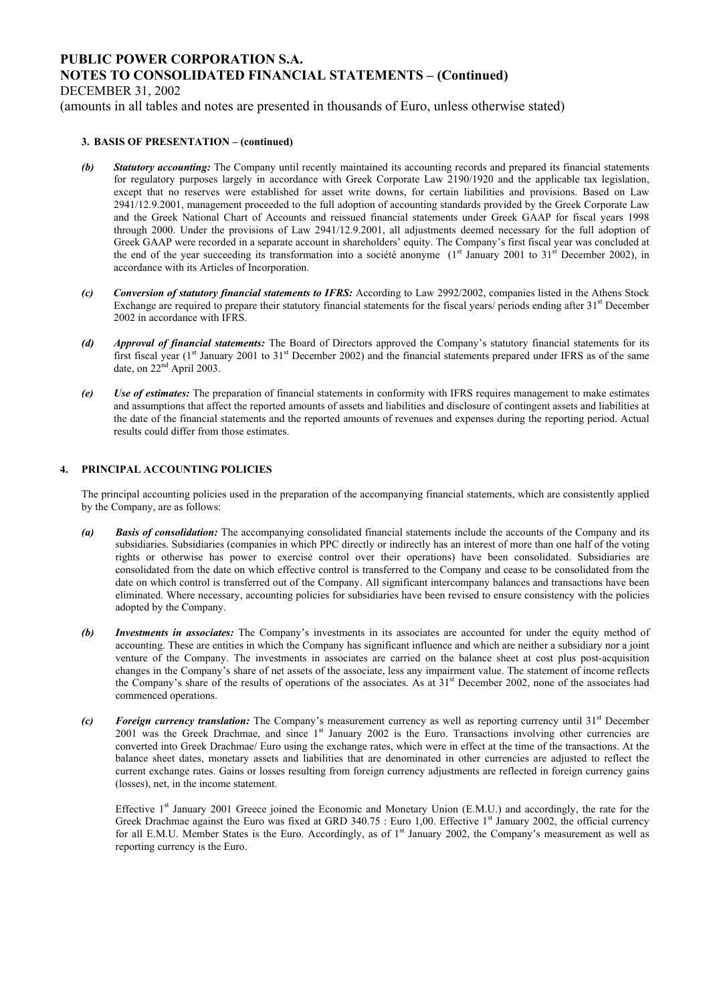DECEMBER 31, 2002

(amounts in all tables and notes are presented in thousands of Euro, unless otherwise stated)

#### **3. BASIS OF PRESENTATION – (continued)**

- *(b) Statutory accounting:* The Company until recently maintained its accounting records and prepared its financial statements for regulatory purposes largely in accordance with Greek Corporate Law 2190/1920 and the applicable tax legislation, except that no reserves were established for asset write downs, for certain liabilities and provisions. Based on Law 2941/12.9.2001, management proceeded to the full adoption of accounting standards provided by the Greek Corporate Law and the Greek National Chart of Accounts and reissued financial statements under Greek GAAP for fiscal years 1998 through 2000. Under the provisions of Law 2941/12.9.2001, all adjustments deemed necessary for the full adoption of Greek GAAP were recorded in a separate account in shareholders' equity. The Company's first fiscal year was concluded at the end of the year succeeding its transformation into a société anonyme  $(1<sup>st</sup> January 2001$  to  $31<sup>st</sup>$  December 2002), in accordance with its Articles of Incorporation.
- *(c) Conversion of statutory financial statements to IFRS:* According to Law 2992/2002, companies listed in the Athens Stock Exchange are required to prepare their statutory financial statements for the fiscal years/ periods ending after 31<sup>st</sup> December 2002 in accordance with IFRS.
- *(d) Approval of financial statements:* The Board of Directors approved the Company's statutory financial statements for its first fiscal year (1<sup>st</sup> January 2001 to 31<sup>st</sup> December 2002) and the financial statements prepared under IFRS as of the same date, on  $22<sup>nd</sup>$  April 2003.
- *(e) Use of estimates:* The preparation of financial statements in conformity with IFRS requires management to make estimates and assumptions that affect the reported amounts of assets and liabilities and disclosure of contingent assets and liabilities at the date of the financial statements and the reported amounts of revenues and expenses during the reporting period. Actual results could differ from those estimates.

### **4. PRINCIPAL ACCOUNTING POLICIES**

The principal accounting policies used in the preparation of the accompanying financial statements, which are consistently applied by the Company, are as follows:

- *(a) Basis of consolidation:* The accompanying consolidated financial statements include the accounts of the Company and its subsidiaries. Subsidiaries (companies in which PPC directly or indirectly has an interest of more than one half of the voting rights or otherwise has power to exercise control over their operations) have been consolidated. Subsidiaries are consolidated from the date on which effective control is transferred to the Company and cease to be consolidated from the date on which control is transferred out of the Company. All significant intercompany balances and transactions have been eliminated. Where necessary, accounting policies for subsidiaries have been revised to ensure consistency with the policies adopted by the Company.
- *(b) Investments in associates:* The Company's investments in its associates are accounted for under the equity method of accounting. These are entities in which the Company has significant influence and which are neither a subsidiary nor a joint venture of the Company. The investments in associates are carried on the balance sheet at cost plus post-acquisition changes in the Company's share of net assets of the associate, less any impairment value. The statement of income reflects the Company's share of the results of operations of the associates. As at 31<sup>st</sup> December 2002, none of the associates had commenced operations.
- *(c) Foreign currency translation:* The Company's measurement currency as well as reporting currency until 31<sup>st</sup> December 2001 was the Greek Drachmae, and since 1<sup>st</sup> January 2002 is the Euro. Transactions involving other currencies are converted into Greek Drachmae/ Euro using the exchange rates, which were in effect at the time of the transactions. At the balance sheet dates, monetary assets and liabilities that are denominated in other currencies are adjusted to reflect the current exchange rates. Gains or losses resulting from foreign currency adjustments are reflected in foreign currency gains (losses), net, in the income statement.

Effective 1<sup>st</sup> January 2001 Greece joined the Economic and Monetary Union (E.M.U.) and accordingly, the rate for the Greek Drachmae against the Euro was fixed at GRD 340.75 : Euro 1,00. Effective 1<sup>st</sup> January 2002, the official currency for all E.M.U. Member States is the Euro. Accordingly, as of 1<sup>st</sup> January 2002, the Company's measurement as well as reporting currency is the Euro.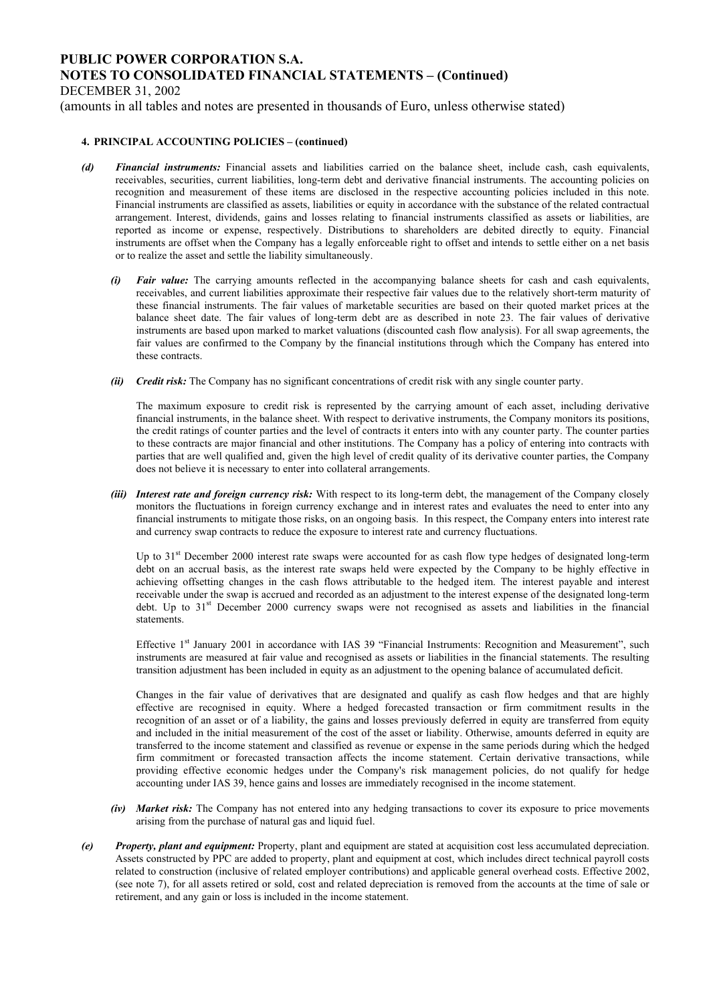DECEMBER 31, 2002

(amounts in all tables and notes are presented in thousands of Euro, unless otherwise stated)

#### **4. PRINCIPAL ACCOUNTING POLICIES – (continued)**

- *(d) Financial instruments:* Financial assets and liabilities carried on the balance sheet, include cash, cash equivalents, receivables, securities, current liabilities, long-term debt and derivative financial instruments. The accounting policies on recognition and measurement of these items are disclosed in the respective accounting policies included in this note. Financial instruments are classified as assets, liabilities or equity in accordance with the substance of the related contractual arrangement. Interest, dividends, gains and losses relating to financial instruments classified as assets or liabilities, are reported as income or expense, respectively. Distributions to shareholders are debited directly to equity. Financial instruments are offset when the Company has a legally enforceable right to offset and intends to settle either on a net basis or to realize the asset and settle the liability simultaneously.
	- *(i) Fair value:* The carrying amounts reflected in the accompanying balance sheets for cash and cash equivalents, receivables, and current liabilities approximate their respective fair values due to the relatively short-term maturity of these financial instruments. The fair values of marketable securities are based on their quoted market prices at the balance sheet date. The fair values of long-term debt are as described in note 23. The fair values of derivative instruments are based upon marked to market valuations (discounted cash flow analysis). For all swap agreements, the fair values are confirmed to the Company by the financial institutions through which the Company has entered into these contracts.
	- *(ii) Credit risk:* The Company has no significant concentrations of credit risk with any single counter party.

The maximum exposure to credit risk is represented by the carrying amount of each asset, including derivative financial instruments, in the balance sheet. With respect to derivative instruments, the Company monitors its positions, the credit ratings of counter parties and the level of contracts it enters into with any counter party. The counter parties to these contracts are major financial and other institutions. The Company has a policy of entering into contracts with parties that are well qualified and, given the high level of credit quality of its derivative counter parties, the Company does not believe it is necessary to enter into collateral arrangements.

*(iii)* Interest rate and foreign currency risk: With respect to its long-term debt, the management of the Company closely monitors the fluctuations in foreign currency exchange and in interest rates and evaluates the need to enter into any financial instruments to mitigate those risks, on an ongoing basis. In this respect, the Company enters into interest rate and currency swap contracts to reduce the exposure to interest rate and currency fluctuations.

Up to  $31<sup>st</sup>$  December 2000 interest rate swaps were accounted for as cash flow type hedges of designated long-term debt on an accrual basis, as the interest rate swaps held were expected by the Company to be highly effective in achieving offsetting changes in the cash flows attributable to the hedged item. The interest payable and interest receivable under the swap is accrued and recorded as an adjustment to the interest expense of the designated long-term debt. Up to 31<sup>st</sup> December 2000 currency swaps were not recognised as assets and liabilities in the financial statements.

Effective 1<sup>st</sup> January 2001 in accordance with IAS 39 "Financial Instruments: Recognition and Measurement", such instruments are measured at fair value and recognised as assets or liabilities in the financial statements. The resulting transition adjustment has been included in equity as an adjustment to the opening balance of accumulated deficit.

Changes in the fair value of derivatives that are designated and qualify as cash flow hedges and that are highly effective are recognised in equity. Where a hedged forecasted transaction or firm commitment results in the recognition of an asset or of a liability, the gains and losses previously deferred in equity are transferred from equity and included in the initial measurement of the cost of the asset or liability. Otherwise, amounts deferred in equity are transferred to the income statement and classified as revenue or expense in the same periods during which the hedged firm commitment or forecasted transaction affects the income statement. Certain derivative transactions, while providing effective economic hedges under the Company's risk management policies, do not qualify for hedge accounting under IAS 39, hence gains and losses are immediately recognised in the income statement.

- *(iv) Market risk:* The Company has not entered into any hedging transactions to cover its exposure to price movements arising from the purchase of natural gas and liquid fuel.
- *(e) Property, plant and equipment:* Property, plant and equipment are stated at acquisition cost less accumulated depreciation. Assets constructed by PPC are added to property, plant and equipment at cost, which includes direct technical payroll costs related to construction (inclusive of related employer contributions) and applicable general overhead costs. Effective 2002, (see note 7), for all assets retired or sold, cost and related depreciation is removed from the accounts at the time of sale or retirement, and any gain or loss is included in the income statement.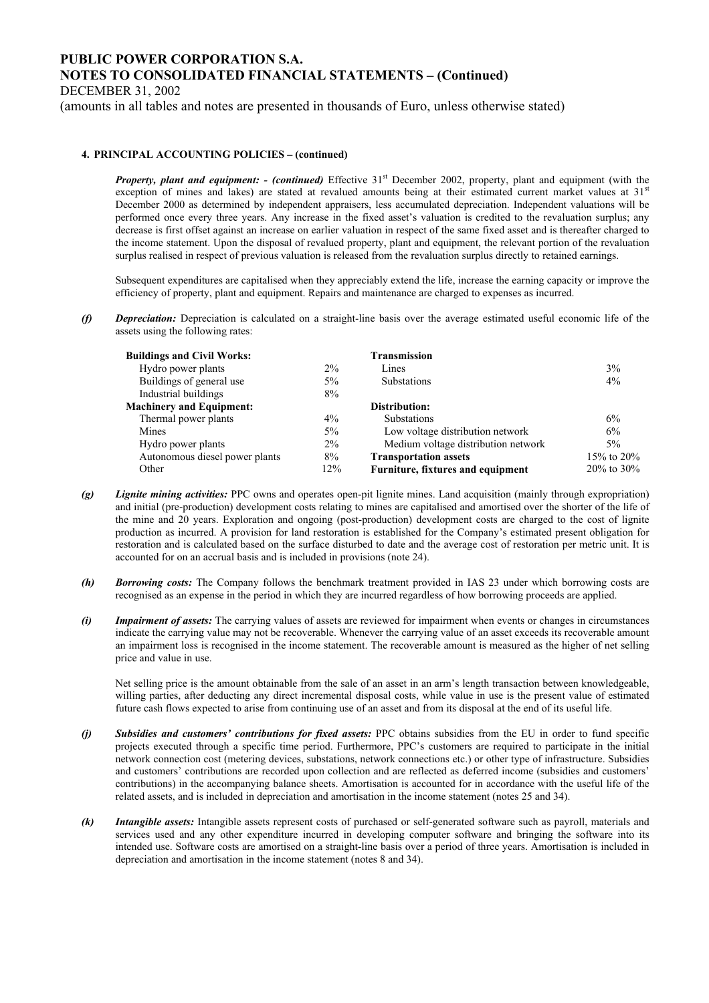DECEMBER 31, 2002

(amounts in all tables and notes are presented in thousands of Euro, unless otherwise stated)

#### **4. PRINCIPAL ACCOUNTING POLICIES – (continued)**

*Property, plant and equipment: - (continued)* Effective 31<sup>st</sup> December 2002, property, plant and equipment (with the exception of mines and lakes) are stated at revalued amounts being at their estimated current market values at 31<sup>st</sup> December 2000 as determined by independent appraisers, less accumulated depreciation. Independent valuations will be performed once every three years. Any increase in the fixed asset's valuation is credited to the revaluation surplus; any decrease is first offset against an increase on earlier valuation in respect of the same fixed asset and is thereafter charged to the income statement. Upon the disposal of revalued property, plant and equipment, the relevant portion of the revaluation surplus realised in respect of previous valuation is released from the revaluation surplus directly to retained earnings.

Subsequent expenditures are capitalised when they appreciably extend the life, increase the earning capacity or improve the efficiency of property, plant and equipment. Repairs and maintenance are charged to expenses as incurred.

*(f) Depreciation:* Depreciation is calculated on a straight-line basis over the average estimated useful economic life of the assets using the following rates:

| <b>Buildings and Civil Works:</b> |       | Transmission                        |                  |
|-----------------------------------|-------|-------------------------------------|------------------|
| Hydro power plants                | $2\%$ | Lines                               | 3%               |
| Buildings of general use          | 5%    | <b>Substations</b>                  | 4%               |
| Industrial buildings              | 8%    |                                     |                  |
| <b>Machinery and Equipment:</b>   |       | Distribution:                       |                  |
| Thermal power plants              | $4\%$ | <b>Substations</b>                  | 6%               |
| Mines                             | 5%    | Low voltage distribution network    | 6%               |
| Hydro power plants                | $2\%$ | Medium voltage distribution network | $5\%$            |
| Autonomous diesel power plants    | 8%    | <b>Transportation assets</b>        | 15\% to 20\%     |
| Other                             | 12%   | Furniture, fixtures and equipment   | $20\%$ to $30\%$ |

- *(g) Lignite mining activities:* PPC owns and operates open-pit lignite mines. Land acquisition (mainly through expropriation) and initial (pre-production) development costs relating to mines are capitalised and amortised over the shorter of the life of the mine and 20 years. Exploration and ongoing (post-production) development costs are charged to the cost of lignite production as incurred. A provision for land restoration is established for the Company's estimated present obligation for restoration and is calculated based on the surface disturbed to date and the average cost of restoration per metric unit. It is accounted for on an accrual basis and is included in provisions (note 24).
- *(h) Borrowing costs:* The Company follows the benchmark treatment provided in IAS 23 under which borrowing costs are recognised as an expense in the period in which they are incurred regardless of how borrowing proceeds are applied.
- *(i) Impairment of assets:* The carrying values of assets are reviewed for impairment when events or changes in circumstances indicate the carrying value may not be recoverable. Whenever the carrying value of an asset exceeds its recoverable amount an impairment loss is recognised in the income statement. The recoverable amount is measured as the higher of net selling price and value in use.

Net selling price is the amount obtainable from the sale of an asset in an arm's length transaction between knowledgeable, willing parties, after deducting any direct incremental disposal costs, while value in use is the present value of estimated future cash flows expected to arise from continuing use of an asset and from its disposal at the end of its useful life.

- *(j) Subsidies and customers' contributions for fixed assets:* PPC obtains subsidies from the EU in order to fund specific projects executed through a specific time period. Furthermore, PPC's customers are required to participate in the initial network connection cost (metering devices, substations, network connections etc.) or other type of infrastructure. Subsidies and customers' contributions are recorded upon collection and are reflected as deferred income (subsidies and customers' contributions) in the accompanying balance sheets. Amortisation is accounted for in accordance with the useful life of the related assets, and is included in depreciation and amortisation in the income statement (notes 25 and 34).
- *(k) Intangible assets:* Intangible assets represent costs of purchased or self-generated software such as payroll, materials and services used and any other expenditure incurred in developing computer software and bringing the software into its intended use. Software costs are amortised on a straight-line basis over a period of three years. Amortisation is included in depreciation and amortisation in the income statement (notes 8 and 34).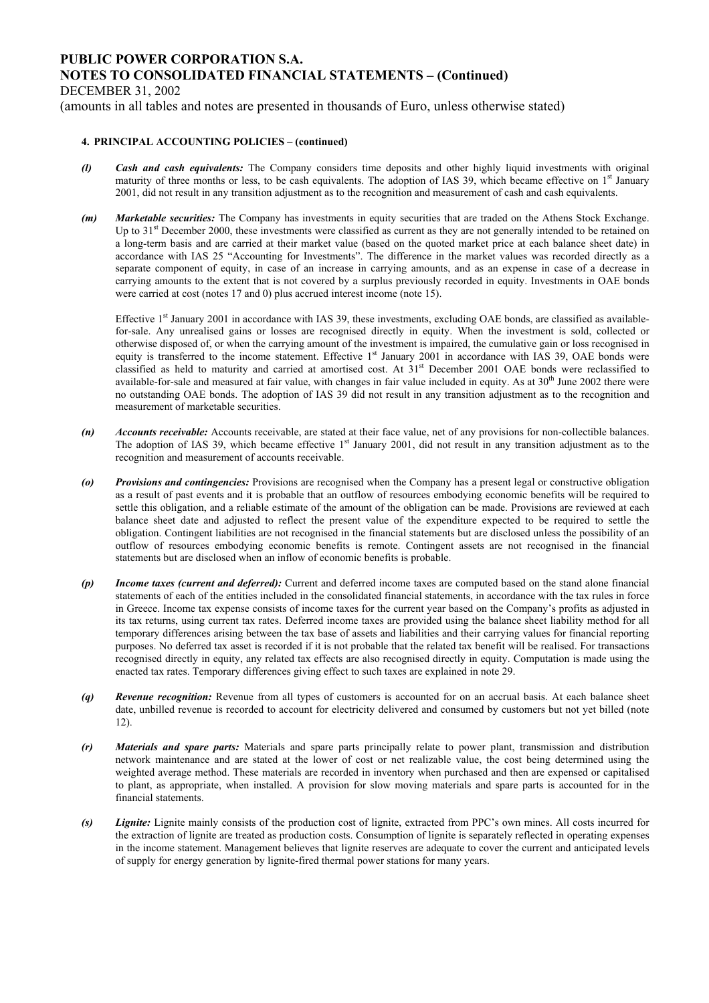DECEMBER 31, 2002

(amounts in all tables and notes are presented in thousands of Euro, unless otherwise stated)

#### **4. PRINCIPAL ACCOUNTING POLICIES – (continued)**

- *(l) Cash and cash equivalents:* The Company considers time deposits and other highly liquid investments with original maturity of three months or less, to be cash equivalents. The adoption of IAS 39, which became effective on  $1<sup>st</sup>$  January 2001, did not result in any transition adjustment as to the recognition and measurement of cash and cash equivalents.
- *(m) Marketable securities:* The Company has investments in equity securities that are traded on the Athens Stock Exchange. Up to 31<sup>st</sup> December 2000, these investments were classified as current as they are not generally intended to be retained on a long-term basis and are carried at their market value (based on the quoted market price at each balance sheet date) in accordance with IAS 25 "Accounting for Investments". The difference in the market values was recorded directly as a separate component of equity, in case of an increase in carrying amounts, and as an expense in case of a decrease in carrying amounts to the extent that is not covered by a surplus previously recorded in equity. Investments in OAE bonds were carried at cost (notes 17 and 0) plus accrued interest income (note 15).

Effective  $1<sup>st</sup>$  January 2001 in accordance with IAS 39, these investments, excluding OAE bonds, are classified as availablefor-sale. Any unrealised gains or losses are recognised directly in equity. When the investment is sold, collected or otherwise disposed of, or when the carrying amount of the investment is impaired, the cumulative gain or loss recognised in equity is transferred to the income statement. Effective 1<sup>st</sup> January 2001 in accordance with IAS 39, OAE bonds were classified as held to maturity and carried at amortised cost. At 31st December 2001 OAE bonds were reclassified to available-for-sale and measured at fair value, with changes in fair value included in equity. As at  $30<sup>th</sup>$  June 2002 there were no outstanding OAE bonds. The adoption of IAS 39 did not result in any transition adjustment as to the recognition and measurement of marketable securities.

- *(n) Accounts receivable:* Accounts receivable, are stated at their face value, net of any provisions for non-collectible balances. The adoption of IAS 39, which became effective  $1<sup>st</sup>$  January 2001, did not result in any transition adjustment as to the recognition and measurement of accounts receivable.
- *(o) Provisions and contingencies:* Provisions are recognised when the Company has a present legal or constructive obligation as a result of past events and it is probable that an outflow of resources embodying economic benefits will be required to settle this obligation, and a reliable estimate of the amount of the obligation can be made. Provisions are reviewed at each balance sheet date and adjusted to reflect the present value of the expenditure expected to be required to settle the obligation. Contingent liabilities are not recognised in the financial statements but are disclosed unless the possibility of an outflow of resources embodying economic benefits is remote. Contingent assets are not recognised in the financial statements but are disclosed when an inflow of economic benefits is probable.
- *(p) Income taxes (current and deferred):* Current and deferred income taxes are computed based on the stand alone financial statements of each of the entities included in the consolidated financial statements, in accordance with the tax rules in force in Greece. Income tax expense consists of income taxes for the current year based on the Company's profits as adjusted in its tax returns, using current tax rates. Deferred income taxes are provided using the balance sheet liability method for all temporary differences arising between the tax base of assets and liabilities and their carrying values for financial reporting purposes. No deferred tax asset is recorded if it is not probable that the related tax benefit will be realised. For transactions recognised directly in equity, any related tax effects are also recognised directly in equity. Computation is made using the enacted tax rates. Temporary differences giving effect to such taxes are explained in note 29.
- *(q) Revenue recognition:* Revenue from all types of customers is accounted for on an accrual basis. At each balance sheet date, unbilled revenue is recorded to account for electricity delivered and consumed by customers but not yet billed (note 12).
- *(r) Materials and spare parts:* Materials and spare parts principally relate to power plant, transmission and distribution network maintenance and are stated at the lower of cost or net realizable value, the cost being determined using the weighted average method. These materials are recorded in inventory when purchased and then are expensed or capitalised to plant, as appropriate, when installed. A provision for slow moving materials and spare parts is accounted for in the financial statements.
- *(s) Lignite:* Lignite mainly consists of the production cost of lignite, extracted from PPC's own mines. All costs incurred for the extraction of lignite are treated as production costs. Consumption of lignite is separately reflected in operating expenses in the income statement. Management believes that lignite reserves are adequate to cover the current and anticipated levels of supply for energy generation by lignite-fired thermal power stations for many years.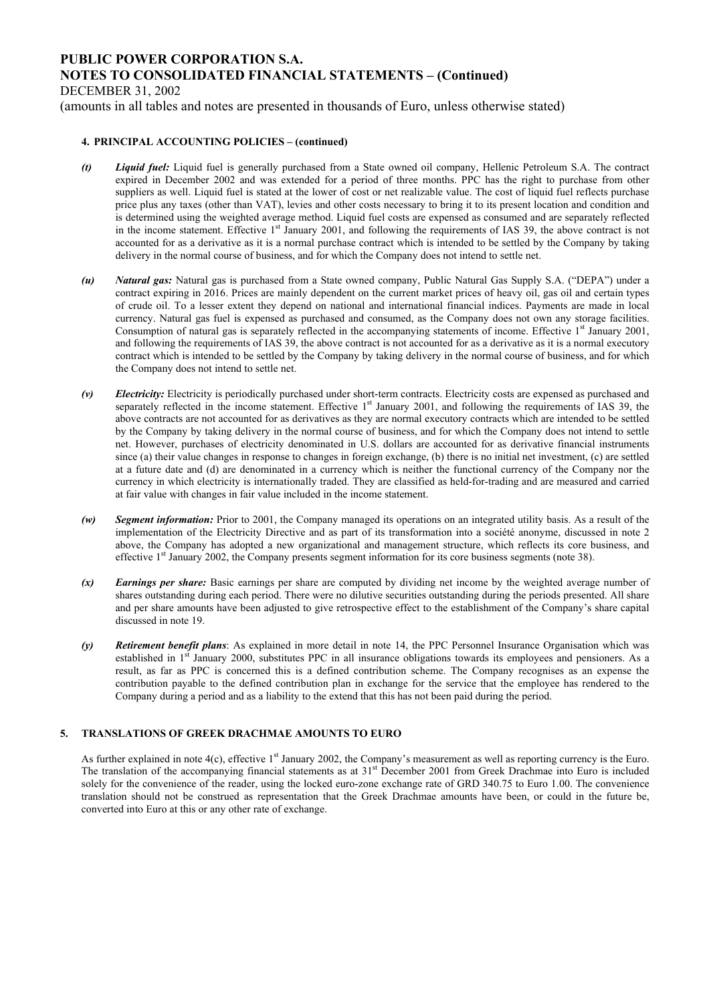DECEMBER 31, 2002

(amounts in all tables and notes are presented in thousands of Euro, unless otherwise stated)

#### **4. PRINCIPAL ACCOUNTING POLICIES – (continued)**

- *(t) Liquid fuel:* Liquid fuel is generally purchased from a State owned oil company, Hellenic Petroleum S.A. The contract expired in December 2002 and was extended for a period of three months. PPC has the right to purchase from other suppliers as well. Liquid fuel is stated at the lower of cost or net realizable value. The cost of liquid fuel reflects purchase price plus any taxes (other than VAT), levies and other costs necessary to bring it to its present location and condition and is determined using the weighted average method. Liquid fuel costs are expensed as consumed and are separately reflected in the income statement. Effective 1<sup>st</sup> January 2001, and following the requirements of IAS 39, the above contract is not accounted for as a derivative as it is a normal purchase contract which is intended to be settled by the Company by taking delivery in the normal course of business, and for which the Company does not intend to settle net.
- *(u) Natural gas:* Natural gas is purchased from a State owned company, Public Natural Gas Supply S.A. ("DEPA") under a contract expiring in 2016. Prices are mainly dependent on the current market prices of heavy oil, gas oil and certain types of crude oil. To a lesser extent they depend on national and international financial indices. Payments are made in local currency. Natural gas fuel is expensed as purchased and consumed, as the Company does not own any storage facilities. Consumption of natural gas is separately reflected in the accompanying statements of income. Effective  $1<sup>st</sup>$  January 2001, and following the requirements of IAS 39, the above contract is not accounted for as a derivative as it is a normal executory contract which is intended to be settled by the Company by taking delivery in the normal course of business, and for which the Company does not intend to settle net.
- *(v) Electricity:* Electricity is periodically purchased under short-term contracts. Electricity costs are expensed as purchased and separately reflected in the income statement. Effective 1<sup>st</sup> January 2001, and following the requirements of IAS 39, the above contracts are not accounted for as derivatives as they are normal executory contracts which are intended to be settled by the Company by taking delivery in the normal course of business, and for which the Company does not intend to settle net. However, purchases of electricity denominated in U.S. dollars are accounted for as derivative financial instruments since (a) their value changes in response to changes in foreign exchange, (b) there is no initial net investment, (c) are settled at a future date and (d) are denominated in a currency which is neither the functional currency of the Company nor the currency in which electricity is internationally traded. They are classified as held-for-trading and are measured and carried at fair value with changes in fair value included in the income statement.
- *(w) Segment information:* Prior to 2001, the Company managed its operations on an integrated utility basis. As a result of the implementation of the Electricity Directive and as part of its transformation into a société anonyme, discussed in note 2 above, the Company has adopted a new organizational and management structure, which reflects its core business, and effective  $1<sup>st</sup>$  January 2002, the Company presents segment information for its core business segments (note 38).
- *(x) Earnings per share:* Basic earnings per share are computed by dividing net income by the weighted average number of shares outstanding during each period. There were no dilutive securities outstanding during the periods presented. All share and per share amounts have been adjusted to give retrospective effect to the establishment of the Company's share capital discussed in note 19.
- *(y) Retirement benefit plans*: As explained in more detail in note 14, the PPC Personnel Insurance Organisation which was established in 1<sup>st</sup> January 2000, substitutes PPC in all insurance obligations towards its employees and pensioners. As a result, as far as PPC is concerned this is a defined contribution scheme. The Company recognises as an expense the contribution payable to the defined contribution plan in exchange for the service that the employee has rendered to the Company during a period and as a liability to the extend that this has not been paid during the period.

### **5. TRANSLATIONS OF GREEK DRACHMAE AMOUNTS TO EURO**

As further explained in note  $4(c)$ , effective 1<sup>st</sup> January 2002, the Company's measurement as well as reporting currency is the Euro. The translation of the accompanying financial statements as at 31<sup>st</sup> December 2001 from Greek Drachmae into Euro is included solely for the convenience of the reader, using the locked euro-zone exchange rate of GRD 340.75 to Euro 1.00. The convenience translation should not be construed as representation that the Greek Drachmae amounts have been, or could in the future be, converted into Euro at this or any other rate of exchange.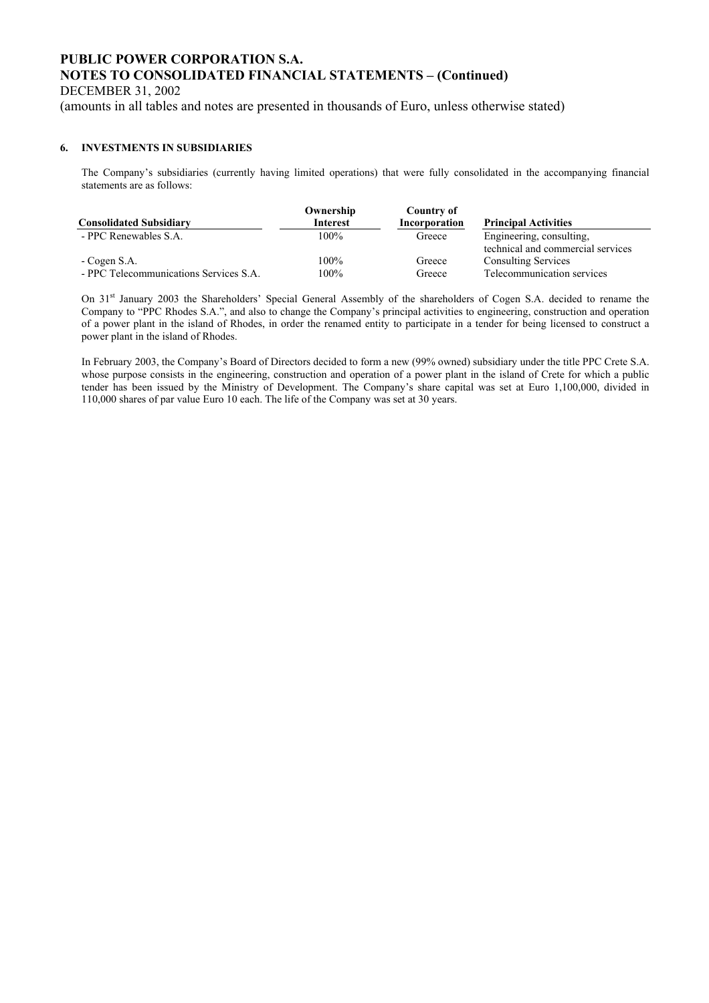DECEMBER 31, 2002

(amounts in all tables and notes are presented in thousands of Euro, unless otherwise stated)

### **6. INVESTMENTS IN SUBSIDIARIES**

The Company's subsidiaries (currently having limited operations) that were fully consolidated in the accompanying financial statements are as follows:

|                                        | Ownership | Country of    |                                   |
|----------------------------------------|-----------|---------------|-----------------------------------|
| <b>Consolidated Subsidiary</b>         | Interest  | Incorporation | <b>Principal Activities</b>       |
| - PPC Renewables S.A.                  | $100\%$   | Greece        | Engineering, consulting,          |
|                                        |           |               | technical and commercial services |
| - Cogen S.A.                           | $100\%$   | Greece        | <b>Consulting Services</b>        |
| - PPC Telecommunications Services S.A. | $100\%$   | Greece        | Telecommunication services        |

On 31<sup>st</sup> January 2003 the Shareholders' Special General Assembly of the shareholders of Cogen S.A. decided to rename the Company to "PPC Rhodes S.A.", and also to change the Company's principal activities to engineering, construction and operation of a power plant in the island of Rhodes, in order the renamed entity to participate in a tender for being licensed to construct a power plant in the island of Rhodes.

In February 2003, the Company's Board of Directors decided to form a new (99% owned) subsidiary under the title PPC Crete S.A. whose purpose consists in the engineering, construction and operation of a power plant in the island of Crete for which a public tender has been issued by the Ministry of Development. The Company's share capital was set at Euro 1,100,000, divided in 110,000 shares of par value Euro 10 each. The life of the Company was set at 30 years.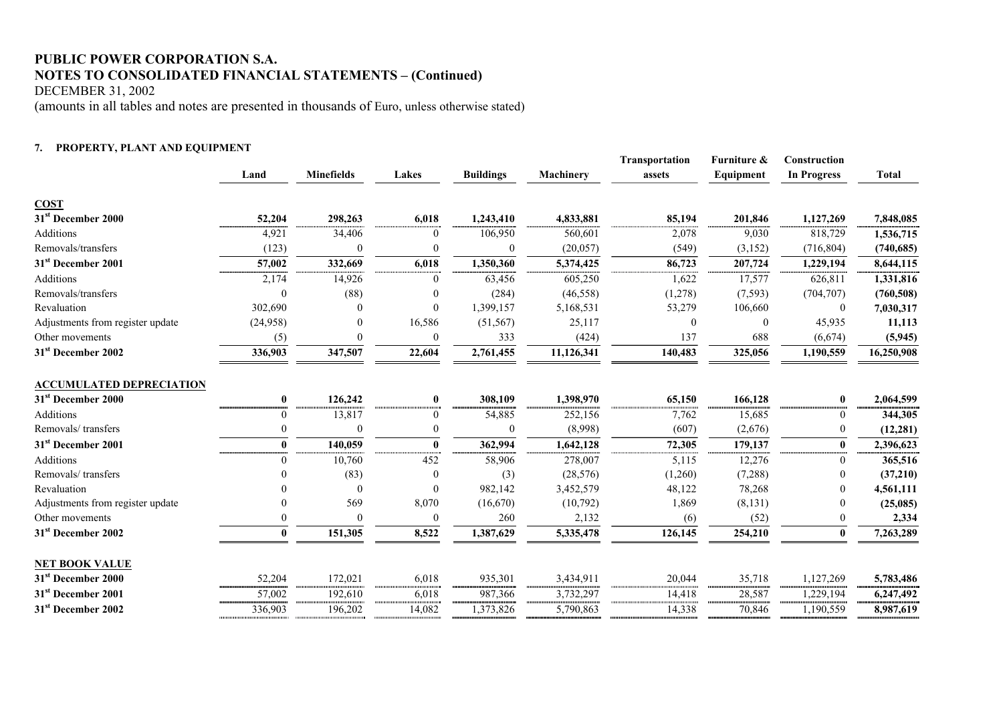DECEMBER 31, 2002

(amounts in all tables and notes are presented in thousands of Euro, unless otherwise stated)

#### **7. PROPERTY, PLANT AND EQUIPMENT**

|                                  |              |                   |              |                  |            | <b>Transportation</b> | Furniture &    | Construction       |              |
|----------------------------------|--------------|-------------------|--------------|------------------|------------|-----------------------|----------------|--------------------|--------------|
|                                  | Land         | <b>Minefields</b> | Lakes        | <b>Buildings</b> | Machinery  | assets                | Equipment      | <b>In Progress</b> | <b>Total</b> |
| <b>COST</b>                      |              |                   |              |                  |            |                       |                |                    |              |
| 31 <sup>st</sup> December 2000   | 52,204       | 298,263           | 6,018        | 1,243,410        | 4,833,881  | 85,194                | 201,846        | 1,127,269          | 7,848,085    |
| <b>Additions</b>                 | 4,921        | 34,406            |              | 106,950          | 560,601    | 2,078                 | 9,030          | 818,729            | 1,536,715    |
| Removals/transfers               | (123)        | $\theta$          |              | $\mathbf{0}$     | (20, 057)  | (549)                 | (3, 152)       | (716, 804)         | (740, 685)   |
| 31 <sup>st</sup> December 2001   | 57,002       | 332,669           | 6,018        | 1,350,360        | 5,374,425  | 86,723                | 207,724        | 1,229,194          | 8,644,115    |
| <b>Additions</b>                 | 2,174        | 14,926            | 0            | 63,456           | 605,250    | 1,622                 | 17,577         | 626,811            | 1,331,816    |
| Removals/transfers               | $\Omega$     | (88)              |              | (284)            | (46, 558)  | (1,278)               | (7, 593)       | (704, 707)         | (760, 508)   |
| Revaluation                      | 302,690      |                   | $\Omega$     | 1,399,157        | 5,168,531  | 53,279                | 106,660        | $\boldsymbol{0}$   | 7,030,317    |
| Adjustments from register update | (24,958)     |                   | 16,586       | (51, 567)        | 25,117     | $\theta$              | $\overline{0}$ | 45,935             | 11,113       |
| Other movements                  | (5)          | 0                 | $\theta$     | 333              | (424)      | 137                   | 688            | (6,674)            | (5, 945)     |
| 31 <sup>st</sup> December 2002   | 336,903      | 347,507           | 22,604       | 2,761,455        | 11,126,341 | 140,483               | 325,056        | 1,190,559          | 16,250,908   |
| <b>ACCUMULATED DEPRECIATION</b>  |              |                   |              |                  |            |                       |                |                    |              |
| 31 <sup>st</sup> December 2000   | 0            | 126,242           | $\bf{0}$     | 308,109          | 1,398,970  | 65,150                | 166,128        | $\bf{0}$           | 2,064,599    |
| <b>Additions</b>                 | $\theta$     | 13,817            | $\theta$     | 54,885           | 252,156    | 7,762                 | 15,685         | $\bf{0}$           | 344,305      |
| Removals/transfers               | $\theta$     | $\theta$          | $\theta$     | $\mathbf{0}$     | (8,998)    | (607)                 | (2,676)        | $\bf{0}$           | (12, 281)    |
| 31 <sup>st</sup> December 2001   | $\mathbf{0}$ | 140,059           | $\mathbf{0}$ | 362,994          | 1,642,128  | 72,305                | 179,137        | $\pmb{0}$          | 2,396,623    |
| <b>Additions</b>                 | $\Omega$     | 10,760            | 452          | 58,906           | 278,007    | 5,115                 | 12,276         | $\overline{0}$     | 365,516      |
| Removals/transfers               |              | (83)              |              | (3)              | (28, 576)  | (1,260)               | (7,288)        | $\boldsymbol{0}$   | (37,210)     |
| Revaluation                      |              | $\overline{0}$    | $\Omega$     | 982,142          | 3,452,579  | 48,122                | 78,268         | 0                  | 4,561,111    |
| Adjustments from register update |              | 569               | 8,070        | (16,670)         | (10,792)   | 1,869                 | (8, 131)       | $\mathbf{0}$       | (25,085)     |
| Other movements                  | 0            | $\Omega$          | $\Omega$     | 260              | 2,132      | (6)                   | (52)           | $\boldsymbol{0}$   | 2,334        |
| 31 <sup>st</sup> December 2002   | 0            | 151,305           | 8,522        | 1,387,629        | 5,335,478  | 126,145               | 254,210        | $\bf{0}$           | 7,263,289    |
| NET BOOK VALUE                   |              |                   |              |                  |            |                       |                |                    |              |
| 31 <sup>st</sup> December 2000   | 52,204       | 172,021           | 6,018        | 935,301          | 3,434,911  | 20,044                | 35,718         | 1,127,269          | 5,783,486    |
| 31 <sup>st</sup> December 2001   | 57,002       | 192,610           | 6,018        | 987,366          | 3,732,297  | 14,418                | 28,587         | 1,229,194          | 6,247,492    |
| 31 <sup>st</sup> December 2002   | 336,903      | 196,202           | 14,082       | 1,373,826        | 5,790,863  | 14,338                | 70,846         | 1,190,559          | 8,987,619    |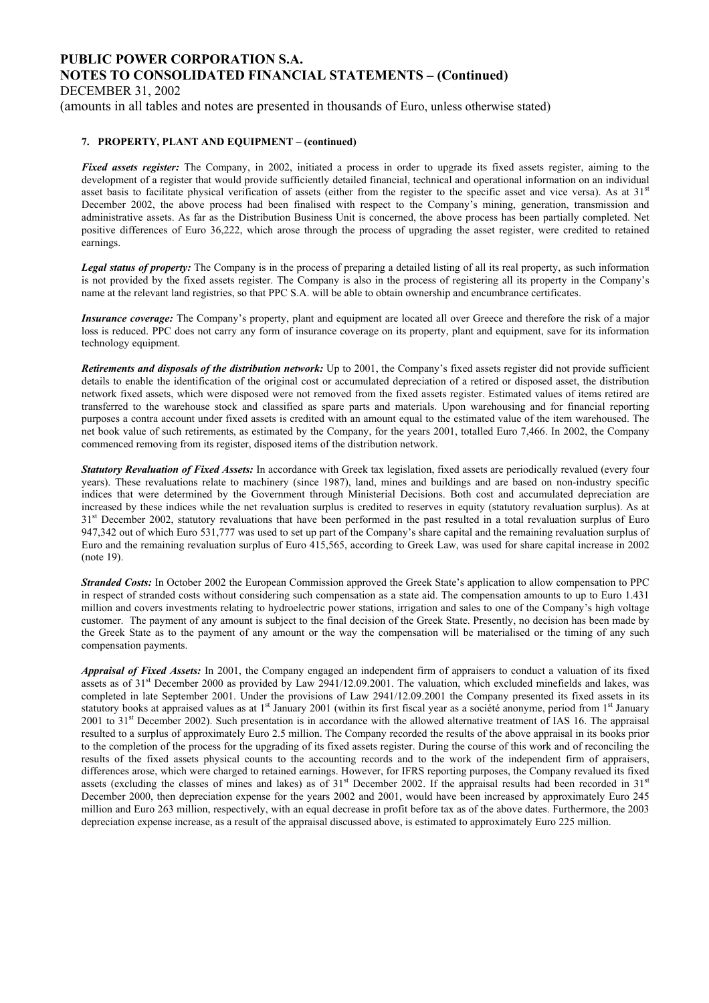DECEMBER 31, 2002

(amounts in all tables and notes are presented in thousands of Euro, unless otherwise stated)

#### **7. PROPERTY, PLANT AND EQUIPMENT – (continued)**

*Fixed assets register:* The Company, in 2002, initiated a process in order to upgrade its fixed assets register, aiming to the development of a register that would provide sufficiently detailed financial, technical and operational information on an individual asset basis to facilitate physical verification of assets (either from the register to the specific asset and vice versa). As at 31<sup>st</sup> December 2002, the above process had been finalised with respect to the Company's mining, generation, transmission and administrative assets. As far as the Distribution Business Unit is concerned, the above process has been partially completed. Net positive differences of Euro 36,222, which arose through the process of upgrading the asset register, were credited to retained earnings.

*Legal status of property:* The Company is in the process of preparing a detailed listing of all its real property, as such information is not provided by the fixed assets register. The Company is also in the process of registering all its property in the Company's name at the relevant land registries, so that PPC S.A. will be able to obtain ownership and encumbrance certificates.

*Insurance coverage:* The Company's property, plant and equipment are located all over Greece and therefore the risk of a major loss is reduced. PPC does not carry any form of insurance coverage on its property, plant and equipment, save for its information technology equipment.

*Retirements and disposals of the distribution network:* Up to 2001, the Company's fixed assets register did not provide sufficient details to enable the identification of the original cost or accumulated depreciation of a retired or disposed asset, the distribution network fixed assets, which were disposed were not removed from the fixed assets register. Estimated values of items retired are transferred to the warehouse stock and classified as spare parts and materials. Upon warehousing and for financial reporting purposes a contra account under fixed assets is credited with an amount equal to the estimated value of the item warehoused. The net book value of such retirements, as estimated by the Company, for the years 2001, totalled Euro 7,466. In 2002, the Company commenced removing from its register, disposed items of the distribution network.

*Statutory Revaluation of Fixed Assets:* In accordance with Greek tax legislation, fixed assets are periodically revalued (every four years). These revaluations relate to machinery (since 1987), land, mines and buildings and are based on non-industry specific indices that were determined by the Government through Ministerial Decisions. Both cost and accumulated depreciation are increased by these indices while the net revaluation surplus is credited to reserves in equity (statutory revaluation surplus). As at 31<sup>st</sup> December 2002, statutory revaluations that have been performed in the past resulted in a total revaluation surplus of Euro 947,342 out of which Euro 531,777 was used to set up part of the Company's share capital and the remaining revaluation surplus of Euro and the remaining revaluation surplus of Euro 415,565, according to Greek Law, was used for share capital increase in 2002 (note 19).

*Stranded Costs:* In October 2002 the European Commission approved the Greek State's application to allow compensation to PPC in respect of stranded costs without considering such compensation as a state aid. The compensation amounts to up to Euro 1.431 million and covers investments relating to hydroelectric power stations, irrigation and sales to one of the Company's high voltage customer. The payment of any amount is subject to the final decision of the Greek State. Presently, no decision has been made by the Greek State as to the payment of any amount or the way the compensation will be materialised or the timing of any such compensation payments.

*Appraisal of Fixed Assets:* In 2001, the Company engaged an independent firm of appraisers to conduct a valuation of its fixed assets as of 31st December 2000 as provided by Law 2941/12.09.2001. The valuation, which excluded minefields and lakes, was completed in late September 2001. Under the provisions of Law 2941/12.09.2001 the Company presented its fixed assets in its statutory books at appraised values as at 1<sup>st</sup> January 2001 (within its first fiscal year as a société anonyme, period from 1<sup>st</sup> January 2001 to 31<sup>st</sup> December 2002). Such presentation is in accordance with the allowed alternative treatment of IAS 16. The appraisal resulted to a surplus of approximately Euro 2.5 million. The Company recorded the results of the above appraisal in its books prior to the completion of the process for the upgrading of its fixed assets register. During the course of this work and of reconciling the results of the fixed assets physical counts to the accounting records and to the work of the independent firm of appraisers, differences arose, which were charged to retained earnings. However, for IFRS reporting purposes, the Company revalued its fixed assets (excluding the classes of mines and lakes) as of 31<sup>st</sup> December 2002. If the appraisal results had been recorded in 31<sup>st</sup> December 2000, then depreciation expense for the years 2002 and 2001, would have been increased by approximately Euro 245 million and Euro 263 million, respectively, with an equal decrease in profit before tax as of the above dates. Furthermore, the 2003 depreciation expense increase, as a result of the appraisal discussed above, is estimated to approximately Euro 225 million.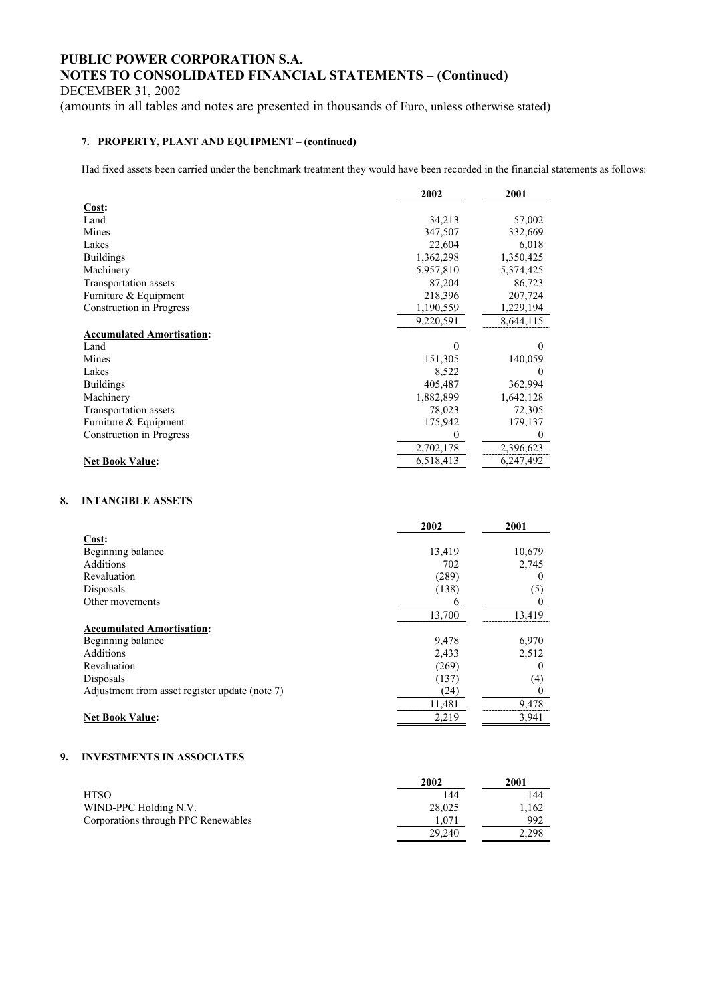DECEMBER 31, 2002

(amounts in all tables and notes are presented in thousands of Euro, unless otherwise stated)

### **7. PROPERTY, PLANT AND EQUIPMENT – (continued)**

Had fixed assets been carried under the benchmark treatment they would have been recorded in the financial statements as follows:

|                                  | 2002      | 2001      |
|----------------------------------|-----------|-----------|
| Cost:                            |           |           |
| Land                             | 34,213    | 57,002    |
| Mines                            | 347,507   | 332,669   |
| Lakes                            | 22,604    | 6,018     |
| <b>Buildings</b>                 | 1,362,298 | 1,350,425 |
| Machinery                        | 5,957,810 | 5,374,425 |
| Transportation assets            | 87,204    | 86,723    |
| Furniture & Equipment            | 218,396   | 207,724   |
| Construction in Progress         | 1,190,559 | 1,229,194 |
|                                  | 9,220,591 | 8,644,115 |
| <b>Accumulated Amortisation:</b> |           |           |
| Land                             | 0         | 0         |
| Mines                            | 151,305   | 140,059   |
| Lakes                            | 8,522     |           |
| <b>Buildings</b>                 | 405,487   | 362,994   |
| Machinery                        | 1,882,899 | 1,642,128 |
| Transportation assets            | 78,023    | 72,305    |
| Furniture & Equipment            | 175,942   | 179,137   |
| Construction in Progress         | 0         | $\theta$  |
|                                  | 2,702,178 | 2,396,623 |
| <b>Net Book Value:</b>           | 6,518,413 | 6,247,492 |

#### **8. INTANGIBLE ASSETS**

|                                                | 2002   | 2001   |
|------------------------------------------------|--------|--------|
| Cost:                                          |        |        |
| Beginning balance                              | 13,419 | 10,679 |
| <b>Additions</b>                               | 702    | 2,745  |
| Revaluation                                    | (289)  | 0      |
| Disposals                                      | (138)  | (5)    |
| Other movements                                | 6      | 0      |
|                                                | 13,700 | 13,419 |
| <b>Accumulated Amortisation:</b>               |        |        |
| Beginning balance                              | 9,478  | 6,970  |
| Additions                                      | 2,433  | 2,512  |
| Revaluation                                    | (269)  | $_{0}$ |
| Disposals                                      | (137)  | (4)    |
| Adjustment from asset register update (note 7) | (24)   | 0      |
|                                                | 11,481 | 9,478  |
| <b>Net Book Value:</b>                         | 2,219  | 3,941  |

### **9. INVESTMENTS IN ASSOCIATES**

|                                     | 2002   | 2001  |
|-------------------------------------|--------|-------|
| HTSO                                | 144    | 144   |
| WIND-PPC Holding N.V.               | 28,025 | .162  |
| Corporations through PPC Renewables | .071   | 992   |
|                                     | 29.240 | 2.298 |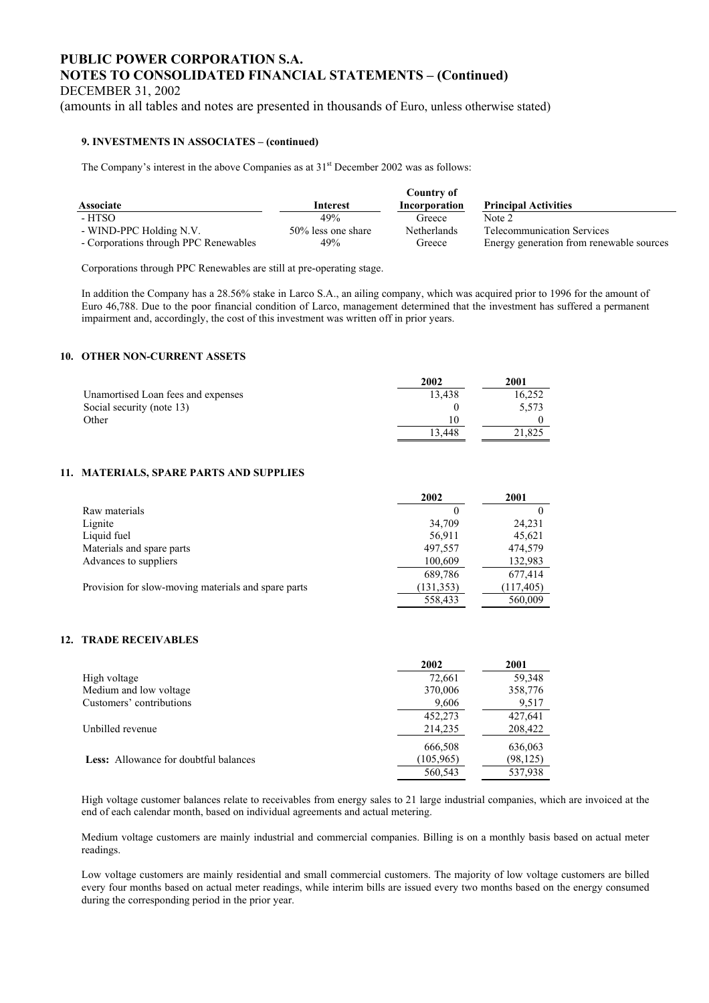DECEMBER 31, 2002

(amounts in all tables and notes are presented in thousands of Euro, unless otherwise stated)

#### **9. INVESTMENTS IN ASSOCIATES – (continued)**

The Company's interest in the above Companies as at  $31<sup>st</sup>$  December 2002 was as follows:

|                                       |                    | Country of         |                                          |
|---------------------------------------|--------------------|--------------------|------------------------------------------|
| <b>Associate</b>                      | <b>Interest</b>    | Incorporation      | <b>Principal Activities</b>              |
| - HTSO                                | 49%                | Greece             | Note 2                                   |
| - WIND-PPC Holding N.V.               | 50% less one share | <b>Netherlands</b> | <b>Telecommunication Services</b>        |
| - Corporations through PPC Renewables | 49%                | Greece             | Energy generation from renewable sources |

Corporations through PPC Renewables are still at pre-operating stage.

In addition the Company has a 28.56% stake in Larco S.A., an ailing company, which was acquired prior to 1996 for the amount of Euro 46,788. Due to the poor financial condition of Larco, management determined that the investment has suffered a permanent impairment and, accordingly, the cost of this investment was written off in prior years.

#### **10. OTHER NON-CURRENT ASSETS**

|                                    | 2002   | 2001   |
|------------------------------------|--------|--------|
| Unamortised Loan fees and expenses | 13.438 | 16.252 |
| Social security (note 13)          |        | 5.573  |
| Other                              | 10     |        |
|                                    | 13.448 | 21.825 |

#### **11. MATERIALS, SPARE PARTS AND SUPPLIES**

|                                                     | 2002       | 2001       |
|-----------------------------------------------------|------------|------------|
| Raw materials                                       | 0          |            |
| Lignite                                             | 34,709     | 24,231     |
| Liquid fuel                                         | 56,911     | 45,621     |
| Materials and spare parts                           | 497,557    | 474,579    |
| Advances to suppliers                               | 100,609    | 132,983    |
|                                                     | 689,786    | 677,414    |
| Provision for slow-moving materials and spare parts | (131, 353) | (117, 405) |
|                                                     | 558,433    | 560,009    |

### **12. TRADE RECEIVABLES**

|                                              | 2002       | 2001      |
|----------------------------------------------|------------|-----------|
| High voltage                                 | 72,661     | 59,348    |
| Medium and low voltage                       | 370,006    | 358,776   |
| Customers' contributions                     | 9,606      | 9,517     |
|                                              | 452,273    | 427,641   |
| Unbilled revenue                             | 214,235    | 208,422   |
|                                              | 666,508    | 636,063   |
| <b>Less:</b> Allowance for doubtful balances | (105, 965) | (98, 125) |
|                                              | 560,543    | 537,938   |

High voltage customer balances relate to receivables from energy sales to 21 large industrial companies, which are invoiced at the end of each calendar month, based on individual agreements and actual metering.

Medium voltage customers are mainly industrial and commercial companies. Billing is on a monthly basis based on actual meter readings.

Low voltage customers are mainly residential and small commercial customers. The majority of low voltage customers are billed every four months based on actual meter readings, while interim bills are issued every two months based on the energy consumed during the corresponding period in the prior year.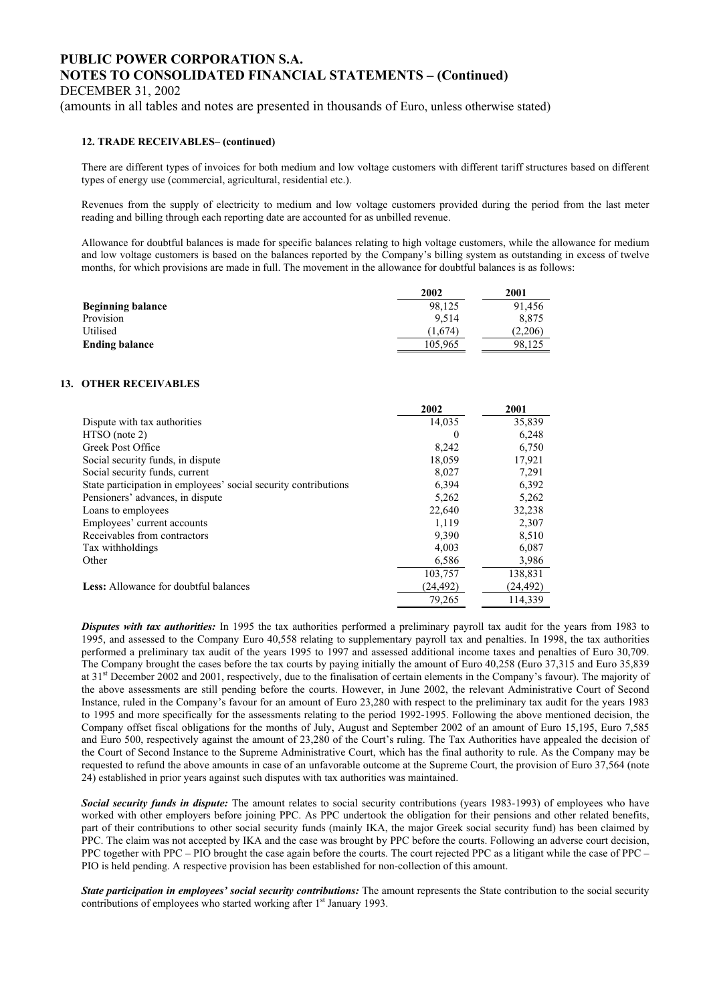DECEMBER 31, 2002

(amounts in all tables and notes are presented in thousands of Euro, unless otherwise stated)

#### **12. TRADE RECEIVABLES– (continued)**

There are different types of invoices for both medium and low voltage customers with different tariff structures based on different types of energy use (commercial, agricultural, residential etc.).

Revenues from the supply of electricity to medium and low voltage customers provided during the period from the last meter reading and billing through each reporting date are accounted for as unbilled revenue.

Allowance for doubtful balances is made for specific balances relating to high voltage customers, while the allowance for medium and low voltage customers is based on the balances reported by the Company's billing system as outstanding in excess of twelve months, for which provisions are made in full. The movement in the allowance for doubtful balances is as follows:

|                          | 2002    | 2001    |
|--------------------------|---------|---------|
| <b>Beginning balance</b> | 98.125  | 91.456  |
| Provision                | 9.514   | 8.875   |
| Utilised                 | (1.674) | (2.206) |
| <b>Ending balance</b>    | 105,965 | 98.125  |

#### **13. OTHER RECEIVABLES**

|                                                                 | 2002      | 2001      |
|-----------------------------------------------------------------|-----------|-----------|
| Dispute with tax authorities                                    | 14,035    | 35,839    |
| $HTSO$ (note 2)                                                 | $\theta$  | 6,248     |
| Greek Post Office                                               | 8,242     | 6,750     |
| Social security funds, in dispute                               | 18,059    | 17.921    |
| Social security funds, current                                  | 8,027     | 7,291     |
| State participation in employees' social security contributions | 6,394     | 6,392     |
| Pensioners' advances, in dispute                                | 5,262     | 5,262     |
| Loans to employees                                              | 22,640    | 32,238    |
| Employees' current accounts                                     | 1.119     | 2,307     |
| Receivables from contractors                                    | 9,390     | 8,510     |
| Tax withholdings                                                | 4.003     | 6,087     |
| Other                                                           | 6,586     | 3,986     |
|                                                                 | 103,757   | 138,831   |
| <b>Less:</b> Allowance for doubtful balances                    | (24, 492) | (24, 492) |
|                                                                 | 79.265    | 114.339   |

*Disputes with tax authorities:* In 1995 the tax authorities performed a preliminary payroll tax audit for the years from 1983 to 1995, and assessed to the Company Euro 40,558 relating to supplementary payroll tax and penalties. In 1998, the tax authorities performed a preliminary tax audit of the years 1995 to 1997 and assessed additional income taxes and penalties of Euro 30,709. The Company brought the cases before the tax courts by paying initially the amount of Euro 40,258 (Euro 37,315 and Euro 35,839 at 31st December 2002 and 2001, respectively, due to the finalisation of certain elements in the Company's favour). The majority of the above assessments are still pending before the courts. However, in June 2002, the relevant Administrative Court of Second Instance, ruled in the Company's favour for an amount of Euro 23,280 with respect to the preliminary tax audit for the years 1983 to 1995 and more specifically for the assessments relating to the period 1992-1995. Following the above mentioned decision, the Company offset fiscal obligations for the months of July, August and September 2002 of an amount of Euro 15,195, Euro 7,585 and Euro 500, respectively against the amount of 23,280 of the Court's ruling. The Tax Authorities have appealed the decision of the Court of Second Instance to the Supreme Administrative Court, which has the final authority to rule. As the Company may be requested to refund the above amounts in case of an unfavorable outcome at the Supreme Court, the provision of Euro 37,564 (note 24) established in prior years against such disputes with tax authorities was maintained.

*Social security funds in dispute:* The amount relates to social security contributions (years 1983-1993) of employees who have worked with other employers before joining PPC. As PPC undertook the obligation for their pensions and other related benefits, part of their contributions to other social security funds (mainly IKA, the major Greek social security fund) has been claimed by PPC. The claim was not accepted by IKA and the case was brought by PPC before the courts. Following an adverse court decision, PPC together with PPC – PIO brought the case again before the courts. The court rejected PPC as a litigant while the case of PPC – PIO is held pending. A respective provision has been established for non-collection of this amount.

*State participation in employees' social security contributions:* The amount represents the State contribution to the social security contributions of employees who started working after 1<sup>st</sup> January 1993.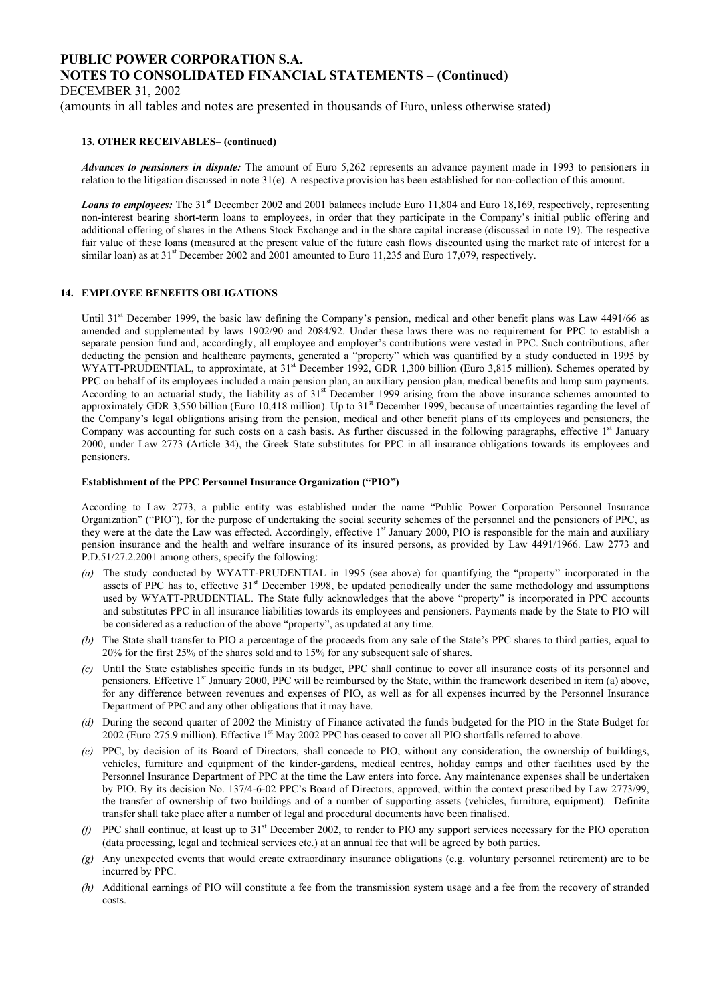DECEMBER 31, 2002

(amounts in all tables and notes are presented in thousands of Euro, unless otherwise stated)

#### **13. OTHER RECEIVABLES– (continued)**

*Advances to pensioners in dispute:* The amount of Euro 5,262 represents an advance payment made in 1993 to pensioners in relation to the litigation discussed in note 31(e). A respective provision has been established for non-collection of this amount.

*Loans to employees:* The 31<sup>st</sup> December 2002 and 2001 balances include Euro 11,804 and Euro 18,169, respectively, representing non-interest bearing short-term loans to employees, in order that they participate in the Company's initial public offering and additional offering of shares in the Athens Stock Exchange and in the share capital increase (discussed in note 19). The respective fair value of these loans (measured at the present value of the future cash flows discounted using the market rate of interest for a similar loan) as at 31<sup>st</sup> December 2002 and 2001 amounted to Euro 11,235 and Euro 17,079, respectively.

#### **14. EMPLOYEE BENEFITS OBLIGATIONS**

Until 31<sup>st</sup> December 1999, the basic law defining the Company's pension, medical and other benefit plans was Law 4491/66 as amended and supplemented by laws 1902/90 and 2084/92. Under these laws there was no requirement for PPC to establish a separate pension fund and, accordingly, all employee and employer's contributions were vested in PPC. Such contributions, after deducting the pension and healthcare payments, generated a "property" which was quantified by a study conducted in 1995 by WYATT-PRUDENTIAL, to approximate, at 31<sup>st</sup> December 1992, GDR 1,300 billion (Euro 3,815 million). Schemes operated by PPC on behalf of its employees included a main pension plan, an auxiliary pension plan, medical benefits and lump sum payments. According to an actuarial study, the liability as of 31<sup>st</sup> December 1999 arising from the above insurance schemes amounted to approximately GDR 3,550 billion (Euro 10,418 million). Up to 31<sup>st</sup> December 1999, because of uncertainties regarding the level of the Company's legal obligations arising from the pension, medical and other benefit plans of its employees and pensioners, the Company was accounting for such costs on a cash basis. As further discussed in the following paragraphs, effective  $1<sup>st</sup>$  January 2000, under Law 2773 (Article 34), the Greek State substitutes for PPC in all insurance obligations towards its employees and pensioners.

#### **Establishment of the PPC Personnel Insurance Organization ("PIO")**

According to Law 2773, a public entity was established under the name "Public Power Corporation Personnel Insurance Organization" ("PIO"), for the purpose of undertaking the social security schemes of the personnel and the pensioners of PPC, as they were at the date the Law was effected. Accordingly, effective 1<sup>st</sup> January 2000, PIO is responsible for the main and auxiliary pension insurance and the health and welfare insurance of its insured persons, as provided by Law 4491/1966. Law 2773 and P.D.51/27.2.2001 among others, specify the following:

- *(a)* The study conducted by WYATT-PRUDENTIAL in 1995 (see above) for quantifying the "property" incorporated in the assets of PPC has to, effective  $31<sup>st</sup>$  December 1998, be updated periodically under the same methodology and assumptions used by WYATT-PRUDENTIAL. The State fully acknowledges that the above "property" is incorporated in PPC accounts and substitutes PPC in all insurance liabilities towards its employees and pensioners. Payments made by the State to PIO will be considered as a reduction of the above "property", as updated at any time.
- *(b)* The State shall transfer to PIO a percentage of the proceeds from any sale of the State's PPC shares to third parties, equal to 20% for the first 25% of the shares sold and to 15% for any subsequent sale of shares.
- *(c)* Until the State establishes specific funds in its budget, PPC shall continue to cover all insurance costs of its personnel and pensioners. Effective 1<sup>st</sup> January 2000, PPC will be reimbursed by the State, within the framework described in item (a) above, for any difference between revenues and expenses of PIO, as well as for all expenses incurred by the Personnel Insurance Department of PPC and any other obligations that it may have.
- *(d)* During the second quarter of 2002 the Ministry of Finance activated the funds budgeted for the PIO in the State Budget for 2002 (Euro 275.9 million). Effective 1<sup>st</sup> May 2002 PPC has ceased to cover all PIO shortfalls referred to above.
- *(e)* PPC, by decision of its Board of Directors, shall concede to PIO, without any consideration, the ownership of buildings, vehicles, furniture and equipment of the kinder-gardens, medical centres, holiday camps and other facilities used by the Personnel Insurance Department of PPC at the time the Law enters into force. Any maintenance expenses shall be undertaken by PIO. By its decision No. 137/4-6-02 PPC's Board of Directors, approved, within the context prescribed by Law 2773/99, the transfer of ownership of two buildings and of a number of supporting assets (vehicles, furniture, equipment). Definite transfer shall take place after a number of legal and procedural documents have been finalised.
- *(f)* PPC shall continue, at least up to 31<sup>st</sup> December 2002, to render to PIO any support services necessary for the PIO operation (data processing, legal and technical services etc.) at an annual fee that will be agreed by both parties.
- *(g)* Any unexpected events that would create extraordinary insurance obligations (e.g. voluntary personnel retirement) are to be incurred by PPC.
- *(h)* Additional earnings of PIO will constitute a fee from the transmission system usage and a fee from the recovery of stranded costs.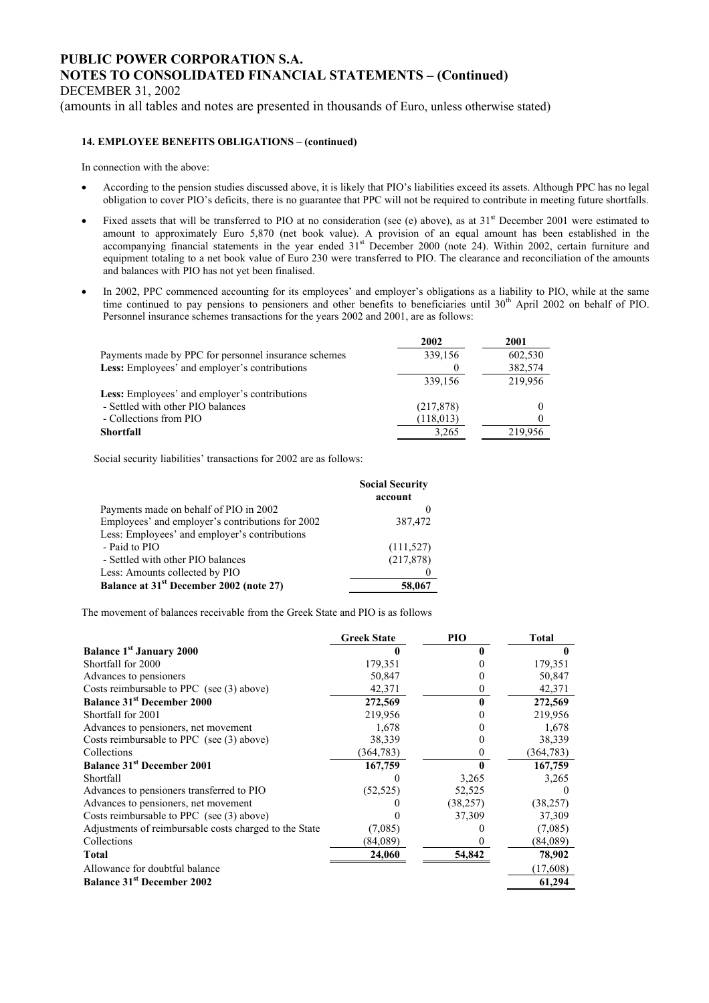DECEMBER 31, 2002

(amounts in all tables and notes are presented in thousands of Euro, unless otherwise stated)

#### **14. EMPLOYEE BENEFITS OBLIGATIONS – (continued)**

In connection with the above:

- According to the pension studies discussed above, it is likely that PIO's liabilities exceed its assets. Although PPC has no legal obligation to cover PIO's deficits, there is no guarantee that PPC will not be required to contribute in meeting future shortfalls.
- Fixed assets that will be transferred to PIO at no consideration (see (e) above), as at  $31<sup>st</sup>$  December 2001 were estimated to amount to approximately Euro 5,870 (net book value). A provision of an equal amount has been established in the accompanying financial statements in the year ended 31<sup>st</sup> December 2000 (note 24). Within 2002, certain furniture and equipment totaling to a net book value of Euro 230 were transferred to PIO. The clearance and reconciliation of the amounts and balances with PIO has not yet been finalised.
- In 2002, PPC commenced accounting for its employees' and employer's obligations as a liability to PIO, while at the same time continued to pay pensions to pensioners and other benefits to beneficiaries until  $30<sup>th</sup>$  April 2002 on behalf of PIO. Personnel insurance schemes transactions for the years 2002 and 2001, are as follows:

|                                                      | 2002       | 2001    |
|------------------------------------------------------|------------|---------|
| Payments made by PPC for personnel insurance schemes | 339,156    | 602,530 |
| Less: Employees' and employer's contributions        |            | 382,574 |
|                                                      | 339,156    | 219,956 |
| <b>Less:</b> Employees' and employer's contributions |            |         |
| - Settled with other PIO balances                    | (217, 878) |         |
| - Collections from PIO                               | (118, 013) |         |
| <b>Shortfall</b>                                     | 3,265      | 219,956 |

Social security liabilities' transactions for 2002 are as follows:

|                                                     | <b>Social Security</b><br>account |
|-----------------------------------------------------|-----------------------------------|
| Payments made on behalf of PIO in 2002              |                                   |
| Employees' and employer's contributions for 2002    | 387,472                           |
| Less: Employees' and employer's contributions       |                                   |
| - Paid to PIO                                       | (111, 527)                        |
| - Settled with other PIO balances                   | (217, 878)                        |
| Less: Amounts collected by PIO                      |                                   |
| Balance at 31 <sup>st</sup> December 2002 (note 27) | 58,067                            |

The movement of balances receivable from the Greek State and PIO is as follows

|                                                        | <b>Greek State</b> | PIO       | <b>Total</b> |
|--------------------------------------------------------|--------------------|-----------|--------------|
| <b>Balance 1st January 2000</b>                        |                    |           |              |
| Shortfall for 2000                                     | 179,351            |           | 179,351      |
| Advances to pensioners                                 | 50,847             |           | 50,847       |
| Costs reimbursable to PPC (see (3) above)              | 42,371             | 0         | 42,371       |
| <b>Balance 31st December 2000</b>                      | 272,569            |           | 272,569      |
| Shortfall for 2001                                     | 219,956            |           | 219,956      |
| Advances to pensioners, net movement                   | 1,678              |           | 1,678        |
| Costs reimbursable to PPC (see (3) above)              | 38,339             |           | 38,339       |
| Collections                                            | (364, 783)         | 0         | (364, 783)   |
| <b>Balance 31st December 2001</b>                      | 167,759            | 0         | 167,759      |
| Shortfall                                              |                    | 3,265     | 3,265        |
| Advances to pensioners transferred to PIO              | (52, 525)          | 52,525    |              |
| Advances to pensioners, net movement                   |                    | (38, 257) | (38, 257)    |
| Costs reimbursable to PPC (see (3) above)              |                    | 37,309    | 37,309       |
| Adjustments of reimbursable costs charged to the State | (7,085)            |           | (7,085)      |
| Collections                                            | (84,089)           |           | (84,089)     |
| <b>Total</b>                                           | 24,060             | 54,842    | 78,902       |
| Allowance for doubtful balance                         |                    |           | (17,608)     |
| <b>Balance 31st December 2002</b>                      |                    |           | 61,294       |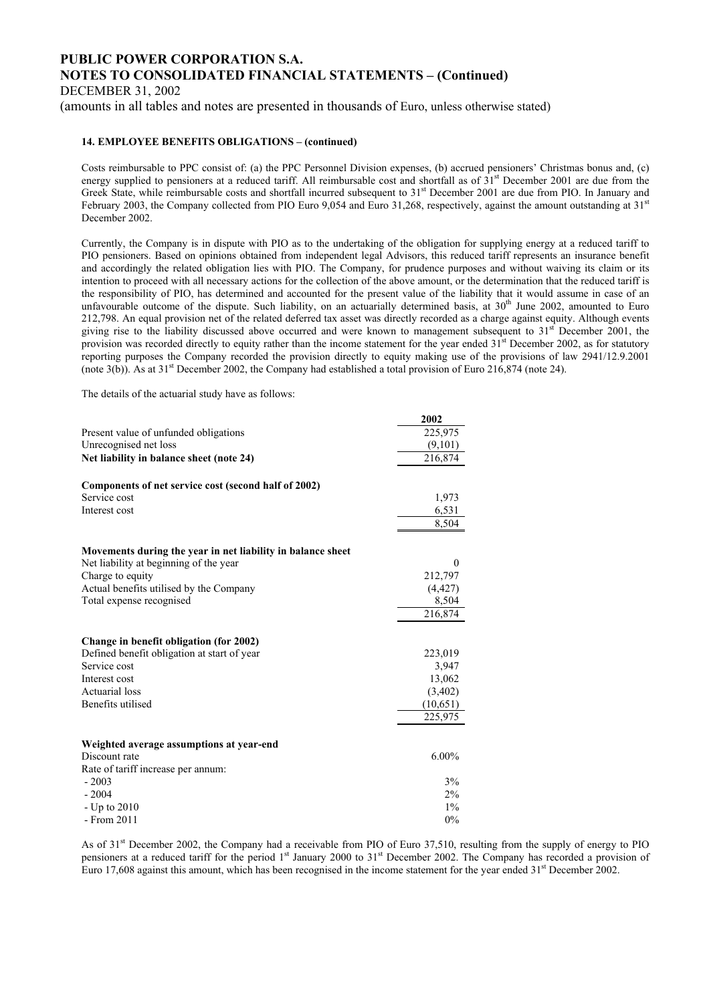DECEMBER 31, 2002

(amounts in all tables and notes are presented in thousands of Euro, unless otherwise stated)

#### **14. EMPLOYEE BENEFITS OBLIGATIONS – (continued)**

Costs reimbursable to PPC consist of: (a) the PPC Personnel Division expenses, (b) accrued pensioners' Christmas bonus and, (c) energy supplied to pensioners at a reduced tariff. All reimbursable cost and shortfall as of  $31<sup>st</sup>$  December 2001 are due from the Greek State, while reimbursable costs and shortfall incurred subsequent to 31<sup>st</sup> December 2001 are due from PIO. In January and February 2003, the Company collected from PIO Euro 9,054 and Euro 31,268, respectively, against the amount outstanding at 31<sup>st</sup> December 2002.

Currently, the Company is in dispute with PIO as to the undertaking of the obligation for supplying energy at a reduced tariff to PIO pensioners. Based on opinions obtained from independent legal Advisors, this reduced tariff represents an insurance benefit and accordingly the related obligation lies with PIO. The Company, for prudence purposes and without waiving its claim or its intention to proceed with all necessary actions for the collection of the above amount, or the determination that the reduced tariff is the responsibility of PIO, has determined and accounted for the present value of the liability that it would assume in case of an unfavourable outcome of the dispute. Such liability, on an actuarially determined basis, at 30<sup>th</sup> June 2002, amounted to Euro 212,798. An equal provision net of the related deferred tax asset was directly recorded as a charge against equity. Although events giving rise to the liability discussed above occurred and were known to management subsequent to  $31<sup>st</sup>$  December 2001, the provision was recorded directly to equity rather than the income statement for the year ended  $31<sup>st</sup>$  December 2002, as for statutory reporting purposes the Company recorded the provision directly to equity making use of the provisions of law 2941/12.9.2001 (note 3(b)). As at 31<sup>st</sup> December 2002, the Company had established a total provision of Euro 216,874 (note 24).

The details of the actuarial study have as follows:

|                                                             | 2002     |
|-------------------------------------------------------------|----------|
| Present value of unfunded obligations                       | 225,975  |
| Unrecognised net loss                                       | (9,101)  |
| Net liability in balance sheet (note 24)                    | 216,874  |
| Components of net service cost (second half of 2002)        |          |
| Service cost                                                | 1,973    |
| Interest cost                                               | 6,531    |
|                                                             | 8,504    |
| Movements during the year in net liability in balance sheet |          |
| Net liability at beginning of the year                      | $\Omega$ |
| Charge to equity                                            | 212,797  |
| Actual benefits utilised by the Company                     | (4, 427) |
| Total expense recognised                                    | 8,504    |
|                                                             | 216,874  |
| Change in benefit obligation (for 2002)                     |          |
| Defined benefit obligation at start of year                 | 223,019  |
| Service cost                                                | 3,947    |
| Interest cost                                               | 13,062   |
| <b>Actuarial</b> loss                                       | (3,402)  |
| Benefits utilised                                           | (10,651) |
|                                                             | 225,975  |
| Weighted average assumptions at year-end                    |          |
| Discount rate                                               | $6.00\%$ |
| Rate of tariff increase per annum:                          |          |
| $-2003$                                                     | 3%       |
| $-2004$                                                     | $2\%$    |
| - Up to 2010                                                | $1\%$    |
| - From 2011                                                 | 0%       |

As of 31st December 2002, the Company had a receivable from PIO of Euro 37,510, resulting from the supply of energy to PIO pensioners at a reduced tariff for the period 1<sup>st</sup> January 2000 to 31<sup>st</sup> December 2002. The Company has recorded a provision of Euro 17,608 against this amount, which has been recognised in the income statement for the year ended  $31<sup>st</sup>$  December 2002.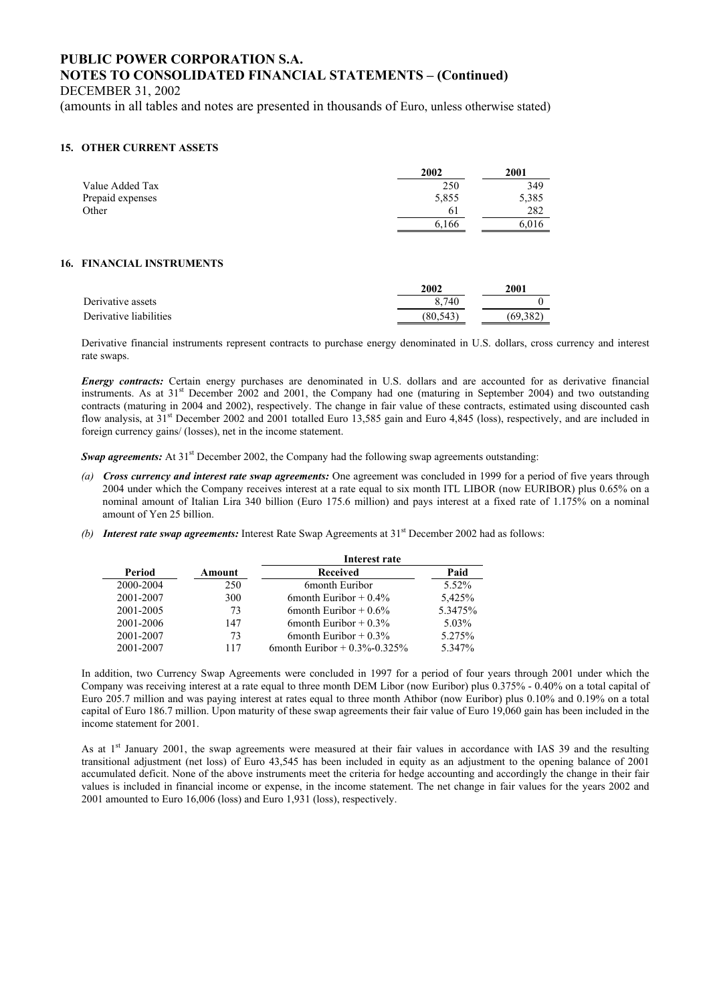DECEMBER 31, 2002

(amounts in all tables and notes are presented in thousands of Euro, unless otherwise stated)

#### **15. OTHER CURRENT ASSETS**

|                  | 2002  | 2001  |
|------------------|-------|-------|
| Value Added Tax  | 250   | 349   |
| Prepaid expenses | 5,855 | 5,385 |
| Other            | 61    | 282   |
|                  | 6,166 | 6,016 |

#### **16. FINANCIAL INSTRUMENTS**

|                        | 2002     | 2001     |
|------------------------|----------|----------|
| Derivative assets      | 8.740    |          |
| Derivative liabilities | (80.543) | (69.382) |

Derivative financial instruments represent contracts to purchase energy denominated in U.S. dollars, cross currency and interest rate swaps.

*Energy contracts:* Certain energy purchases are denominated in U.S. dollars and are accounted for as derivative financial instruments. As at 31<sup>st</sup> December 2002 and 2001, the Company had one (maturing in September 2004) and two outstanding contracts (maturing in 2004 and 2002), respectively. The change in fair value of these contracts, estimated using discounted cash flow analysis, at  $31<sup>st</sup>$  December 2002 and 2001 totalled Euro 13,585 gain and Euro 4,845 (loss), respectively, and are included in foreign currency gains/ (losses), net in the income statement.

*Swap agreements:* At 31<sup>st</sup> December 2002, the Company had the following swap agreements outstanding:

- *(a) Cross currency and interest rate swap agreements:* One agreement was concluded in 1999 for a period of five years through 2004 under which the Company receives interest at a rate equal to six month ITL LIBOR (now EURIBOR) plus 0.65% on a nominal amount of Italian Lira 340 billion (Euro 175.6 million) and pays interest at a fixed rate of 1.175% on a nominal amount of Yen 25 billion.
- *(b) Interest rate swap agreements:* Interest Rate Swap Agreements at 31<sup>st</sup> December 2002 had as follows:

|           |        | Interest rate                     |         |
|-----------|--------|-----------------------------------|---------|
| Period    | Amount | <b>Received</b>                   | Paid    |
| 2000-2004 | 250    | 6month Euribor                    | 5.52%   |
| 2001-2007 | 300    | 6 month Euribor $+0.4\%$          | 5,425%  |
| 2001-2005 | 73     | 6 month Euribor $+0.6\%$          | 5.3475% |
| 2001-2006 | 147    | 6 month Euribor $+0.3\%$          | 5.03%   |
| 2001-2007 | 73     | 6 month Euribor $+0.3\%$          | 5.275%  |
| 2001-2007 | 117    | 6 month Euribor + $0.3\%$ -0.325% | 5.347%  |

In addition, two Currency Swap Agreements were concluded in 1997 for a period of four years through 2001 under which the Company was receiving interest at a rate equal to three month DEM Libor (now Euribor) plus 0.375% - 0.40% on a total capital of Euro 205.7 million and was paying interest at rates equal to three month Athibor (now Euribor) plus 0.10% and 0.19% on a total capital of Euro 186.7 million. Upon maturity of these swap agreements their fair value of Euro 19,060 gain has been included in the income statement for 2001.

As at 1<sup>st</sup> January 2001, the swap agreements were measured at their fair values in accordance with IAS 39 and the resulting transitional adjustment (net loss) of Euro 43,545 has been included in equity as an adjustment to the opening balance of 2001 accumulated deficit. None of the above instruments meet the criteria for hedge accounting and accordingly the change in their fair values is included in financial income or expense, in the income statement. The net change in fair values for the years 2002 and 2001 amounted to Euro 16,006 (loss) and Euro 1,931 (loss), respectively.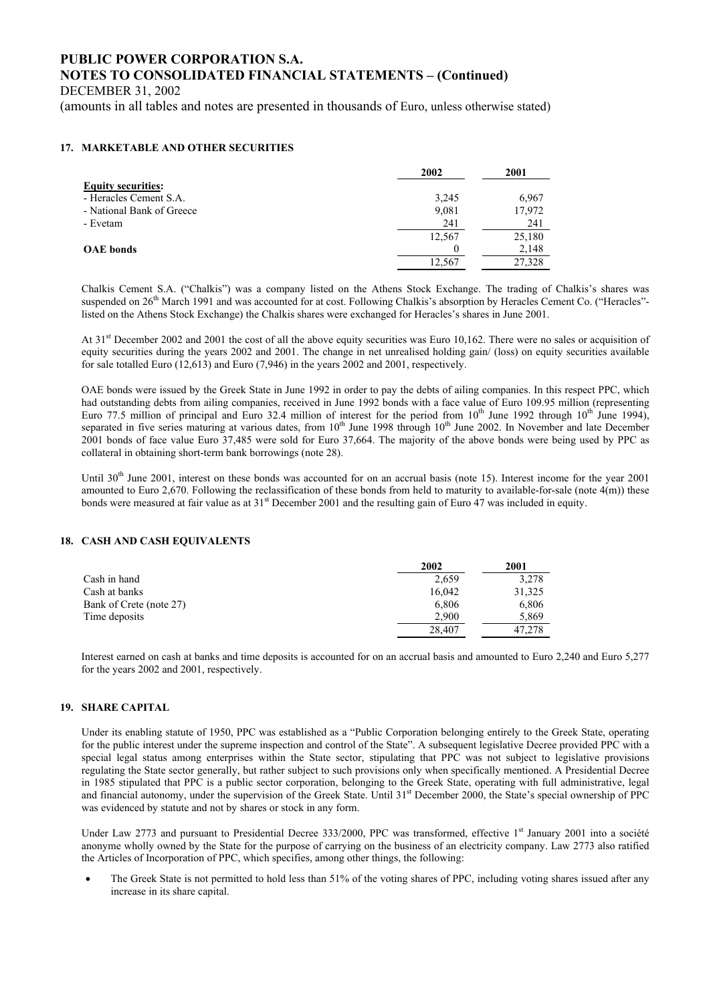DECEMBER 31, 2002

(amounts in all tables and notes are presented in thousands of Euro, unless otherwise stated)

### **17. MARKETABLE AND OTHER SECURITIES**

|                           | 2002   | 2001   |
|---------------------------|--------|--------|
| <b>Equity securities:</b> |        |        |
| - Heracles Cement S.A.    | 3,245  | 6,967  |
| - National Bank of Greece | 9,081  | 17,972 |
| - Evetam                  | 241    | 241    |
|                           | 12,567 | 25,180 |
| <b>OAE</b> bonds          |        | 2,148  |
|                           | 12,567 | 27,328 |

Chalkis Cement S.A. ("Chalkis") was a company listed on the Athens Stock Exchange. The trading of Chalkis's shares was suspended on 26<sup>th</sup> March 1991 and was accounted for at cost. Following Chalkis's absorption by Heracles Cement Co. ("Heracles"listed on the Athens Stock Exchange) the Chalkis shares were exchanged for Heracles's shares in June 2001.

At 31<sup>st</sup> December 2002 and 2001 the cost of all the above equity securities was Euro 10,162. There were no sales or acquisition of equity securities during the years 2002 and 2001. The change in net unrealised holding gain/ (loss) on equity securities available for sale totalled Euro (12,613) and Euro (7,946) in the years 2002 and 2001, respectively.

OAE bonds were issued by the Greek State in June 1992 in order to pay the debts of ailing companies. In this respect PPC, which had outstanding debts from ailing companies, received in June 1992 bonds with a face value of Euro 109.95 million (representing Euro 77.5 million of principal and Euro 32.4 million of interest for the period from  $10^{th}$  June 1992 through  $10^{th}$  June 1994), separated in five series maturing at various dates, from 10<sup>th</sup> June 1998 through 10<sup>th</sup> June 2002. In November and late December 2001 bonds of face value Euro 37,485 were sold for Euro 37,664. The majority of the above bonds were being used by PPC as collateral in obtaining short-term bank borrowings (note 28).

Until  $30<sup>th</sup>$  June 2001, interest on these bonds was accounted for on an accrual basis (note 15). Interest income for the year 2001 amounted to Euro 2,670. Following the reclassification of these bonds from held to maturity to available-for-sale (note 4(m)) these bonds were measured at fair value as at  $31<sup>st</sup>$  December 2001 and the resulting gain of Euro 47 was included in equity.

### **18. CASH AND CASH EQUIVALENTS**

|                         | 2002   | 2001   |
|-------------------------|--------|--------|
| Cash in hand            | 2.659  | 3.278  |
| Cash at banks           | 16.042 | 31,325 |
| Bank of Crete (note 27) | 6,806  | 6,806  |
| Time deposits           | 2.900  | 5,869  |
|                         | 28,407 | 47.278 |

Interest earned on cash at banks and time deposits is accounted for on an accrual basis and amounted to Euro 2,240 and Euro 5,277 for the years 2002 and 2001, respectively.

### **19. SHARE CAPITAL**

Under its enabling statute of 1950, PPC was established as a "Public Corporation belonging entirely to the Greek State, operating for the public interest under the supreme inspection and control of the State". A subsequent legislative Decree provided PPC with a special legal status among enterprises within the State sector, stipulating that PPC was not subject to legislative provisions regulating the State sector generally, but rather subject to such provisions only when specifically mentioned. A Presidential Decree in 1985 stipulated that PPC is a public sector corporation, belonging to the Greek State, operating with full administrative, legal and financial autonomy, under the supervision of the Greek State. Until 31<sup>st</sup> December 2000, the State's special ownership of PPC was evidenced by statute and not by shares or stock in any form.

Under Law 2773 and pursuant to Presidential Decree 333/2000, PPC was transformed, effective  $1<sup>st</sup>$  January 2001 into a société anonyme wholly owned by the State for the purpose of carrying on the business of an electricity company. Law 2773 also ratified the Articles of Incorporation of PPC, which specifies, among other things, the following:

The Greek State is not permitted to hold less than 51% of the voting shares of PPC, including voting shares issued after any increase in its share capital.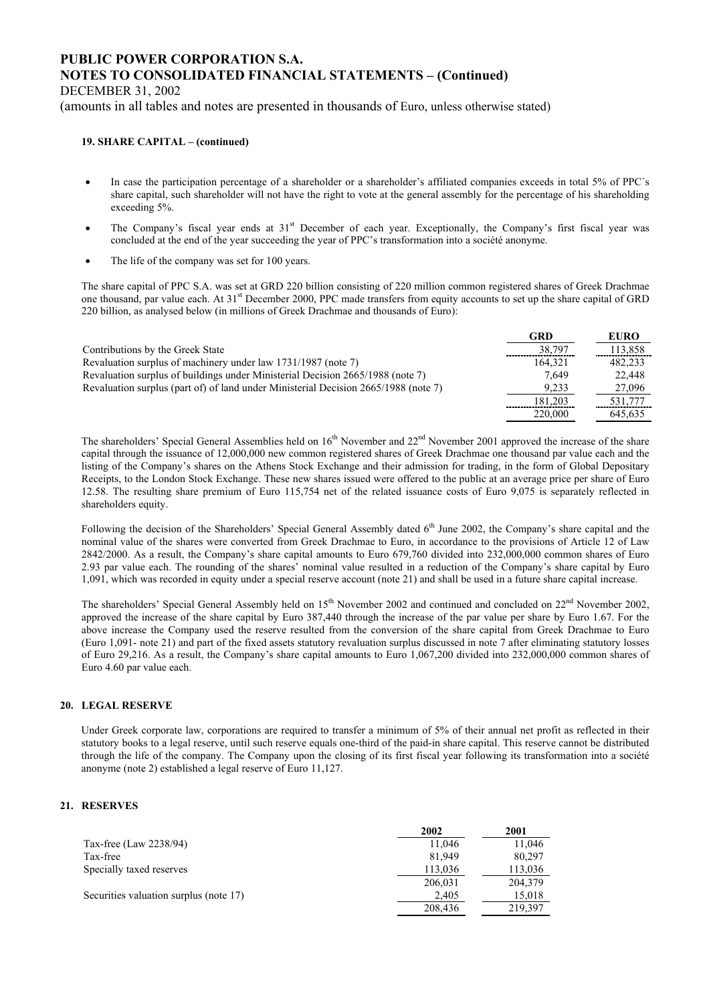DECEMBER 31, 2002

(amounts in all tables and notes are presented in thousands of Euro, unless otherwise stated)

#### **19. SHARE CAPITAL – (continued)**

- In case the participation percentage of a shareholder or a shareholder's affiliated companies exceeds in total 5% of PPC's share capital, such shareholder will not have the right to vote at the general assembly for the percentage of his shareholding exceeding 5%.
- The Company's fiscal year ends at 31<sup>st</sup> December of each year. Exceptionally, the Company's first fiscal year was concluded at the end of the year succeeding the year of PPC's transformation into a société anonyme.
- The life of the company was set for 100 years.

The share capital of PPC S.A. was set at GRD 220 billion consisting of 220 million common registered shares of Greek Drachmae one thousand, par value each. At 31st December 2000, PPC made transfers from equity accounts to set up the share capital of GRD 220 billion, as analysed below (in millions of Greek Drachmae and thousands of Euro):

|                                                                                     | GRD     | <b>EURO</b> |
|-------------------------------------------------------------------------------------|---------|-------------|
| Contributions by the Greek State                                                    | 38.797  | 113,858     |
| Revaluation surplus of machinery under law 1731/1987 (note 7)                       | 164.321 | 482.233     |
| Revaluation surplus of buildings under Ministerial Decision 2665/1988 (note 7)      | 7.649   | 22,448      |
| Revaluation surplus (part of) of land under Ministerial Decision 2665/1988 (note 7) | 9.233   | 27,096      |
|                                                                                     | 181.203 | 531.777     |
|                                                                                     | 220,000 | 645.635     |

The shareholders' Special General Assemblies held on 16<sup>th</sup> November and 22<sup>nd</sup> November 2001 approved the increase of the share capital through the issuance of 12,000,000 new common registered shares of Greek Drachmae one thousand par value each and the listing of the Company's shares on the Athens Stock Exchange and their admission for trading, in the form of Global Depositary Receipts, to the London Stock Exchange. These new shares issued were offered to the public at an average price per share of Euro 12.58. The resulting share premium of Euro 115,754 net of the related issuance costs of Euro 9,075 is separately reflected in shareholders equity.

Following the decision of the Shareholders' Special General Assembly dated 6<sup>th</sup> June 2002, the Company's share capital and the nominal value of the shares were converted from Greek Drachmae to Euro, in accordance to the provisions of Article 12 of Law 2842/2000. As a result, the Company's share capital amounts to Euro 679,760 divided into 232,000,000 common shares of Euro 2.93 par value each. The rounding of the shares' nominal value resulted in a reduction of the Company's share capital by Euro 1,091, which was recorded in equity under a special reserve account (note 21) and shall be used in a future share capital increase.

The shareholders' Special General Assembly held on 15<sup>th</sup> November 2002 and continued and concluded on 22<sup>nd</sup> November 2002, approved the increase of the share capital by Euro 387,440 through the increase of the par value per share by Euro 1.67. For the above increase the Company used the reserve resulted from the conversion of the share capital from Greek Drachmae to Euro (Euro 1,091- note 21) and part of the fixed assets statutory revaluation surplus discussed in note 7 after eliminating statutory losses of Euro 29,216. As a result, the Company's share capital amounts to Euro 1,067,200 divided into 232,000,000 common shares of Euro 4.60 par value each.

#### **20. LEGAL RESERVE**

Under Greek corporate law, corporations are required to transfer a minimum of 5% of their annual net profit as reflected in their statutory books to a legal reserve, until such reserve equals one-third of the paid-in share capital. This reserve cannot be distributed through the life of the company. The Company upon the closing of its first fiscal year following its transformation into a société anonyme (note 2) established a legal reserve of Euro 11,127.

#### **21. RESERVES**

|                                        | 2002    | 2001    |
|----------------------------------------|---------|---------|
| Tax-free (Law 2238/94)                 | 11,046  | 11,046  |
| Tax-free                               | 81.949  | 80.297  |
| Specially taxed reserves               | 113,036 | 113,036 |
|                                        | 206,031 | 204.379 |
| Securities valuation surplus (note 17) | 2,405   | 15,018  |
|                                        | 208,436 | 219,397 |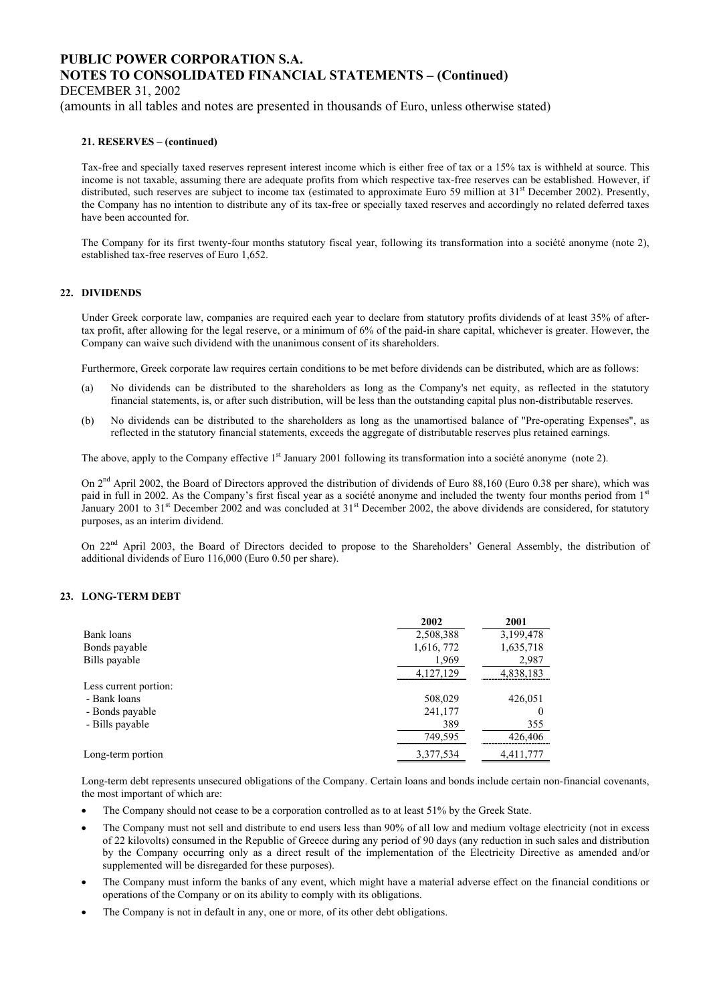DECEMBER 31, 2002

(amounts in all tables and notes are presented in thousands of Euro, unless otherwise stated)

#### **21. RESERVES – (continued)**

Tax-free and specially taxed reserves represent interest income which is either free of tax or a 15% tax is withheld at source. This income is not taxable, assuming there are adequate profits from which respective tax-free reserves can be established. However, if distributed, such reserves are subject to income tax (estimated to approximate Euro 59 million at 31<sup>st</sup> December 2002). Presently, the Company has no intention to distribute any of its tax-free or specially taxed reserves and accordingly no related deferred taxes have been accounted for.

The Company for its first twenty-four months statutory fiscal year, following its transformation into a société anonyme (note 2), established tax-free reserves of Euro 1,652.

#### **22. DIVIDENDS**

Under Greek corporate law, companies are required each year to declare from statutory profits dividends of at least 35% of aftertax profit, after allowing for the legal reserve, or a minimum of 6% of the paid-in share capital, whichever is greater. However, the Company can waive such dividend with the unanimous consent of its shareholders.

Furthermore, Greek corporate law requires certain conditions to be met before dividends can be distributed, which are as follows:

- (a) No dividends can be distributed to the shareholders as long as the Company's net equity, as reflected in the statutory financial statements, is, or after such distribution, will be less than the outstanding capital plus non-distributable reserves.
- (b) No dividends can be distributed to the shareholders as long as the unamortised balance of "Pre-operating Expenses", as reflected in the statutory financial statements, exceeds the aggregate of distributable reserves plus retained earnings.

The above, apply to the Company effective  $1<sup>st</sup>$  January 2001 following its transformation into a société anonyme (note 2).

On 2<sup>nd</sup> April 2002, the Board of Directors approved the distribution of dividends of Euro 88,160 (Euro 0.38 per share), which was paid in full in 2002. As the Company's first fiscal year as a société anonyme and included the twenty four months period from 1<sup>st</sup> January 2001 to 31<sup>st</sup> December 2002 and was concluded at 31<sup>st</sup> December 2002, the above dividends are considered, for statutory purposes, as an interim dividend.

On 22<sup>nd</sup> April 2003, the Board of Directors decided to propose to the Shareholders' General Assembly, the distribution of additional dividends of Euro 116,000 (Euro 0.50 per share).

### **23. LONG-TERM DEBT**

|                       | 2002       | 2001      |
|-----------------------|------------|-----------|
| Bank loans            | 2,508,388  | 3,199,478 |
| Bonds payable         | 1,616, 772 | 1,635,718 |
| Bills payable         | 1,969      | 2,987     |
|                       | 4,127,129  | 4,838,183 |
| Less current portion: |            |           |
| - Bank loans          | 508,029    | 426,051   |
| - Bonds payable       | 241,177    | $\theta$  |
| - Bills payable       | 389        | 355       |
|                       | 749,595    | 426,406   |
| Long-term portion     | 3,377,534  | 4,411,777 |

Long-term debt represents unsecured obligations of the Company. Certain loans and bonds include certain non-financial covenants, the most important of which are:

- The Company should not cease to be a corporation controlled as to at least 51% by the Greek State.
- The Company must not sell and distribute to end users less than 90% of all low and medium voltage electricity (not in excess of 22 kilovolts) consumed in the Republic of Greece during any period of 90 days (any reduction in such sales and distribution by the Company occurring only as a direct result of the implementation of the Electricity Directive as amended and/or supplemented will be disregarded for these purposes).
- The Company must inform the banks of any event, which might have a material adverse effect on the financial conditions or operations of the Company or on its ability to comply with its obligations.
- The Company is not in default in any, one or more, of its other debt obligations.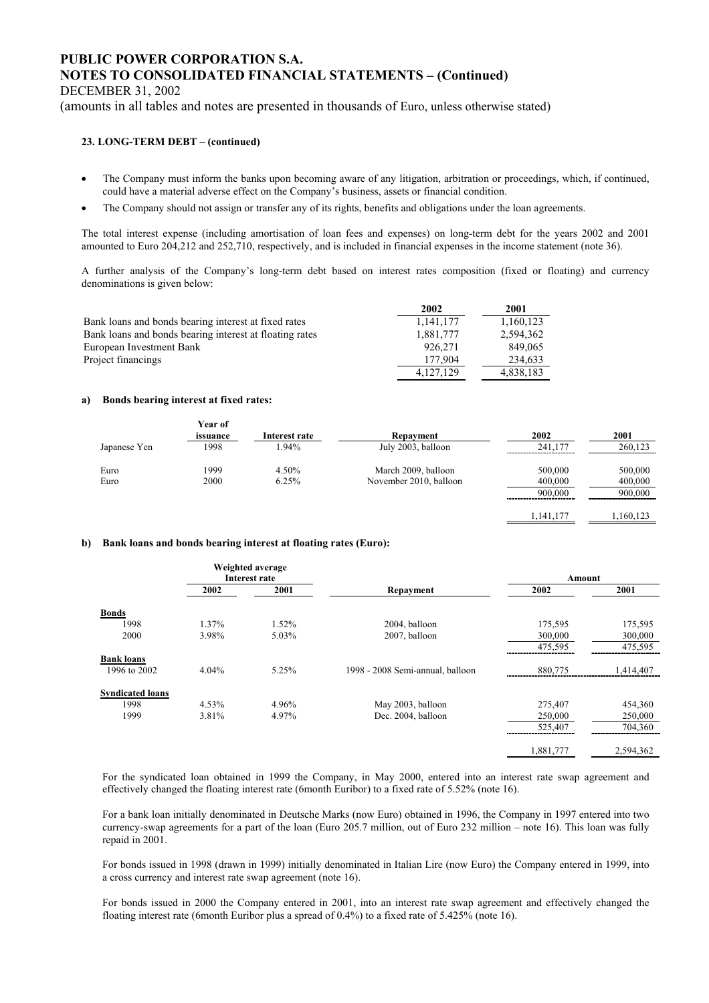DECEMBER 31, 2002

(amounts in all tables and notes are presented in thousands of Euro, unless otherwise stated)

### **23. LONG-TERM DEBT – (continued)**

- The Company must inform the banks upon becoming aware of any litigation, arbitration or proceedings, which, if continued, could have a material adverse effect on the Company's business, assets or financial condition.
- The Company should not assign or transfer any of its rights, benefits and obligations under the loan agreements.

The total interest expense (including amortisation of loan fees and expenses) on long-term debt for the years 2002 and 2001 amounted to Euro 204,212 and 252,710, respectively, and is included in financial expenses in the income statement (note 36).

A further analysis of the Company's long-term debt based on interest rates composition (fixed or floating) and currency denominations is given below:

|                                                         | 2002      | 2001      |
|---------------------------------------------------------|-----------|-----------|
| Bank loans and bonds bearing interest at fixed rates    | 1,141,177 | 1,160,123 |
| Bank loans and bonds bearing interest at floating rates | 1.881.777 | 2,594,362 |
| European Investment Bank                                | 926.271   | 849.065   |
| Project financings                                      | 177.904   | 234.633   |
|                                                         | 4.127.129 | 4,838,183 |

#### **a) Bonds bearing interest at fixed rates:**

|              | Year of  |               |                        |         |         |
|--------------|----------|---------------|------------------------|---------|---------|
|              | issuance | Interest rate | Repayment              | 2002    | 2001    |
| Japanese Yen | 1998     | .94%          | July 2003, balloon     | 241.177 | 260.123 |
| Euro         | 1999     | 4.50%         | March 2009, balloon    | 500,000 | 500,000 |
| Euro         | 2000     | 6.25%         | November 2010, balloon | 400,000 | 400,000 |
|              |          |               |                        | 900.000 | 900.000 |
|              |          |               |                        |         |         |

1,141,177 1,160,123

#### **b) Bank loans and bonds bearing interest at floating rates (Euro):**

| Weighted average<br>Interest rate |          |       | Amount                           |           |           |
|-----------------------------------|----------|-------|----------------------------------|-----------|-----------|
|                                   | 2002     | 2001  | Repayment                        | 2002      | 2001      |
| <b>Bonds</b>                      |          |       |                                  |           |           |
| 1998                              | 1.37%    | 1.52% | 2004, balloon                    | 175,595   | 175,595   |
| 2000                              | 3.98%    | 5.03% | 2007, balloon                    | 300,000   | 300,000   |
|                                   |          |       |                                  | 475,595   | 475,595   |
| <b>Bank loans</b>                 |          |       |                                  |           |           |
| 1996 to 2002                      | 4.04%    | 5.25% | 1998 - 2008 Semi-annual, balloon | 880,775   | 1,414,407 |
| <b>Syndicated loans</b>           |          |       |                                  |           |           |
| 1998                              | $4.53\%$ | 4.96% | May 2003, balloon                | 275,407   | 454,360   |
| 1999                              | 3.81%    | 4.97% | Dec. 2004, balloon               | 250,000   | 250,000   |
|                                   |          |       |                                  | 525,407   | 704,360   |
|                                   |          |       |                                  | 1,881,777 | 2,594,362 |

For the syndicated loan obtained in 1999 the Company, in May 2000, entered into an interest rate swap agreement and effectively changed the floating interest rate (6month Euribor) to a fixed rate of 5.52% (note 16).

For a bank loan initially denominated in Deutsche Marks (now Euro) obtained in 1996, the Company in 1997 entered into two currency-swap agreements for a part of the loan (Euro 205.7 million, out of Euro 232 million – note 16). This loan was fully repaid in 2001.

For bonds issued in 1998 (drawn in 1999) initially denominated in Italian Lire (now Euro) the Company entered in 1999, into a cross currency and interest rate swap agreement (note 16).

For bonds issued in 2000 the Company entered in 2001, into an interest rate swap agreement and effectively changed the floating interest rate (6month Euribor plus a spread of 0.4%) to a fixed rate of 5.425% (note 16).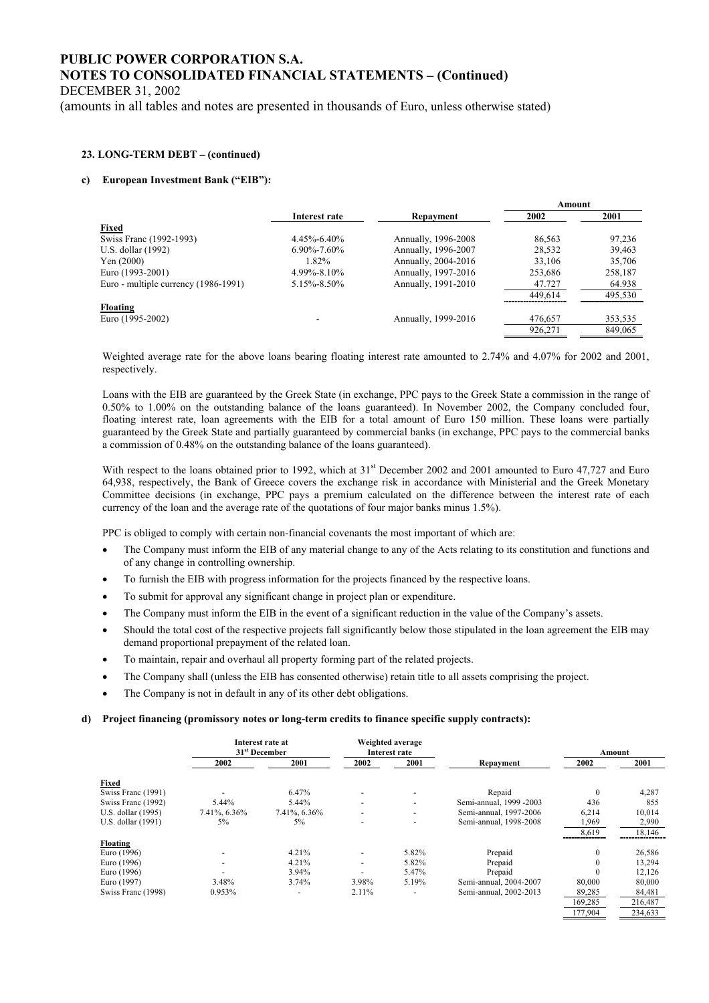DECEMBER 31, 2002

(amounts in all tables and notes are presented in thousands of Euro, unless otherwise stated)

#### **23. LONG-TERM DEBT – (continued)**

#### **c) European Investment Bank ("EIB"):**

|                                      |                   |                     | Amount  |         |
|--------------------------------------|-------------------|---------------------|---------|---------|
|                                      | Interest rate     | Repayment           | 2002    | 2001    |
| <b>Fixed</b>                         |                   |                     |         |         |
| Swiss Franc (1992-1993)              | $4.45\% - 6.40\%$ | Annually, 1996-2008 | 86,563  | 97,236  |
| U.S. dollar (1992)                   | $6.90\% - 7.60\%$ | Annually, 1996-2007 | 28,532  | 39,463  |
| Yen $(2000)$                         | 1.82%             | Annually, 2004-2016 | 33,106  | 35,706  |
| Euro (1993-2001)                     | $4.99\% - 8.10\%$ | Annually, 1997-2016 | 253.686 | 258,187 |
| Euro - multiple currency (1986-1991) | 5.15%-8.50%       | Annually, 1991-2010 | 47.727  | 64.938  |
|                                      |                   |                     | 449,614 | 495,530 |
| Floating                             |                   |                     |         |         |
| Euro (1995-2002)                     |                   | Annually, 1999-2016 | 476,657 | 353,535 |
|                                      |                   |                     | 926,271 | 849,065 |
|                                      |                   |                     |         |         |

Weighted average rate for the above loans bearing floating interest rate amounted to 2.74% and 4.07% for 2002 and 2001, respectively.

Loans with the EIB are guaranteed by the Greek State (in exchange, PPC pays to the Greek State a commission in the range of 0.50% to 1.00% on the outstanding balance of the loans guaranteed). In November 2002, the Company concluded four, floating interest rate, loan agreements with the EIB for a total amount of Euro 150 million. These loans were partially guaranteed by the Greek State and partially guaranteed by commercial banks (in exchange, PPC pays to the commercial banks a commission of 0.48% on the outstanding balance of the loans guaranteed).

With respect to the loans obtained prior to 1992, which at 31<sup>st</sup> December 2002 and 2001 amounted to Euro 47,727 and Euro 64,938, respectively, the Bank of Greece covers the exchange risk in accordance with Ministerial and the Greek Monetary Committee decisions (in exchange, PPC pays a premium calculated on the difference between the interest rate of each currency of the loan and the average rate of the quotations of four major banks minus 1.5%).

PPC is obliged to comply with certain non-financial covenants the most important of which are:

- The Company must inform the EIB of any material change to any of the Acts relating to its constitution and functions and of any change in controlling ownership.
- To furnish the EIB with progress information for the projects financed by the respective loans.
- To submit for approval any significant change in project plan or expenditure.
- The Company must inform the EIB in the event of a significant reduction in the value of the Company's assets.
- Should the total cost of the respective projects fall significantly below those stipulated in the loan agreement the EIB may demand proportional prepayment of the related loan.
- To maintain, repair and overhaul all property forming part of the related projects.
- The Company shall (unless the EIB has consented otherwise) retain title to all assets comprising the project.
- The Company is not in default in any of its other debt obligations.

#### **d) Project financing (promissory notes or long-term credits to finance specific supply contracts):**

|                    |                          | Interest rate at<br>31 <sup>st</sup> December |                          | Weighted average<br>Interest rate |                         | Amount       |         |
|--------------------|--------------------------|-----------------------------------------------|--------------------------|-----------------------------------|-------------------------|--------------|---------|
|                    | 2002                     | 2001                                          | 2002                     | 2001                              | Repayment               | 2002         | 2001    |
| Fixed              |                          |                                               |                          |                                   |                         |              |         |
| Swiss Franc (1991) |                          | 6.47%                                         | $\overline{\phantom{a}}$ |                                   | Repaid                  | $\theta$     | 4,287   |
| Swiss Franc (1992) | 5.44%                    | 5.44%                                         | $\sim$                   | $\overline{\phantom{0}}$          | Semi-annual, 1999 -2003 | 436          | 855     |
| U.S. dollar (1995) | 7.41%, 6.36%             | 7.41%, 6.36%                                  |                          | $\overline{\phantom{0}}$          | Semi-annual, 1997-2006  | 6,214        | 10,014  |
| U.S. dollar (1991) | $5\%$                    | $5\%$                                         |                          |                                   | Semi-annual, 1998-2008  | 1,969        | 2,990   |
|                    |                          |                                               |                          |                                   |                         | 8,619        | 18,146  |
| <b>Floating</b>    |                          |                                               |                          |                                   |                         |              |         |
| Euro (1996)        | $\overline{\phantom{a}}$ | 4.21%                                         | $\overline{\phantom{a}}$ | 5.82%                             | Prepaid                 | $\mathbf{0}$ | 26,586  |
| Euro (1996)        | $\overline{\phantom{a}}$ | 4.21%                                         | $\overline{\phantom{a}}$ | 5.82%                             | Prepaid                 | 0            | 13,294  |
| Euro (1996)        |                          | 3.94%                                         |                          | 5.47%                             | Prepaid                 | $\Omega$     | 12,126  |
| Euro (1997)        | 3.48%                    | 3.74%                                         | 3.98%                    | 5.19%                             | Semi-annual, 2004-2007  | 80,000       | 80,000  |
| Swiss Franc (1998) | 0.953%                   | $\overline{\phantom{a}}$                      | 2.11%                    | $\overline{\phantom{a}}$          | Semi-annual, 2002-2013  | 89,285       | 84,481  |
|                    |                          |                                               |                          |                                   |                         | 169,285      | 216,487 |

177,904 234,633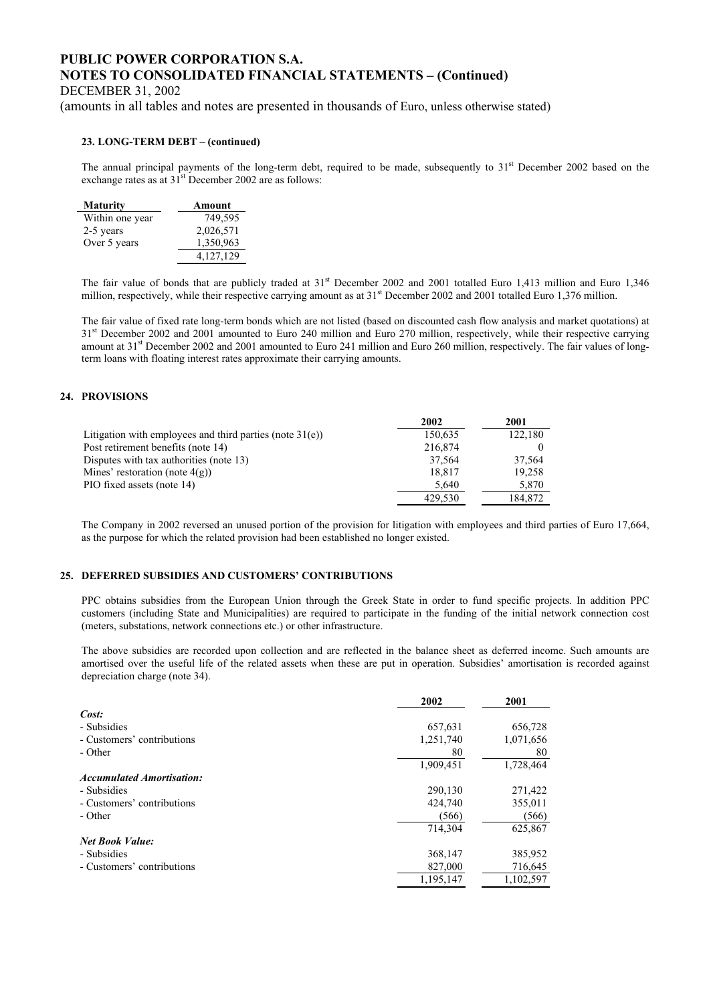DECEMBER 31, 2002

(amounts in all tables and notes are presented in thousands of Euro, unless otherwise stated)

#### **23. LONG-TERM DEBT – (continued)**

The annual principal payments of the long-term debt, required to be made, subsequently to  $31<sup>st</sup>$  December 2002 based on the exchange rates as at  $31<sup>st</sup>$  December 2002 are as follows:

| <b>Maturity</b> | Amount    |
|-----------------|-----------|
| Within one year | 749,595   |
| 2-5 years       | 2,026,571 |
| Over 5 years    | 1,350,963 |
|                 | 4,127,129 |

The fair value of bonds that are publicly traded at 31<sup>st</sup> December 2002 and 2001 totalled Euro 1,413 million and Euro 1,346 million, respectively, while their respective carrying amount as at 31<sup>st</sup> December 2002 and 2001 totalled Euro 1,376 million.

The fair value of fixed rate long-term bonds which are not listed (based on discounted cash flow analysis and market quotations) at 31<sup>st</sup> December 2002 and 2001 amounted to Euro 240 million and Euro 270 million, respectively, while their respective carrying amount at 31st December 2002 and 2001 amounted to Euro 241 million and Euro 260 million, respectively. The fair values of longterm loans with floating interest rates approximate their carrying amounts.

#### **24. PROVISIONS**

|                                                             | 2002    | 2001    |
|-------------------------------------------------------------|---------|---------|
| Litigation with employees and third parties (note $31(e)$ ) | 150,635 | 122,180 |
| Post retirement benefits (note 14)                          | 216.874 |         |
| Disputes with tax authorities (note 13)                     | 37.564  | 37.564  |
| Mines' restoration (note $4(g)$ )                           | 18.817  | 19,258  |
| PIO fixed assets (note 14)                                  | 5.640   | 5,870   |
|                                                             | 429.530 | 184,872 |

The Company in 2002 reversed an unused portion of the provision for litigation with employees and third parties of Euro 17,664, as the purpose for which the related provision had been established no longer existed.

#### **25. DEFERRED SUBSIDIES AND CUSTOMERS' CONTRIBUTIONS**

PPC obtains subsidies from the European Union through the Greek State in order to fund specific projects. In addition PPC customers (including State and Municipalities) are required to participate in the funding of the initial network connection cost (meters, substations, network connections etc.) or other infrastructure.

The above subsidies are recorded upon collection and are reflected in the balance sheet as deferred income. Such amounts are amortised over the useful life of the related assets when these are put in operation. Subsidies' amortisation is recorded against depreciation charge (note 34).

|                                  | 2002      | 2001      |
|----------------------------------|-----------|-----------|
| Cost:                            |           |           |
| - Subsidies                      | 657,631   | 656,728   |
| - Customers' contributions       | 1,251,740 | 1,071,656 |
| - Other                          | 80        | 80        |
|                                  | 1,909,451 | 1,728,464 |
| <b>Accumulated Amortisation:</b> |           |           |
| - Subsidies                      | 290,130   | 271,422   |
| - Customers' contributions       | 424,740   | 355,011   |
| - Other                          | (566)     | (566)     |
|                                  | 714.304   | 625,867   |
| <b>Net Book Value:</b>           |           |           |
| - Subsidies                      | 368,147   | 385,952   |
| - Customers' contributions       | 827,000   | 716,645   |
|                                  | 1,195,147 | 1,102,597 |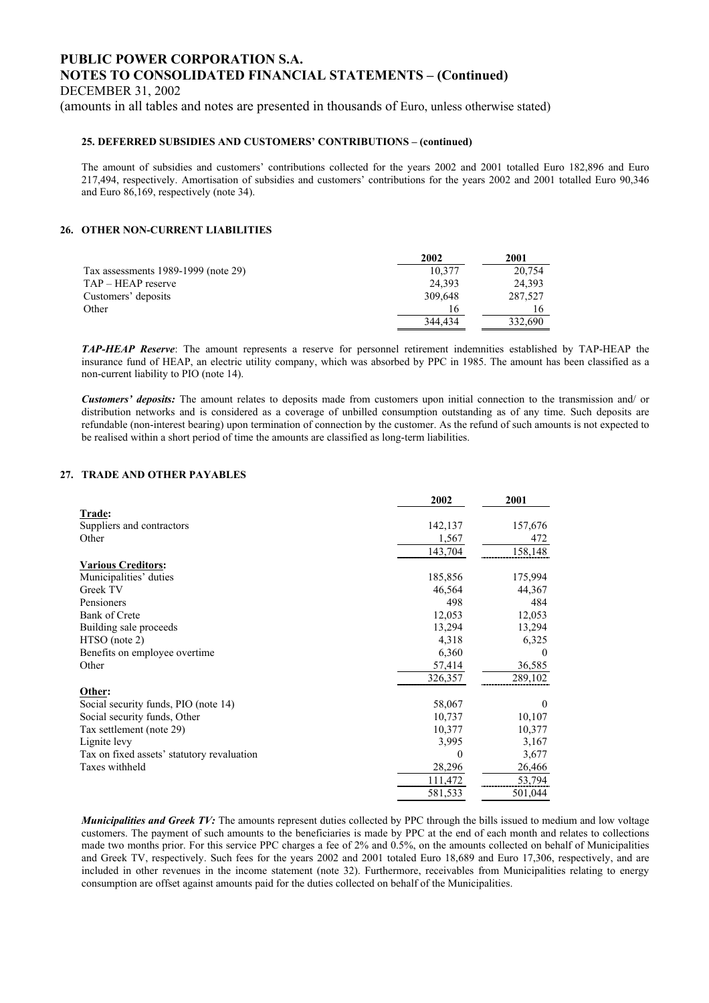DECEMBER 31, 2002

(amounts in all tables and notes are presented in thousands of Euro, unless otherwise stated)

#### **25. DEFERRED SUBSIDIES AND CUSTOMERS' CONTRIBUTIONS – (continued)**

The amount of subsidies and customers' contributions collected for the years 2002 and 2001 totalled Euro 182,896 and Euro 217,494, respectively. Amortisation of subsidies and customers' contributions for the years 2002 and 2001 totalled Euro 90,346 and Euro 86,169, respectively (note 34).

#### **26. OTHER NON-CURRENT LIABILITIES**

|                                     | 2002    | 2001    |
|-------------------------------------|---------|---------|
| Tax assessments 1989-1999 (note 29) | 10.377  | 20,754  |
| TAP – HEAP reserve                  | 24.393  | 24,393  |
| Customers' deposits                 | 309.648 | 287,527 |
| Other                               | 16      | 16      |
|                                     | 344.434 | 332.690 |

*TAP-HEAP Reserve*: The amount represents a reserve for personnel retirement indemnities established by TAP-HEAP the insurance fund of HEAP, an electric utility company, which was absorbed by PPC in 1985. The amount has been classified as a non-current liability to PIO (note 14).

*Customers' deposits:* The amount relates to deposits made from customers upon initial connection to the transmission and/ or distribution networks and is considered as a coverage of unbilled consumption outstanding as of any time. Such deposits are refundable (non-interest bearing) upon termination of connection by the customer. As the refund of such amounts is not expected to be realised within a short period of time the amounts are classified as long-term liabilities.

### **27. TRADE AND OTHER PAYABLES**

|                                            | 2002    | 2001     |
|--------------------------------------------|---------|----------|
| Trade:                                     |         |          |
| Suppliers and contractors                  | 142,137 | 157,676  |
| Other                                      | 1,567   | 472      |
|                                            | 143,704 | 158,148  |
| <b>Various Creditors:</b>                  |         |          |
| Municipalities' duties                     | 185,856 | 175,994  |
| Greek TV                                   | 46,564  | 44,367   |
| Pensioners                                 | 498     | 484      |
| Bank of Crete                              | 12,053  | 12,053   |
| Building sale proceeds                     | 13,294  | 13,294   |
| $HTSO$ (note 2)                            | 4,318   | 6,325    |
| Benefits on employee overtime.             | 6,360   | 0        |
| Other                                      | 57,414  | 36,585   |
|                                            | 326,357 | 289,102  |
| Other:                                     |         |          |
| Social security funds, PIO (note 14)       | 58,067  | $\theta$ |
| Social security funds, Other               | 10,737  | 10,107   |
| Tax settlement (note 29)                   | 10,377  | 10,377   |
| Lignite levy                               | 3,995   | 3,167    |
| Tax on fixed assets' statutory revaluation | 0       | 3,677    |
| Taxes withheld                             | 28,296  | 26,466   |
|                                            | 111,472 | 53,794   |
|                                            | 581,533 | 501,044  |

*Municipalities and Greek TV:* The amounts represent duties collected by PPC through the bills issued to medium and low voltage customers. The payment of such amounts to the beneficiaries is made by PPC at the end of each month and relates to collections made two months prior. For this service PPC charges a fee of 2% and 0.5%, on the amounts collected on behalf of Municipalities and Greek TV, respectively. Such fees for the years 2002 and 2001 totaled Euro 18,689 and Euro 17,306, respectively, and are included in other revenues in the income statement (note 32). Furthermore, receivables from Municipalities relating to energy consumption are offset against amounts paid for the duties collected on behalf of the Municipalities.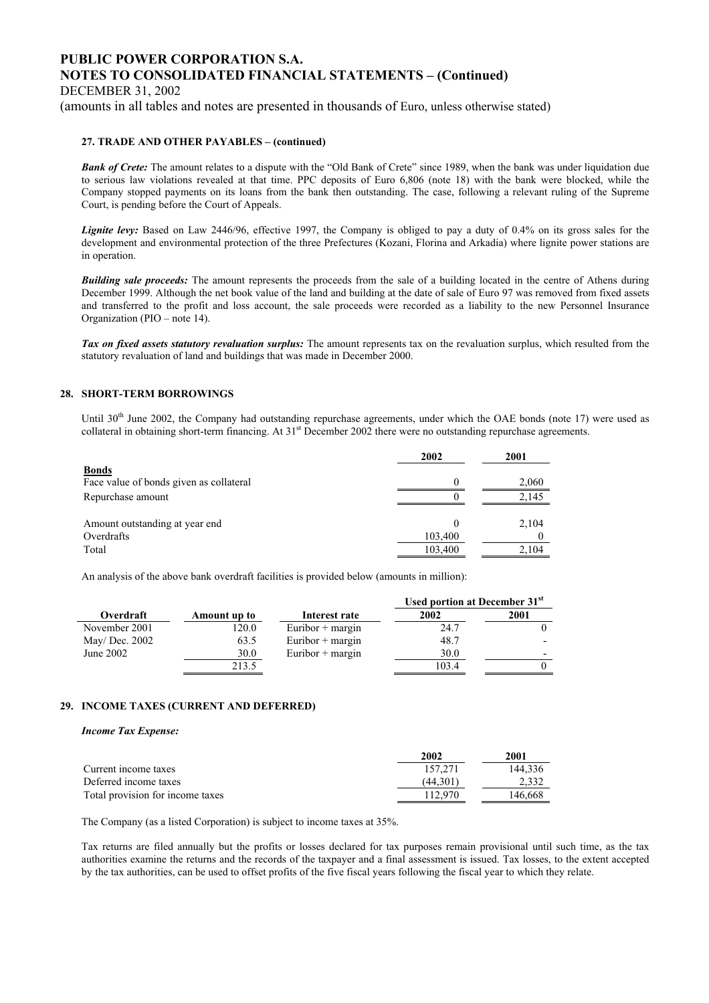DECEMBER 31, 2002

(amounts in all tables and notes are presented in thousands of Euro, unless otherwise stated)

#### **27. TRADE AND OTHER PAYABLES – (continued)**

**Bank of Crete:** The amount relates to a dispute with the "Old Bank of Crete" since 1989, when the bank was under liquidation due to serious law violations revealed at that time. PPC deposits of Euro 6,806 (note 18) with the bank were blocked, while the Company stopped payments on its loans from the bank then outstanding. The case, following a relevant ruling of the Supreme Court, is pending before the Court of Appeals.

*Lignite levy:* Based on Law 2446/96, effective 1997, the Company is obliged to pay a duty of 0.4% on its gross sales for the development and environmental protection of the three Prefectures (Kozani, Florina and Arkadia) where lignite power stations are in operation.

**Building sale proceeds:** The amount represents the proceeds from the sale of a building located in the centre of Athens during December 1999. Although the net book value of the land and building at the date of sale of Euro 97 was removed from fixed assets and transferred to the profit and loss account, the sale proceeds were recorded as a liability to the new Personnel Insurance Organization (PIO – note 14).

*Tax on fixed assets statutory revaluation surplus:* The amount represents tax on the revaluation surplus, which resulted from the statutory revaluation of land and buildings that was made in December 2000.

#### **28. SHORT-TERM BORROWINGS**

Until 30<sup>th</sup> June 2002, the Company had outstanding repurchase agreements, under which the OAE bonds (note 17) were used as collateral in obtaining short-term financing. At  $31<sup>st</sup>$  December 2002 there were no outstanding repurchase agreements.

|                                                         | 2002    | 2001  |
|---------------------------------------------------------|---------|-------|
| <b>Bonds</b><br>Face value of bonds given as collateral |         | 2,060 |
| Repurchase amount                                       |         | 2.145 |
| Amount outstanding at year end                          |         | 2,104 |
| Overdrafts                                              | 103,400 |       |
| Total                                                   | 103,400 | 2,104 |

An analysis of the above bank overdraft facilities is provided below (amounts in million):

|                |              |                    | Used portion at December 31 <sup>st</sup> |      |
|----------------|--------------|--------------------|-------------------------------------------|------|
| Overdraft      | Amount up to | Interest rate      | 2002                                      | 2001 |
| November 2001  | 120.0        | Euribor $+$ margin | 24.7                                      |      |
| May/ Dec. 2002 | 63.5         | Euribor $+$ margin | 48.7                                      |      |
| June 2002      | 30.0         | Euribor $+$ margin | 30.0                                      |      |
|                | 213.5        |                    | 103.4                                     |      |

#### **29. INCOME TAXES (CURRENT AND DEFERRED)**

#### *Income Tax Expense:*

|                                  | 2002     | 2001    |
|----------------------------------|----------|---------|
| Current income taxes             | 157.271  | 144.336 |
| Deferred income taxes            | (44.301) | 2.332   |
| Total provision for income taxes | 112.970  | 146.668 |

The Company (as a listed Corporation) is subject to income taxes at 35%.

Tax returns are filed annually but the profits or losses declared for tax purposes remain provisional until such time, as the tax authorities examine the returns and the records of the taxpayer and a final assessment is issued. Tax losses, to the extent accepted by the tax authorities, can be used to offset profits of the five fiscal years following the fiscal year to which they relate.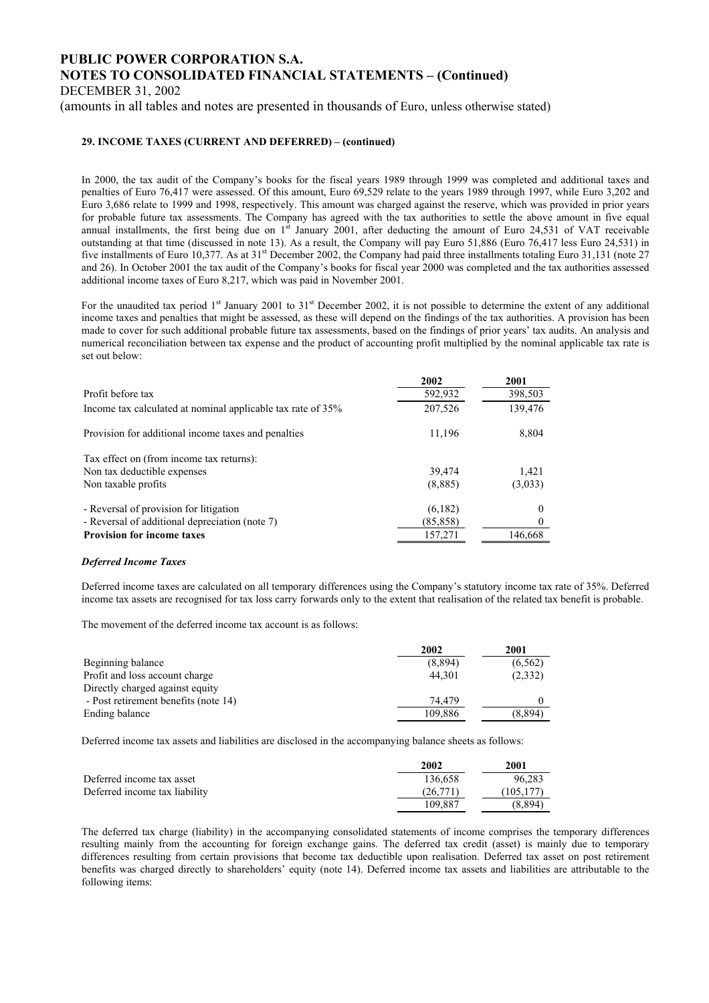DECEMBER 31, 2002

(amounts in all tables and notes are presented in thousands of Euro, unless otherwise stated)

### **29. INCOME TAXES (CURRENT AND DEFERRED) – (continued)**

In 2000, the tax audit of the Company's books for the fiscal years 1989 through 1999 was completed and additional taxes and penalties of Euro 76,417 were assessed. Of this amount, Euro 69,529 relate to the years 1989 through 1997, while Euro 3,202 and Euro 3,686 relate to 1999 and 1998, respectively. This amount was charged against the reserve, which was provided in prior years for probable future tax assessments. The Company has agreed with the tax authorities to settle the above amount in five equal annual installments, the first being due on  $1<sup>st</sup>$  January 2001, after deducting the amount of Euro 24,531 of VAT receivable outstanding at that time (discussed in note 13). As a result, the Company will pay Euro 51,886 (Euro 76,417 less Euro 24,531) in five installments of Euro 10,377. As at 31<sup>st</sup> December 2002, the Company had paid three installments totaling Euro 31,131 (note 27) and 26). In October 2001 the tax audit of the Company's books for fiscal year 2000 was completed and the tax authorities assessed additional income taxes of Euro 8,217, which was paid in November 2001.

For the unaudited tax period  $1<sup>st</sup>$  January 2001 to  $31<sup>st</sup>$  December 2002, it is not possible to determine the extent of any additional income taxes and penalties that might be assessed, as these will depend on the findings of the tax authorities. A provision has been made to cover for such additional probable future tax assessments, based on the findings of prior years' tax audits. An analysis and numerical reconciliation between tax expense and the product of accounting profit multiplied by the nominal applicable tax rate is set out below:

|                                                             | 2002      | 2001     |
|-------------------------------------------------------------|-----------|----------|
| Profit before tax                                           | 592,932   | 398,503  |
| Income tax calculated at nominal applicable tax rate of 35% | 207,526   | 139,476  |
| Provision for additional income taxes and penalties         | 11,196    | 8,804    |
| Tax effect on (from income tax returns):                    |           |          |
| Non tax deductible expenses                                 | 39.474    | 1,421    |
| Non taxable profits                                         | (8,885)   | (3,033)  |
| - Reversal of provision for litigation                      | (6,182)   | $\theta$ |
| - Reversal of additional depreciation (note 7)              | (85, 858) |          |
| <b>Provision for income taxes</b>                           | 157,271   | 146,668  |

#### *Deferred Income Taxes*

Deferred income taxes are calculated on all temporary differences using the Company's statutory income tax rate of 35%. Deferred income tax assets are recognised for tax loss carry forwards only to the extent that realisation of the related tax benefit is probable.

The movement of the deferred income tax account is as follows:

|                                      | 2002    | 2001     |
|--------------------------------------|---------|----------|
| Beginning balance                    | (8,894) | (6, 562) |
| Profit and loss account charge       | 44.301  | (2,332)  |
| Directly charged against equity      |         |          |
| - Post retirement benefits (note 14) | 74.479  |          |
| Ending balance                       | 109.886 | (8,894)  |

Deferred income tax assets and liabilities are disclosed in the accompanying balance sheets as follows:

|                               | 2002     | 2001       |
|-------------------------------|----------|------------|
| Deferred income tax asset     | 136.658  | 96.283     |
| Deferred income tax liability | (26.771) | (105, 177) |
|                               | 109.887  | (8.894)    |

The deferred tax charge (liability) in the accompanying consolidated statements of income comprises the temporary differences resulting mainly from the accounting for foreign exchange gains. The deferred tax credit (asset) is mainly due to temporary differences resulting from certain provisions that become tax deductible upon realisation. Deferred tax asset on post retirement benefits was charged directly to shareholders' equity (note 14). Deferred income tax assets and liabilities are attributable to the following items: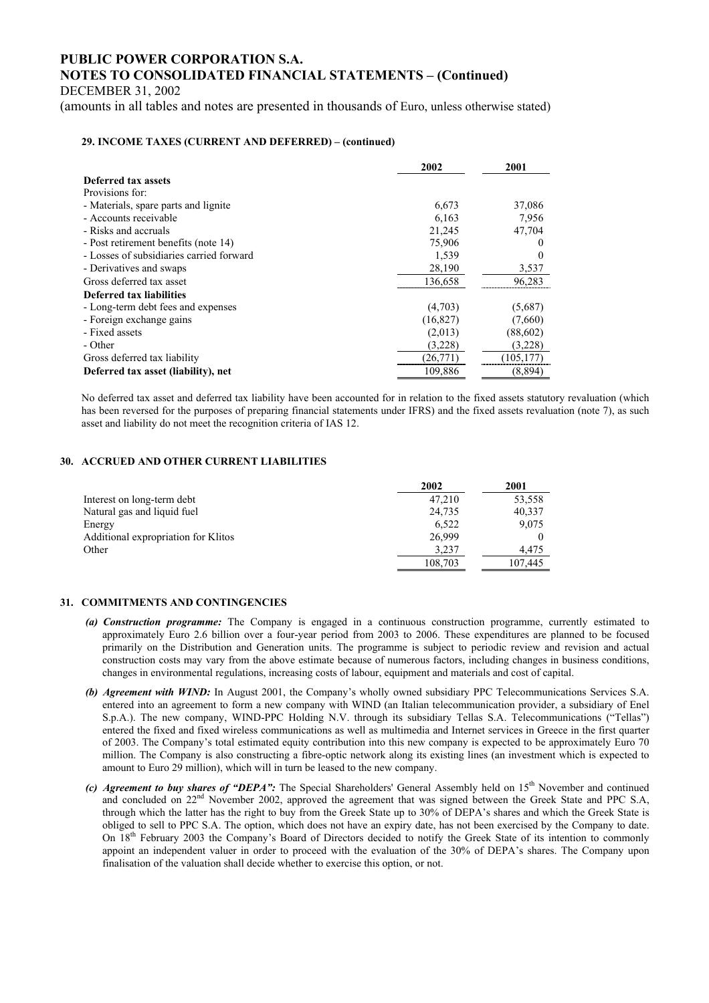DECEMBER 31, 2002

(amounts in all tables and notes are presented in thousands of Euro, unless otherwise stated)

### **29. INCOME TAXES (CURRENT AND DEFERRED) – (continued)**

|                                          | 2002      | 2001       |
|------------------------------------------|-----------|------------|
| Deferred tax assets                      |           |            |
| Provisions for:                          |           |            |
| - Materials, spare parts and lignite     | 6,673     | 37,086     |
| - Accounts receivable                    | 6,163     | 7,956      |
| - Risks and accruals                     | 21,245    | 47,704     |
| - Post retirement benefits (note 14)     | 75,906    |            |
| - Losses of subsidiaries carried forward | 1,539     |            |
| - Derivatives and swaps                  | 28,190    | 3,537      |
| Gross deferred tax asset                 | 136,658   | 96,283     |
| Deferred tax liabilities                 |           |            |
| - Long-term debt fees and expenses       | (4,703)   | (5,687)    |
| - Foreign exchange gains                 | (16, 827) | (7,660)    |
| - Fixed assets                           | (2,013)   | (88,602)   |
| - Other                                  | (3,228)   | (3,228)    |
| Gross deferred tax liability             | (26,771)  | (105, 177) |
| Deferred tax asset (liability), net      | 109,886   | (8,894)    |

No deferred tax asset and deferred tax liability have been accounted for in relation to the fixed assets statutory revaluation (which has been reversed for the purposes of preparing financial statements under IFRS) and the fixed assets revaluation (note 7), as such asset and liability do not meet the recognition criteria of IAS 12.

### **30. ACCRUED AND OTHER CURRENT LIABILITIES**

|                                     | 2002    | 2001    |
|-------------------------------------|---------|---------|
| Interest on long-term debt          | 47.210  | 53,558  |
| Natural gas and liquid fuel         | 24,735  | 40,337  |
| Energy                              | 6.522   | 9,075   |
| Additional expropriation for Klitos | 26,999  |         |
| Other                               | 3.237   | 4.475   |
|                                     | 108,703 | 107.445 |

#### **31. COMMITMENTS AND CONTINGENCIES**

- *(a) Construction programme:* The Company is engaged in a continuous construction programme, currently estimated to approximately Euro 2.6 billion over a four-year period from 2003 to 2006. These expenditures are planned to be focused primarily on the Distribution and Generation units. The programme is subject to periodic review and revision and actual construction costs may vary from the above estimate because of numerous factors, including changes in business conditions, changes in environmental regulations, increasing costs of labour, equipment and materials and cost of capital.
- *(b) Agreement with WIND:* In August 2001, the Company's wholly owned subsidiary PPC Telecommunications Services S.A. entered into an agreement to form a new company with WIND (an Italian telecommunication provider, a subsidiary of Enel S.p.A.). The new company, WIND-PPC Holding N.V. through its subsidiary Tellas S.A. Telecommunications ("Tellas") entered the fixed and fixed wireless communications as well as multimedia and Internet services in Greece in the first quarter of 2003. The Company's total estimated equity contribution into this new company is expected to be approximately Euro 70 million. The Company is also constructing a fibre-optic network along its existing lines (an investment which is expected to amount to Euro 29 million), which will in turn be leased to the new company.
- *(c) Agreement to buy shares of "DEPA":* The Special Shareholders' General Assembly held on 15<sup>th</sup> November and continued and concluded on 22<sup>nd</sup> November 2002, approved the agreement that was signed between the Greek State and PPC S.A, through which the latter has the right to buy from the Greek State up to 30% of DEPA's shares and which the Greek State is obliged to sell to PPC S.A. The option, which does not have an expiry date, has not been exercised by the Company to date. On 18th February 2003 the Company's Board of Directors decided to notify the Greek State of its intention to commonly appoint an independent valuer in order to proceed with the evaluation of the 30% of DEPA's shares. The Company upon finalisation of the valuation shall decide whether to exercise this option, or not.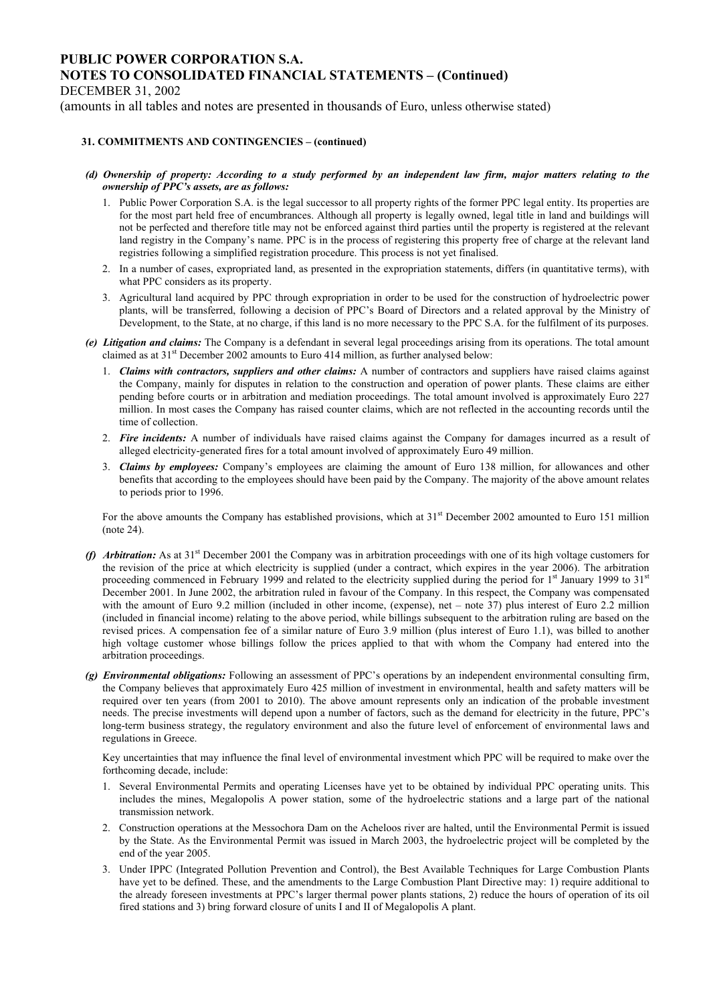DECEMBER 31, 2002

(amounts in all tables and notes are presented in thousands of Euro, unless otherwise stated)

### **31. COMMITMENTS AND CONTINGENCIES – (continued)**

- *(d) Ownership of property: According to a study performed by an independent law firm, major matters relating to the ownership of PPC's assets, are as follows:* 
	- 1. Public Power Corporation S.A. is the legal successor to all property rights of the former PPC legal entity. Its properties are for the most part held free of encumbrances. Although all property is legally owned, legal title in land and buildings will not be perfected and therefore title may not be enforced against third parties until the property is registered at the relevant land registry in the Company's name. PPC is in the process of registering this property free of charge at the relevant land registries following a simplified registration procedure. This process is not yet finalised.
	- 2. In a number of cases, expropriated land, as presented in the expropriation statements, differs (in quantitative terms), with what PPC considers as its property.
	- 3. Agricultural land acquired by PPC through expropriation in order to be used for the construction of hydroelectric power plants, will be transferred, following a decision of PPC's Board of Directors and a related approval by the Ministry of Development, to the State, at no charge, if this land is no more necessary to the PPC S.A. for the fulfilment of its purposes.
- *(e) Litigation and claims:* The Company is a defendant in several legal proceedings arising from its operations. The total amount claimed as at  $31<sup>st</sup>$  December 2002 amounts to Euro 414 million, as further analysed below:
	- 1. *Claims with contractors, suppliers and other claims:* A number of contractors and suppliers have raised claims against the Company, mainly for disputes in relation to the construction and operation of power plants. These claims are either pending before courts or in arbitration and mediation proceedings. The total amount involved is approximately Euro 227 million. In most cases the Company has raised counter claims, which are not reflected in the accounting records until the time of collection.
	- 2. *Fire incidents:* A number of individuals have raised claims against the Company for damages incurred as a result of alleged electricity-generated fires for a total amount involved of approximately Euro 49 million.
	- 3. *Claims by employees:* Company's employees are claiming the amount of Euro 138 million, for allowances and other benefits that according to the employees should have been paid by the Company. The majority of the above amount relates to periods prior to 1996.

For the above amounts the Company has established provisions, which at  $31<sup>st</sup>$  December 2002 amounted to Euro 151 million (note 24).

- *(f) Arbitration:* As at 31<sup>st</sup> December 2001 the Company was in arbitration proceedings with one of its high voltage customers for the revision of the price at which electricity is supplied (under a contract, which expires in the year 2006). The arbitration proceeding commenced in February 1999 and related to the electricity supplied during the period for 1<sup>st</sup> January 1999 to 31<sup>st</sup> December 2001. In June 2002, the arbitration ruled in favour of the Company. In this respect, the Company was compensated with the amount of Euro 9.2 million (included in other income, (expense), net – note 37) plus interest of Euro 2.2 million (included in financial income) relating to the above period, while billings subsequent to the arbitration ruling are based on the revised prices. A compensation fee of a similar nature of Euro 3.9 million (plus interest of Euro 1.1), was billed to another high voltage customer whose billings follow the prices applied to that with whom the Company had entered into the arbitration proceedings.
- *(g) Environmental obligations:* Following an assessment of PPC's operations by an independent environmental consulting firm, the Company believes that approximately Euro 425 million of investment in environmental, health and safety matters will be required over ten years (from 2001 to 2010). The above amount represents only an indication of the probable investment needs. The precise investments will depend upon a number of factors, such as the demand for electricity in the future, PPC's long-term business strategy, the regulatory environment and also the future level of enforcement of environmental laws and regulations in Greece.

Key uncertainties that may influence the final level of environmental investment which PPC will be required to make over the forthcoming decade, include:

- 1. Several Environmental Permits and operating Licenses have yet to be obtained by individual PPC operating units. This includes the mines, Megalopolis A power station, some of the hydroelectric stations and a large part of the national transmission network.
- 2. Construction operations at the Messochora Dam on the Acheloos river are halted, until the Environmental Permit is issued by the State. As the Environmental Permit was issued in March 2003, the hydroelectric project will be completed by the end of the year 2005.
- 3. Under IPPC (Integrated Pollution Prevention and Control), the Best Available Techniques for Large Combustion Plants have yet to be defined. These, and the amendments to the Large Combustion Plant Directive may: 1) require additional to the already foreseen investments at PPC's larger thermal power plants stations, 2) reduce the hours of operation of its oil fired stations and 3) bring forward closure of units I and II of Megalopolis A plant.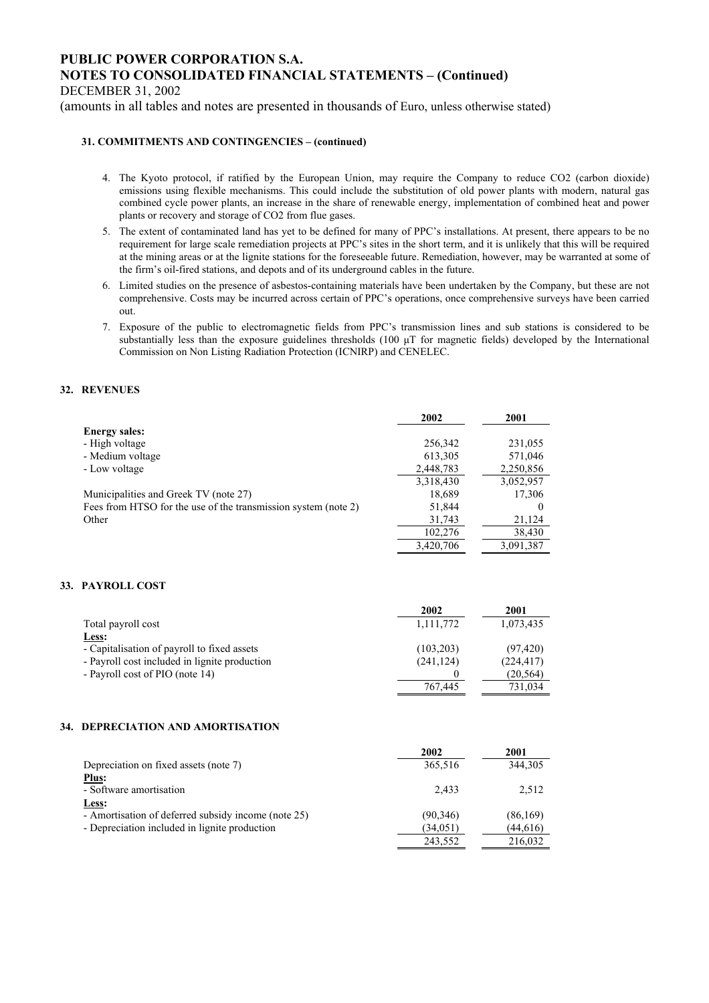DECEMBER 31, 2002

(amounts in all tables and notes are presented in thousands of Euro, unless otherwise stated)

#### **31. COMMITMENTS AND CONTINGENCIES – (continued)**

- 4. The Kyoto protocol, if ratified by the European Union, may require the Company to reduce CO2 (carbon dioxide) emissions using flexible mechanisms. This could include the substitution of old power plants with modern, natural gas combined cycle power plants, an increase in the share of renewable energy, implementation of combined heat and power plants or recovery and storage of CO2 from flue gases.
- 5. The extent of contaminated land has yet to be defined for many of PPC's installations. At present, there appears to be no requirement for large scale remediation projects at PPC's sites in the short term, and it is unlikely that this will be required at the mining areas or at the lignite stations for the foreseeable future. Remediation, however, may be warranted at some of the firm's oil-fired stations, and depots and of its underground cables in the future.
- 6. Limited studies on the presence of asbestos-containing materials have been undertaken by the Company, but these are not comprehensive. Costs may be incurred across certain of PPC's operations, once comprehensive surveys have been carried out.
- 7. Exposure of the public to electromagnetic fields from PPC's transmission lines and sub stations is considered to be substantially less than the exposure guidelines thresholds (100  $\mu$ T for magnetic fields) developed by the International Commission on Non Listing Radiation Protection (ICNIRP) and CENELEC.

#### **32. REVENUES**

|                                                                | 2002      | 2001      |
|----------------------------------------------------------------|-----------|-----------|
| <b>Energy sales:</b>                                           |           |           |
| - High voltage                                                 | 256,342   | 231,055   |
| - Medium voltage                                               | 613,305   | 571,046   |
| - Low voltage                                                  | 2,448,783 | 2,250,856 |
|                                                                | 3,318,430 | 3,052,957 |
| Municipalities and Greek TV (note 27)                          | 18,689    | 17,306    |
| Fees from HTSO for the use of the transmission system (note 2) | 51,844    |           |
| Other                                                          | 31,743    | 21,124    |
|                                                                | 102,276   | 38,430    |
|                                                                | 3,420,706 | 3,091,387 |

### **33. PAYROLL COST**

|                                               | 2002       | 2001       |
|-----------------------------------------------|------------|------------|
| Total payroll cost                            | 1,111,772  | 1,073,435  |
| Less:                                         |            |            |
| - Capitalisation of payroll to fixed assets   | (103,203)  | (97, 420)  |
| - Payroll cost included in lignite production | (241, 124) | (224, 417) |
| - Payroll cost of PIO (note 14)               |            | (20, 564)  |
|                                               | 767,445    | 731,034    |

#### **34. DEPRECIATION AND AMORTISATION**

|                                                     | 2002      | 2001      |
|-----------------------------------------------------|-----------|-----------|
| Depreciation on fixed assets (note 7)               | 365,516   | 344.305   |
| Plus:                                               |           |           |
| - Software amortisation                             | 2.433     | 2.512     |
| Less:                                               |           |           |
| - Amortisation of deferred subsidy income (note 25) | (90, 346) | (86,169)  |
| - Depreciation included in lignite production       | (34,051)  | (44, 616) |
|                                                     | 243,552   | 216,032   |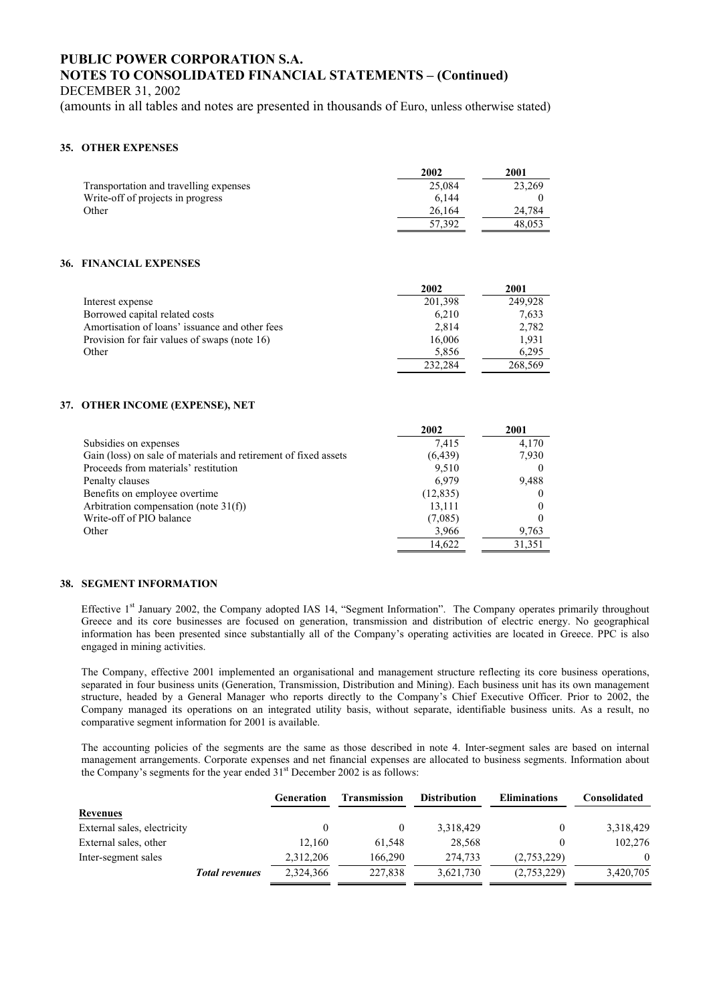DECEMBER 31, 2002

(amounts in all tables and notes are presented in thousands of Euro, unless otherwise stated)

#### **35. OTHER EXPENSES**

|                                        | 2002   | 2001   |
|----------------------------------------|--------|--------|
| Transportation and travelling expenses | 25.084 | 23.269 |
| Write-off of projects in progress      | 6.144  |        |
| Other                                  | 26.164 | 24.784 |
|                                        | 57.392 | 48.053 |

#### **36. FINANCIAL EXPENSES**

|                                                | 2002    | 2001    |
|------------------------------------------------|---------|---------|
| Interest expense                               | 201,398 | 249.928 |
| Borrowed capital related costs                 | 6.210   | 7,633   |
| Amortisation of loans' issuance and other fees | 2.814   | 2,782   |
| Provision for fair values of swaps (note 16)   | 16,006  | 1,931   |
| Other                                          | 5.856   | 6.295   |
|                                                | 232.284 | 268,569 |

#### **37. OTHER INCOME (EXPENSE), NET**

|                                                                 | 2002      | 2001   |
|-----------------------------------------------------------------|-----------|--------|
| Subsidies on expenses                                           | 7.415     | 4.170  |
| Gain (loss) on sale of materials and retirement of fixed assets | (6, 439)  | 7,930  |
| Proceeds from materials' restitution                            | 9.510     |        |
| Penalty clauses                                                 | 6.979     | 9,488  |
| Benefits on employee overtime.                                  | (12, 835) |        |
| Arbitration compensation (note $31(f)$ )                        | 13,111    |        |
| Write-off of PIO balance                                        | (7,085)   |        |
| Other                                                           | 3,966     | 9,763  |
|                                                                 | 14,622    | 31,351 |

#### **38. SEGMENT INFORMATION**

Effective 1st January 2002, the Company adopted IAS 14, "Segment Information". The Company operates primarily throughout Greece and its core businesses are focused on generation, transmission and distribution of electric energy. No geographical information has been presented since substantially all of the Company's operating activities are located in Greece. PPC is also engaged in mining activities.

The Company, effective 2001 implemented an organisational and management structure reflecting its core business operations, separated in four business units (Generation, Transmission, Distribution and Mining). Each business unit has its own management structure, headed by a General Manager who reports directly to the Company's Chief Executive Officer. Prior to 2002, the Company managed its operations on an integrated utility basis, without separate, identifiable business units. As a result, no comparative segment information for 2001 is available.

The accounting policies of the segments are the same as those described in note 4. Inter-segment sales are based on internal management arrangements. Corporate expenses and net financial expenses are allocated to business segments. Information about the Company's segments for the year ended  $31<sup>st</sup>$  December 2002 is as follows:

|                             |                       | Generation | <b>Transmission</b> | <b>Distribution</b> | <b>Eliminations</b> | <b>Consolidated</b> |
|-----------------------------|-----------------------|------------|---------------------|---------------------|---------------------|---------------------|
| <b>Revenues</b>             |                       |            |                     |                     |                     |                     |
| External sales, electricity |                       |            | 0                   | 3,318,429           |                     | 3,318,429           |
| External sales, other       |                       | 12.160     | 61.548              | 28.568              |                     | 102,276             |
| Inter-segment sales         |                       | 2,312,206  | 166.290             | 274.733             | (2,753,229)         | $\theta$            |
|                             | <b>Total revenues</b> | 2,324,366  | 227,838             | 3,621,730           | (2,753,229)         | 3,420,705           |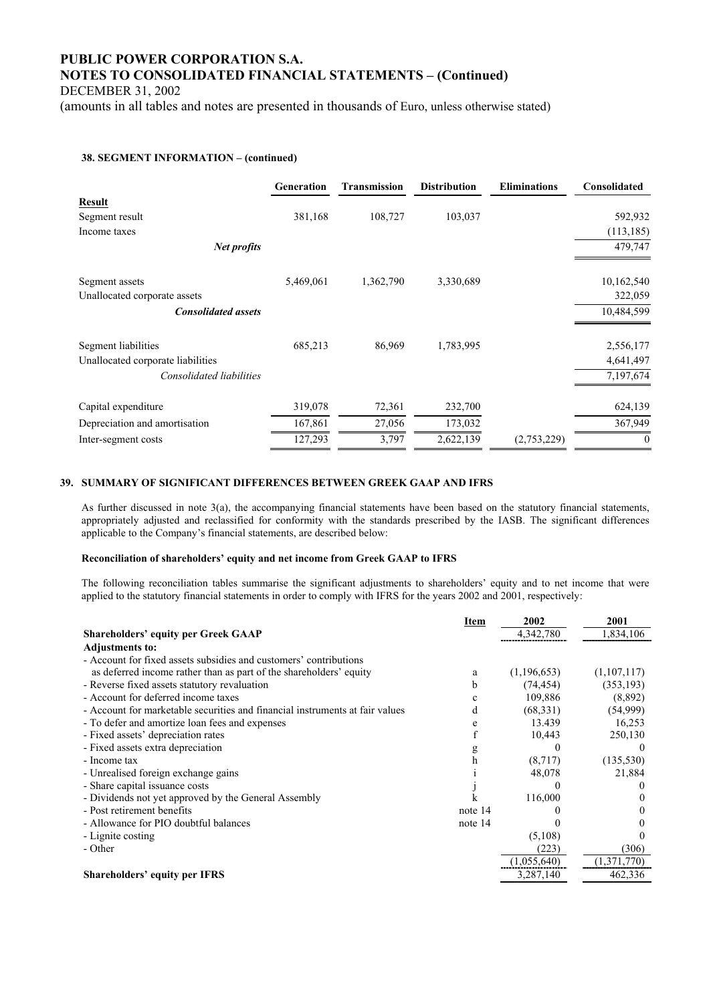DECEMBER 31, 2002

(amounts in all tables and notes are presented in thousands of Euro, unless otherwise stated)

#### **38. SEGMENT INFORMATION – (continued)**

|                                   | <b>Generation</b> | <b>Transmission</b> | <b>Distribution</b> | <b>Eliminations</b> | Consolidated   |
|-----------------------------------|-------------------|---------------------|---------------------|---------------------|----------------|
| <b>Result</b>                     |                   |                     |                     |                     |                |
| Segment result                    | 381,168           | 108,727             | 103,037             |                     | 592,932        |
| Income taxes                      |                   |                     |                     |                     | (113, 185)     |
| Net profits                       |                   |                     |                     |                     | 479,747        |
| Segment assets                    | 5,469,061         | 1,362,790           | 3,330,689           |                     | 10,162,540     |
| Unallocated corporate assets      |                   |                     |                     |                     | 322,059        |
| <b>Consolidated assets</b>        |                   |                     |                     |                     | 10,484,599     |
| Segment liabilities               | 685,213           | 86,969              | 1,783,995           |                     | 2,556,177      |
| Unallocated corporate liabilities |                   |                     |                     |                     | 4,641,497      |
| Consolidated liabilities          |                   |                     |                     |                     | 7,197,674      |
| Capital expenditure               | 319,078           | 72,361              | 232,700             |                     | 624,139        |
| Depreciation and amortisation     | 167,861           | 27,056              | 173,032             |                     | 367,949        |
| Inter-segment costs               | 127,293           | 3,797               | 2,622,139           | (2,753,229)         | $\overline{0}$ |

#### **39. SUMMARY OF SIGNIFICANT DIFFERENCES BETWEEN GREEK GAAP AND IFRS**

As further discussed in note 3(a), the accompanying financial statements have been based on the statutory financial statements, appropriately adjusted and reclassified for conformity with the standards prescribed by the IASB. The significant differences applicable to the Company's financial statements, are described below:

#### **Reconciliation of shareholders' equity and net income from Greek GAAP to IFRS**

The following reconciliation tables summarise the significant adjustments to shareholders' equity and to net income that were applied to the statutory financial statements in order to comply with IFRS for the years 2002 and 2001, respectively:

|                                                                              | Item         | 2002          | 2001        |
|------------------------------------------------------------------------------|--------------|---------------|-------------|
| <b>Shareholders' equity per Greek GAAP</b>                                   |              | 4,342,780     | 1,834,106   |
| <b>Adjustments to:</b>                                                       |              |               |             |
| - Account for fixed assets subsidies and customers' contributions            |              |               |             |
| as deferred income rather than as part of the shareholders' equity           | a            | (1, 196, 653) | (1,107,117) |
| - Reverse fixed assets statutory revaluation                                 | <sub>b</sub> | (74, 454)     | (353, 193)  |
| - Account for deferred income taxes                                          |              | 109,886       | (8,892)     |
| - Account for marketable securities and financial instruments at fair values | d            | (68,331)      | (54,999)    |
| - To defer and amortize loan fees and expenses                               |              | 13.439        | 16,253      |
| - Fixed assets' depreciation rates                                           |              | 10,443        | 250,130     |
| - Fixed assets extra depreciation                                            |              |               |             |
| - Income tax                                                                 | h            | (8,717)       | (135, 530)  |
| - Unrealised foreign exchange gains                                          |              | 48,078        | 21,884      |
| - Share capital issuance costs                                               |              |               |             |
| - Dividends not yet approved by the General Assembly                         |              | 116,000       |             |
| - Post retirement benefits                                                   | note 14      |               |             |
| - Allowance for PIO doubtful balances                                        | note 14      |               |             |
| - Lignite costing                                                            |              | (5,108)       |             |
| - Other                                                                      |              | (223)         | (306)       |
|                                                                              |              | (1,055,640)   | (1,371,770) |
| <b>Shareholders' equity per IFRS</b>                                         |              | 3,287,140     | 462,336     |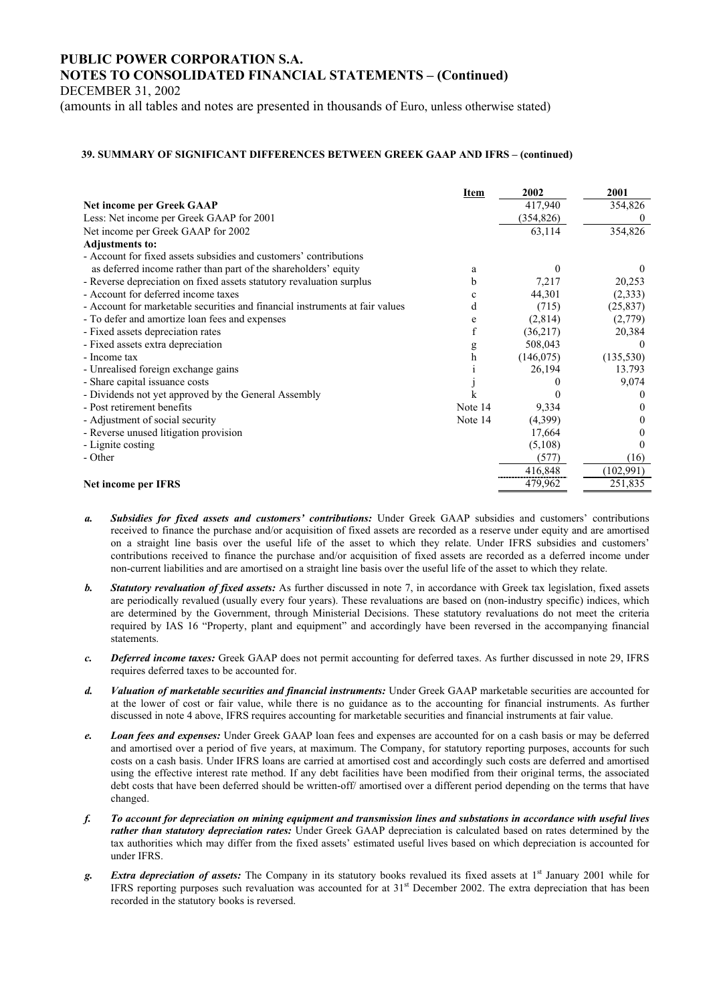DECEMBER 31, 2002

(amounts in all tables and notes are presented in thousands of Euro, unless otherwise stated)

#### **39. SUMMARY OF SIGNIFICANT DIFFERENCES BETWEEN GREEK GAAP AND IFRS – (continued)**

|                                                                              | Item    | 2002       | 2001       |
|------------------------------------------------------------------------------|---------|------------|------------|
| <b>Net income per Greek GAAP</b>                                             |         | 417,940    | 354,826    |
| Less: Net income per Greek GAAP for 2001                                     |         | (354, 826) | $\theta$   |
| Net income per Greek GAAP for 2002                                           |         | 63,114     | 354,826    |
| <b>Adjustments to:</b>                                                       |         |            |            |
| - Account for fixed assets subsidies and customers' contributions            |         |            |            |
| as deferred income rather than part of the shareholders' equity              | a       | $_{0}$     |            |
| - Reverse depreciation on fixed assets statutory revaluation surplus         | b       | 7,217      | 20,253     |
| - Account for deferred income taxes                                          | c       | 44,301     | (2,333)    |
| - Account for marketable securities and financial instruments at fair values | d       | (715)      | (25, 837)  |
| - To defer and amortize loan fees and expenses                               | e       | (2,814)    | (2,779)    |
| - Fixed assets depreciation rates                                            |         | (36,217)   | 20,384     |
| - Fixed assets extra depreciation                                            | g       | 508,043    |            |
| - Income tax                                                                 | h       | (146, 075) | (135, 530) |
| - Unrealised foreign exchange gains                                          |         | 26,194     | 13.793     |
| - Share capital issuance costs                                               |         |            | 9,074      |
| - Dividends not yet approved by the General Assembly                         |         | 0          |            |
| - Post retirement benefits                                                   | Note 14 | 9,334      |            |
| - Adjustment of social security                                              | Note 14 | (4,399)    |            |
| - Reverse unused litigation provision                                        |         | 17,664     |            |
| - Lignite costing                                                            |         | (5,108)    |            |
| - Other                                                                      |         | (577)      | (16)       |
|                                                                              |         | 416,848    | (102,991)  |
| Net income per IFRS                                                          |         | 479,962    | 251,835    |

- *a. Subsidies for fixed assets and customers' contributions:* Under Greek GAAP subsidies and customers' contributions received to finance the purchase and/or acquisition of fixed assets are recorded as a reserve under equity and are amortised on a straight line basis over the useful life of the asset to which they relate. Under IFRS subsidies and customers' contributions received to finance the purchase and/or acquisition of fixed assets are recorded as a deferred income under non-current liabilities and are amortised on a straight line basis over the useful life of the asset to which they relate.
- *b. Statutory revaluation of fixed assets:* As further discussed in note 7, in accordance with Greek tax legislation, fixed assets are periodically revalued (usually every four years). These revaluations are based on (non-industry specific) indices, which are determined by the Government, through Ministerial Decisions. These statutory revaluations do not meet the criteria required by IAS 16 "Property, plant and equipment" and accordingly have been reversed in the accompanying financial statements.
- *c. Deferred income taxes:* Greek GAAP does not permit accounting for deferred taxes. As further discussed in note 29, IFRS requires deferred taxes to be accounted for.
- *d. Valuation of marketable securities and financial instruments:* Under Greek GAAP marketable securities are accounted for at the lower of cost or fair value, while there is no guidance as to the accounting for financial instruments. As further discussed in note 4 above, IFRS requires accounting for marketable securities and financial instruments at fair value.
- *e. Loan fees and expenses:* Under Greek GAAP loan fees and expenses are accounted for on a cash basis or may be deferred and amortised over a period of five years, at maximum. The Company, for statutory reporting purposes, accounts for such costs on a cash basis. Under IFRS loans are carried at amortised cost and accordingly such costs are deferred and amortised using the effective interest rate method. If any debt facilities have been modified from their original terms, the associated debt costs that have been deferred should be written-off/ amortised over a different period depending on the terms that have changed.
- *f. To account for depreciation on mining equipment and transmission lines and substations in accordance with useful lives rather than statutory depreciation rates:* Under Greek GAAP depreciation is calculated based on rates determined by the tax authorities which may differ from the fixed assets' estimated useful lives based on which depreciation is accounted for under IFRS.
- *g. Extra depreciation of assets:* The Company in its statutory books revalued its fixed assets at 1st January 2001 while for IFRS reporting purposes such revaluation was accounted for at  $31<sup>st</sup>$  December 2002. The extra depreciation that has been recorded in the statutory books is reversed.